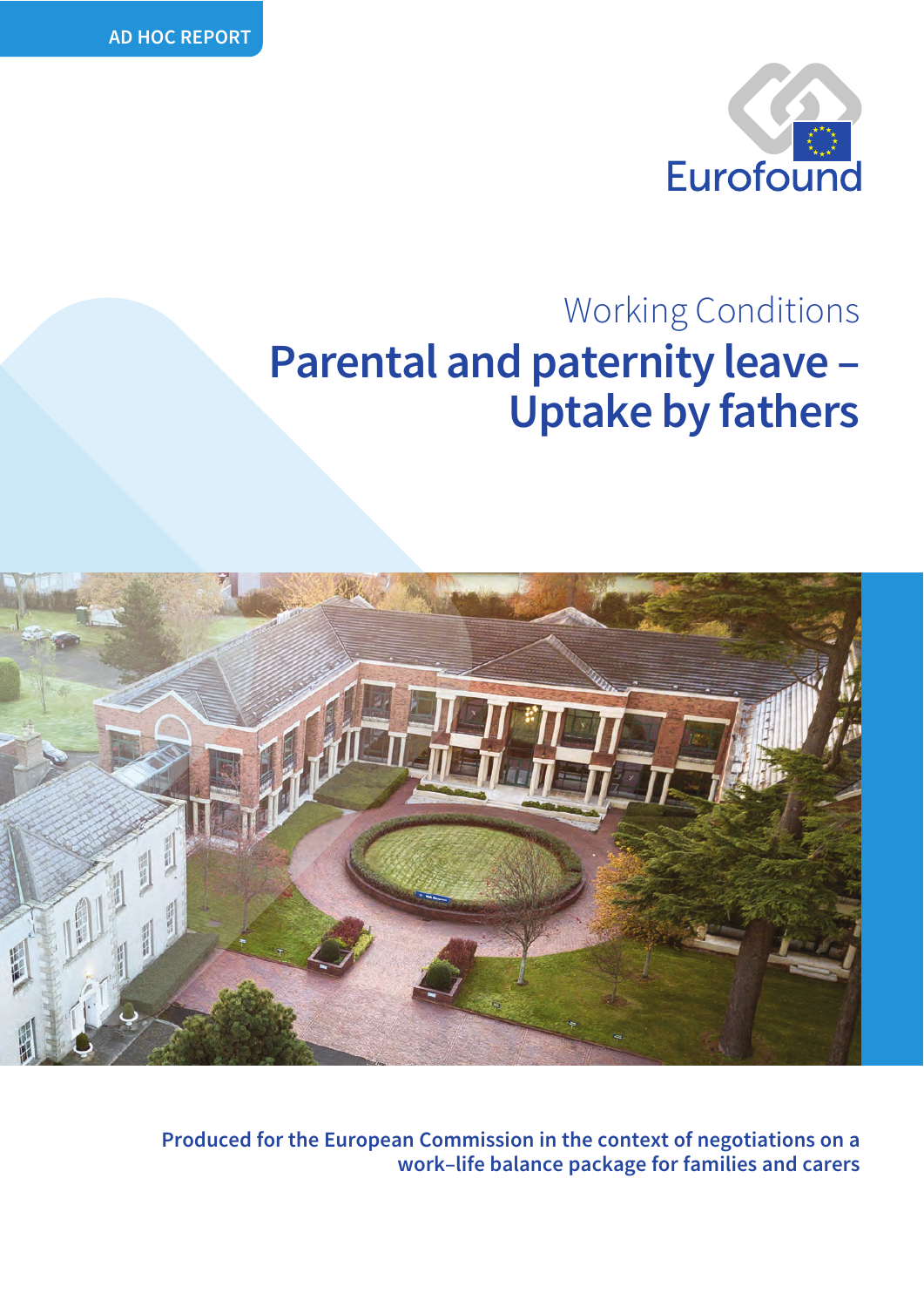

## **Parental and paternity leave – Uptake by fathers** Working Conditions



**Produced for the European Commission in the context of negotiations on a work–life balance package for families and carers**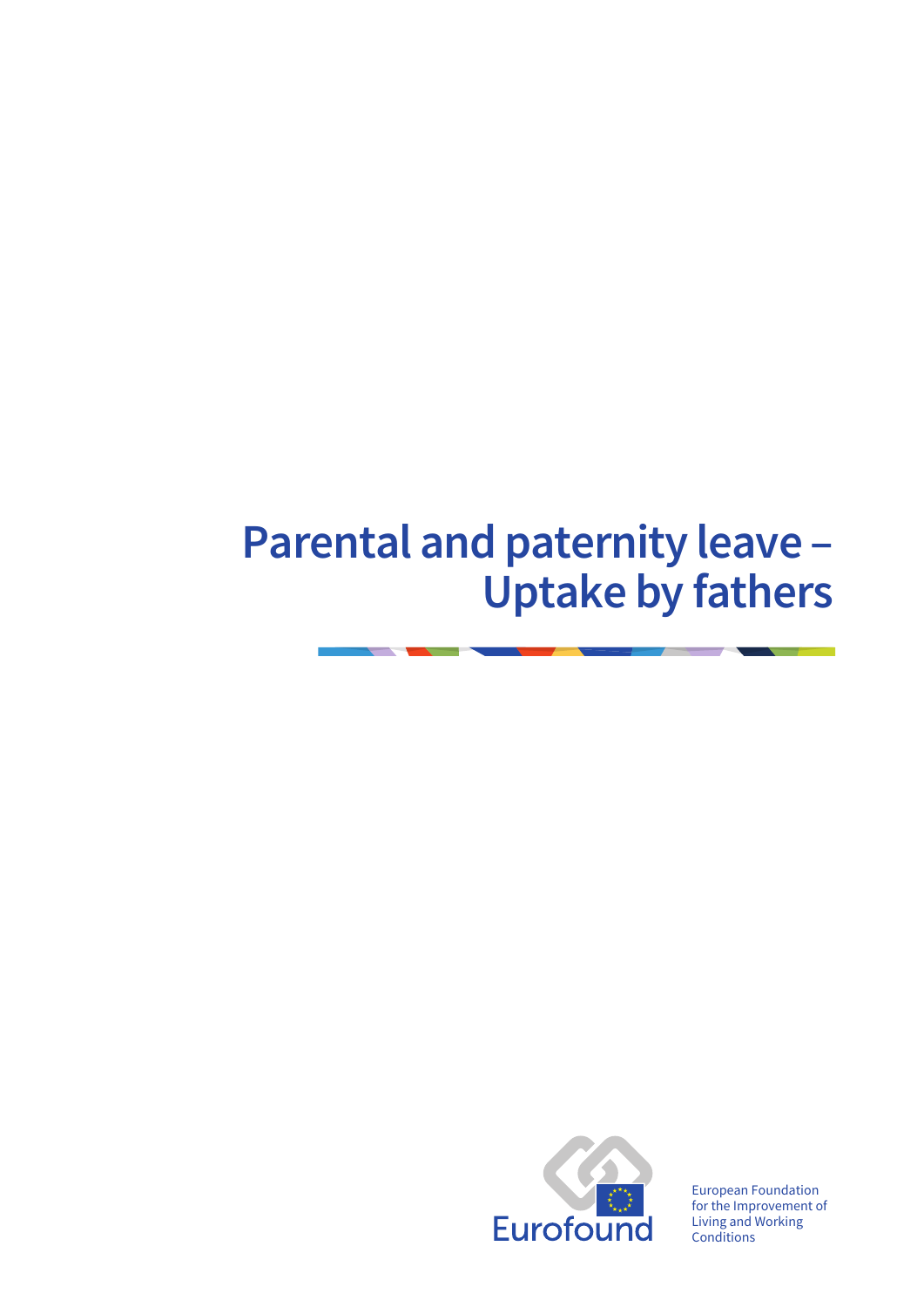## **Parental and paternity leave – Uptake by fathers**



European Foundation for the Improvement of Living and Working **Conditions**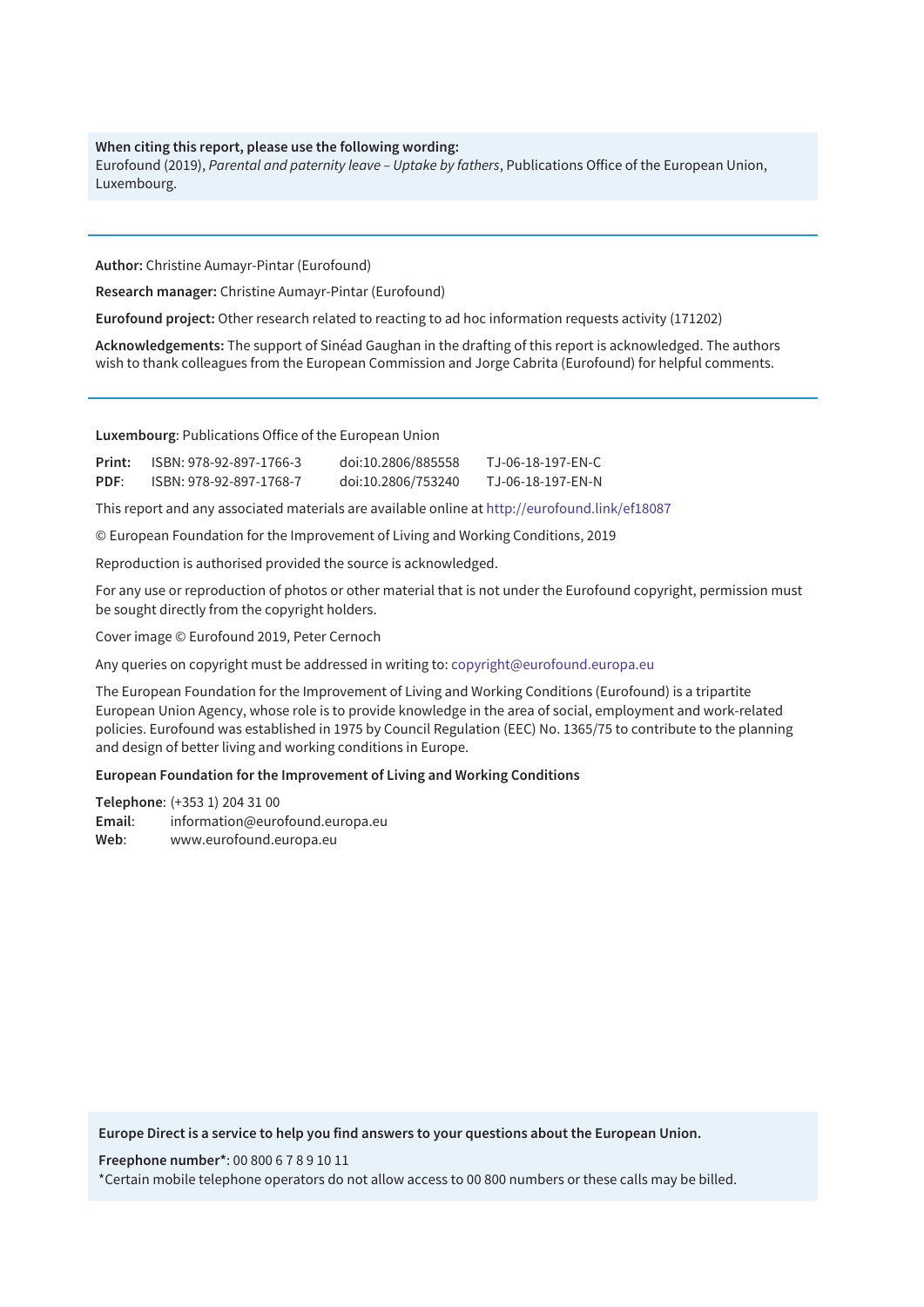#### **When citing this report, please use the following wording:**

Eurofound (2019), *Parental and paternity leave – Uptake by fathers*, Publications Office of the European Union, Luxembourg.

**Author:** Christine Aumayr-Pintar (Eurofound)

**Research manager:** Christine Aumayr-Pintar (Eurofound)

**Eurofound project:** Other research related to reacting to ad hoc information requests activity (171202)

**Acknowledgements:** The support of Sinéad Gaughan in the drafting of this report is acknowledged. The authors wish to thank colleagues from the European Commission and Jorge Cabrita (Eurofound) for helpful comments.

**Luxembourg**: Publications Office of the European Union

| Print: | ISBN: 978-92-897-1766-3 | doi:10.2806/885558 | TJ-06-18-197-EN-C |
|--------|-------------------------|--------------------|-------------------|
| PDF:   | ISBN: 978-92-897-1768-7 | doi:10.2806/753240 | TJ-06-18-197-EN-N |

This report and any associated materials are available online at<http://eurofound.link/ef18087>

© European Foundation for the Improvement of Living and Working Conditions, 2019

Reproduction is authorised provided the source is acknowledged.

For any use or reproduction of photos or other material that is not under the Eurofound copyright, permission must be sought directly from the copyright holders.

Cover image © Eurofound 2019, Peter Cernoch

Any queries on copyright must be addressed in writing to: [copyright@eurofound.europa.eu](mailto:copyright@eurofound.europa.eu)

The European Foundation for the Improvement of Living and Working Conditions (Eurofound) is a tripartite European Union Agency, whose role is to provide knowledge in the area of social, employment and work-related policies. Eurofound was established in 1975 by Council Regulation (EEC) No. 1365/75 to contribute to the planning and design of better living and working conditions in Europe.

**European Foundation for the Improvement of Living and Working Conditions**

**Telephone**: (+353 1) 204 31 00 **Email**: [information@eurofound.europa.eu](mailto:information@eurofound.europa.eu)  **Web**: [www.eurofound.europa.eu](http://www.eurofound.europa.eu)

**Europe Direct is a service to help you find answers to your questions about the European Union.**

**Freephone number\***: 00 800 6 7 8 9 10 11

\*Certain mobile telephone operators do not allow access to 00 800 numbers or these calls may be billed.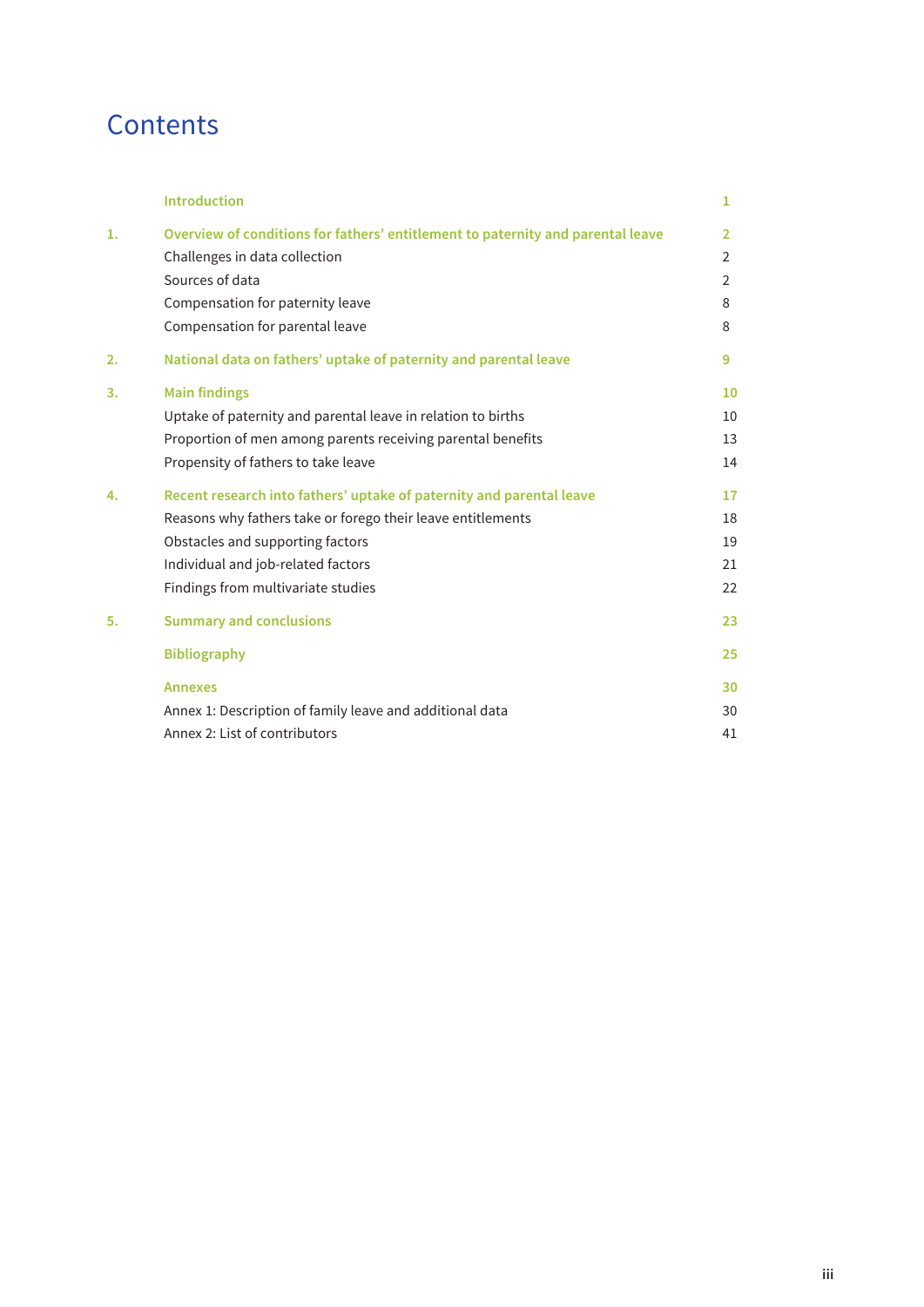## **Contents**

|    | <b>Introduction</b>                                                             | 1              |
|----|---------------------------------------------------------------------------------|----------------|
| 1. | Overview of conditions for fathers' entitlement to paternity and parental leave | $\overline{2}$ |
|    | Challenges in data collection                                                   | $\overline{2}$ |
|    | Sources of data                                                                 | $\overline{2}$ |
|    | Compensation for paternity leave                                                | 8              |
|    | Compensation for parental leave                                                 | 8              |
| 2. | National data on fathers' uptake of paternity and parental leave                | 9              |
| 3. | <b>Main findings</b>                                                            | 10             |
|    | Uptake of paternity and parental leave in relation to births                    | 10             |
|    | Proportion of men among parents receiving parental benefits                     | 13             |
|    | Propensity of fathers to take leave                                             | 14             |
| 4. | Recent research into fathers' uptake of paternity and parental leave            | 17             |
|    | Reasons why fathers take or forego their leave entitlements                     | 18             |
|    | Obstacles and supporting factors                                                | 19             |
|    | Individual and job-related factors                                              | 21             |
|    | Findings from multivariate studies                                              | 22             |
| 5. | <b>Summary and conclusions</b>                                                  | 23             |
|    | <b>Bibliography</b>                                                             | 25             |
|    | <b>Annexes</b>                                                                  | 30             |
|    | Annex 1: Description of family leave and additional data                        | 30             |
|    | Annex 2: List of contributors                                                   | 41             |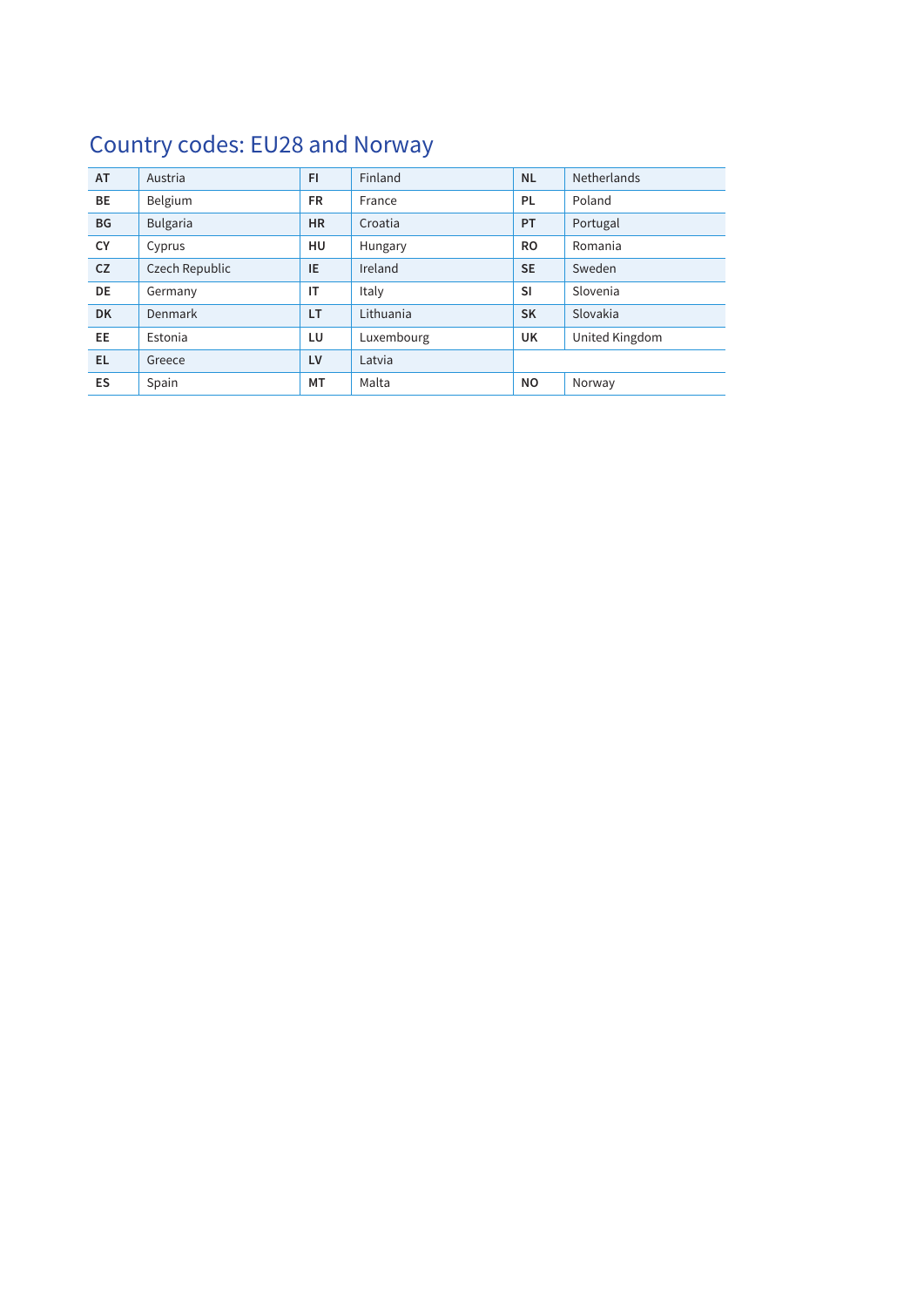## Country codes: EU28 and Norway

| AT        | Austria         | FI        | Finland    | <b>NL</b> | Netherlands    |
|-----------|-----------------|-----------|------------|-----------|----------------|
| BE        | Belgium         | <b>FR</b> | France     | <b>PL</b> | Poland         |
| <b>BG</b> | <b>Bulgaria</b> | <b>HR</b> | Croatia    | <b>PT</b> | Portugal       |
| <b>CY</b> | Cyprus          | HU        | Hungary    | <b>RO</b> | Romania        |
| CZ.       | Czech Republic  | IE        | Ireland    | <b>SE</b> | Sweden         |
| DE        | Germany         | IT        | Italy      | <b>SI</b> | Slovenia       |
| <b>DK</b> | <b>Denmark</b>  | LT        | Lithuania  | <b>SK</b> | Slovakia       |
| EE.       | Estonia         | LU        | Luxembourg | UK        | United Kingdom |
| EL.       | Greece          | <b>LV</b> | Latvia     |           |                |
| ES        | Spain           | МT        | Malta      | <b>NO</b> | Norway         |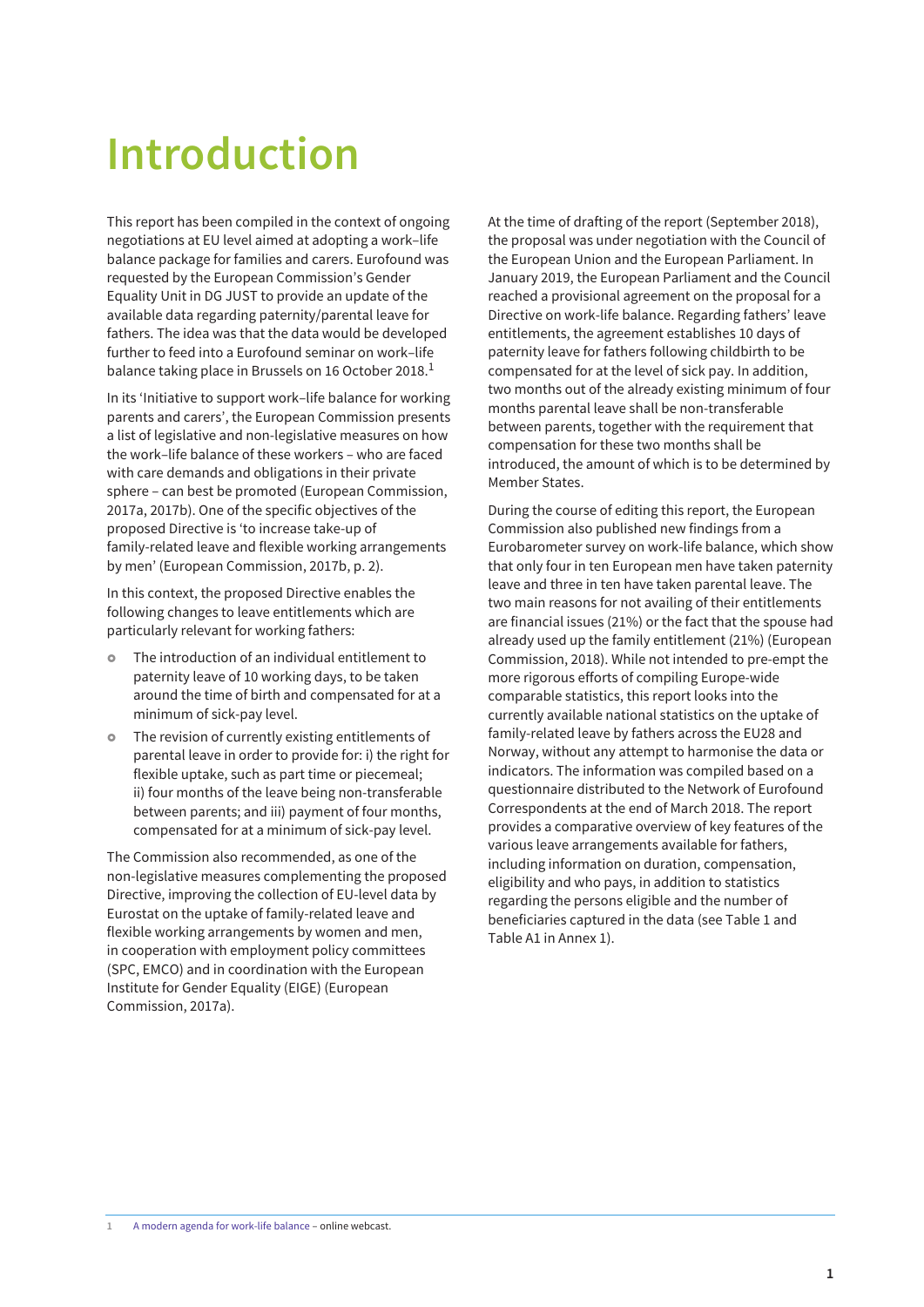## <span id="page-6-0"></span>**Introduction**

This report has been compiled in the context of ongoing negotiations at EU level aimed at adopting a work–life balance package for families and carers. Eurofound was requested by the European Commission's Gender Equality Unit in DG JUST to provide an update of the available data regarding paternity/parental leave for fathers. The idea was that the data would be developed further to feed into a Eurofound seminar on work–life balance taking place in Brussels on 16 October 2018.<sup>1</sup>

In its 'Initiative to support work–life balance for working parents and carers', the European Commission presents a list of legislative and non-legislative measures on how the work–life balance of these workers – who are faced with care demands and obligations in their private sphere – can best be promoted (European Commission, 2017a, 2017b). One of the specific objectives of the proposed Directive is 'to increase take-up of family-related leave and flexible working arrangements by men' (European Commission, 2017b, p. 2).

In this context, the proposed Directive enables the following changes to leave entitlements which are particularly relevant for working fathers:

- The introduction of an individual entitlement to paternity leave of 10 working days, to be taken around the time of birth and compensated for at a minimum of sick-pay level.
- The revision of currently existing entitlements of parental leave in order to provide for: i) the right for flexible uptake, such as part time or piecemeal; ii) four months of the leave being non-transferable between parents; and iii) payment of four months, compensated for at a minimum of sick-pay level.

The Commission also recommended, as one of the non-legislative measures complementing the proposed Directive, improving the collection of EU-level data by Eurostat on the uptake of family-related leave and flexible working arrangements by women and men, in cooperation with employment policy committees (SPC, EMCO) and in coordination with the European Institute for Gender Equality (EIGE) (European Commission, 2017a).

At the time of drafting of the report (September 2018), the proposal was under negotiation with the Council of the European Union and the European Parliament. In January 2019, the European Parliament and the Council reached a provisional agreement on the proposal for a Directive on work-life balance. Regarding fathers' leave entitlements, the agreement establishes 10 days of paternity leave for fathers following childbirth to be compensated for at the level of sick pay. In addition, two months out of the already existing minimum of four months parental leave shall be non-transferable between parents, together with the requirement that compensation for these two months shall be introduced, the amount of which is to be determined by Member States.

During the course of editing this report, the European Commission also published new findings from a Eurobarometer survey on work-life balance, which show that only four in ten European men have taken paternity leave and three in ten have taken parental leave. The two main reasons for not availing of their entitlements are financial issues (21%) or the fact that the spouse had already used up the family entitlement (21%) (European Commission, 2018). While not intended to pre-empt the more rigorous efforts of compiling Europe-wide comparable statistics, this report looks into the currently available national statistics on the uptake of family-related leave by fathers across the EU28 and Norway, without any attempt to harmonise the data or indicators. The information was compiled based on a questionnaire distributed to the Network of Eurofound Correspondents at the end of March 2018. The report provides a comparative overview of key features of the various leave arrangements available for fathers, including information on duration, compensation, eligibility and who pays, in addition to statistics regarding the persons eligible and the number of beneficiaries captured in the data (see Table 1 and Table A1 in Annex 1).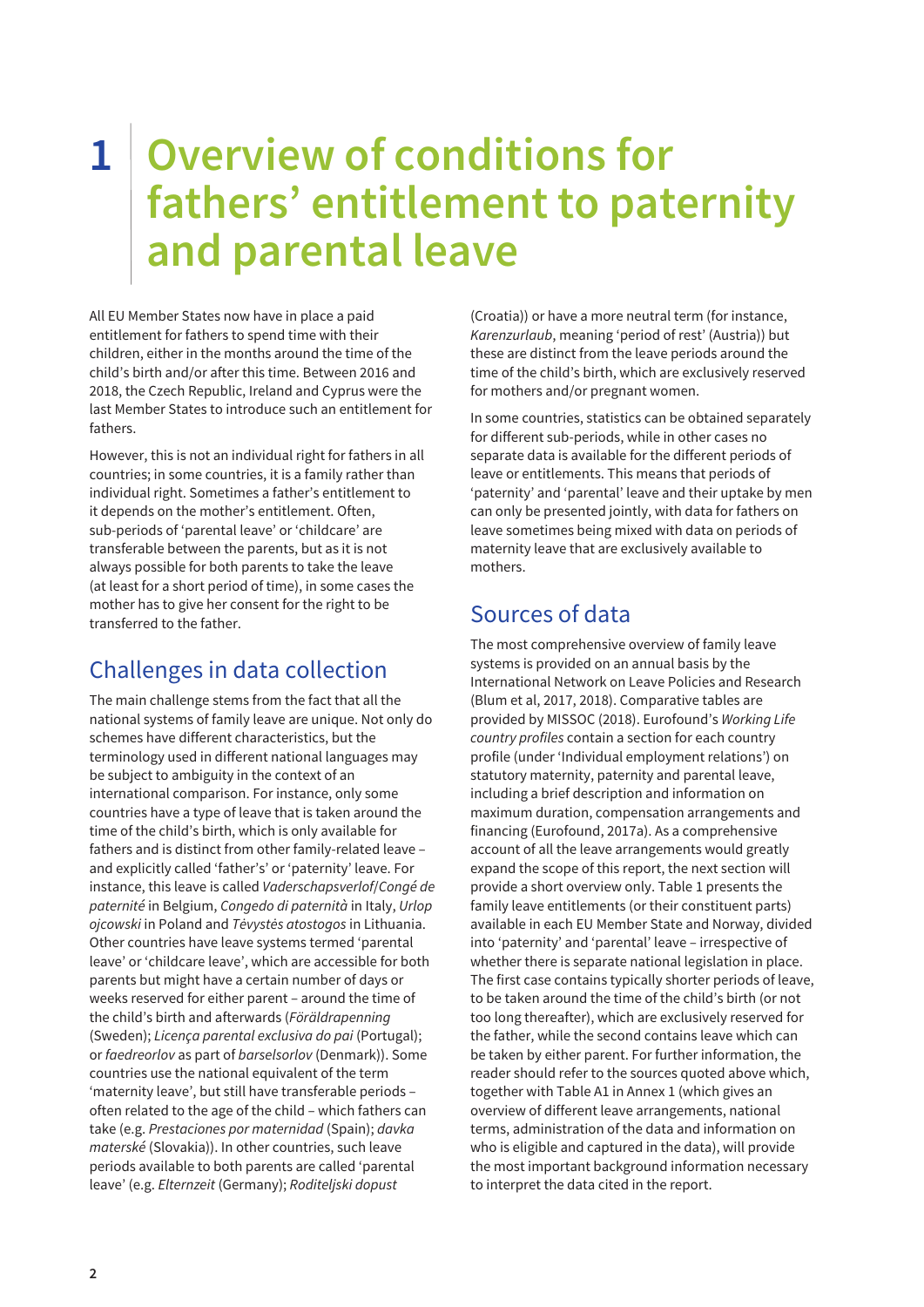## <span id="page-7-0"></span>**1 Overview of conditions for fathers' entitlement to paternity and parental leave**

All EU Member States now have in place a paid entitlement for fathers to spend time with their children, either in the months around the time of the child's birth and/or after this time. Between 2016 and 2018, the Czech Republic, Ireland and Cyprus were the last Member States to introduce such an entitlement for fathers.

However, this is not an individual right for fathers in all countries; in some countries, it is a family rather than individual right. Sometimes a father's entitlement to it depends on the mother's entitlement. Often, sub-periods of 'parental leave' or 'childcare' are transferable between the parents, but as it is not always possible for both parents to take the leave (at least for a short period of time), in some cases the mother has to give her consent for the right to be transferred to the father.

## Challenges in data collection

The main challenge stems from the fact that all the national systems of family leave are unique. Not only do schemes have different characteristics, but the terminology used in different national languages may be subject to ambiguity in the context of an international comparison. For instance, only some countries have a type of leave that is taken around the time of the child's birth, which is only available for fathers and is distinct from other family-related leave – and explicitly called 'father's' or 'paternity' leave. For instance, this leave is called Vaderschapsverlof/Congé de paternité in Belgium, Congedo di paternità in Italy, Urlop ojcowski in Poland and Tėvystės atostogos in Lithuania. Other countries have leave systems termed 'parental leave' or 'childcare leave', which are accessible for both parents but might have a certain number of days or weeks reserved for either parent – around the time of the child's birth and afterwards (Föräldrapenning (Sweden); Licença parental exclusiva do pai (Portugal); or faedreorlov as part of barselsorlov (Denmark)). Some countries use the national equivalent of the term 'maternity leave', but still have transferable periods – often related to the age of the child – which fathers can take (e.g. Prestaciones por maternidad (Spain); davka materské (Slovakia)). In other countries, such leave periods available to both parents are called 'parental leave' (e.g. Elternzeit (Germany); Roditeljski dopust

(Croatia)) or have a more neutral term (for instance, Karenzurlaub, meaning 'period of rest' (Austria)) but these are distinct from the leave periods around the time of the child's birth, which are exclusively reserved for mothers and/or pregnant women.

In some countries, statistics can be obtained separately for different sub-periods, while in other cases no separate data is available for the different periods of leave or entitlements. This means that periods of 'paternity' and 'parental' leave and their uptake by men can only be presented jointly, with data for fathers on leave sometimes being mixed with data on periods of maternity leave that are exclusively available to mothers.

## Sources of data

The most comprehensive overview of family leave systems is provided on an annual basis by the International Network on Leave Policies and Research (Blum et al, 2017, 2018). Comparative tables are provided by MISSOC (2018). Eurofound's Working Life country profiles contain a section for each country profile (under 'Individual employment relations') on statutory maternity, paternity and parental leave, including a brief description and information on maximum duration, compensation arrangements and financing (Eurofound, 2017a). As a comprehensive account of all the leave arrangements would greatly expand the scope of this report, the next section will provide a short overview only. Table 1 presents the family leave entitlements (or their constituent parts) available in each EU Member State and Norway, divided into 'paternity' and 'parental' leave – irrespective of whether there is separate national legislation in place. The first case contains typically shorter periods of leave, to be taken around the time of the child's birth (or not too long thereafter), which are exclusively reserved for the father, while the second contains leave which can be taken by either parent. For further information, the reader should refer to the sources quoted above which, together with Table A1 in Annex 1 (which gives an overview of different leave arrangements, national terms, administration of the data and information on who is eligible and captured in the data), will provide the most important background information necessary to interpret the data cited in the report.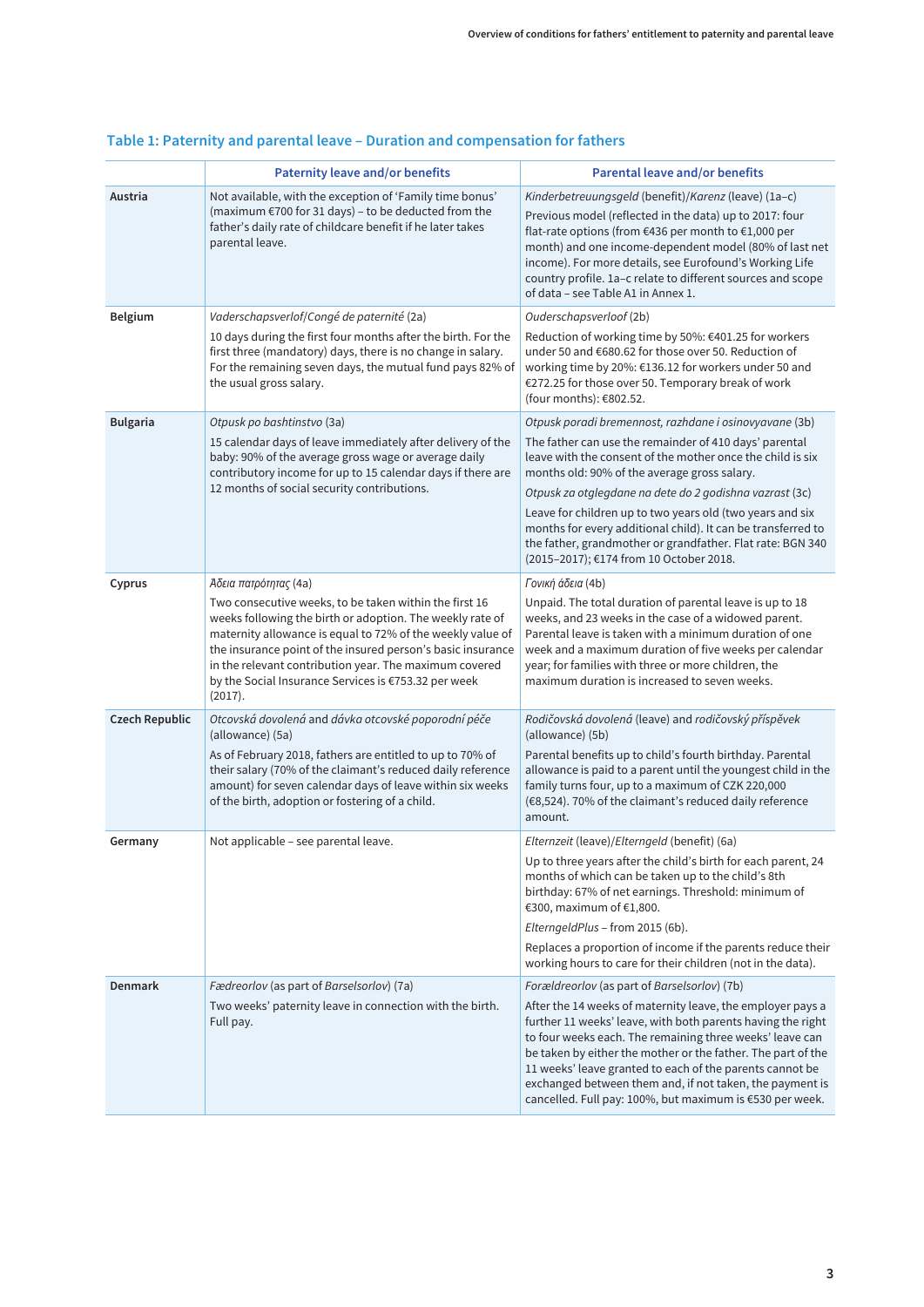|                       | <b>Paternity leave and/or benefits</b>                                                                                                                                                                                                                                                                                                                                                                 | <b>Parental leave and/or benefits</b>                                                                                                                                                                                                                                                                                                                                                                                                                                                                                           |  |  |  |  |
|-----------------------|--------------------------------------------------------------------------------------------------------------------------------------------------------------------------------------------------------------------------------------------------------------------------------------------------------------------------------------------------------------------------------------------------------|---------------------------------------------------------------------------------------------------------------------------------------------------------------------------------------------------------------------------------------------------------------------------------------------------------------------------------------------------------------------------------------------------------------------------------------------------------------------------------------------------------------------------------|--|--|--|--|
| Austria               | Not available, with the exception of 'Family time bonus'<br>(maximum €700 for 31 days) - to be deducted from the<br>father's daily rate of childcare benefit if he later takes<br>parental leave.                                                                                                                                                                                                      | Kinderbetreuungsgeld (benefit)/Karenz (leave) (1a-c)<br>Previous model (reflected in the data) up to 2017: four<br>flat-rate options (from €436 per month to €1,000 per<br>month) and one income-dependent model (80% of last net<br>income). For more details, see Eurofound's Working Life<br>country profile. 1a-c relate to different sources and scope<br>of data - see Table A1 in Annex 1.                                                                                                                               |  |  |  |  |
| Belgium               | Vaderschapsverlof/Congé de paternité (2a)<br>10 days during the first four months after the birth. For the<br>first three (mandatory) days, there is no change in salary.<br>For the remaining seven days, the mutual fund pays 82% of<br>the usual gross salary.                                                                                                                                      | Ouderschapsverloof (2b)<br>Reduction of working time by 50%: €401.25 for workers<br>under 50 and €680.62 for those over 50. Reduction of<br>working time by 20%: €136.12 for workers under 50 and<br>€272.25 for those over 50. Temporary break of work<br>(four months): €802.52.                                                                                                                                                                                                                                              |  |  |  |  |
| <b>Bulgaria</b>       | Otpusk po bashtinstvo (3a)<br>15 calendar days of leave immediately after delivery of the<br>baby: 90% of the average gross wage or average daily<br>contributory income for up to 15 calendar days if there are<br>12 months of social security contributions.                                                                                                                                        | Otpusk poradi bremennost, razhdane i osinovyavane (3b)<br>The father can use the remainder of 410 days' parental<br>leave with the consent of the mother once the child is six<br>months old: 90% of the average gross salary.<br>Otpusk za otglegdane na dete do 2 godishna vazrast (3c)<br>Leave for children up to two years old (two years and six<br>months for every additional child). It can be transferred to<br>the father, grandmother or grandfather. Flat rate: BGN 340<br>(2015-2017); €174 from 10 October 2018. |  |  |  |  |
| Cyprus                | Άδεια πατρότητας (4a)<br>Two consecutive weeks, to be taken within the first 16<br>weeks following the birth or adoption. The weekly rate of<br>maternity allowance is equal to 72% of the weekly value of<br>the insurance point of the insured person's basic insurance<br>in the relevant contribution year. The maximum covered<br>by the Social Insurance Services is €753.32 per week<br>(2017). | Γονική άδεια (4b)<br>Unpaid. The total duration of parental leave is up to 18<br>weeks, and 23 weeks in the case of a widowed parent.<br>Parental leave is taken with a minimum duration of one<br>week and a maximum duration of five weeks per calendar<br>year; for families with three or more children, the<br>maximum duration is increased to seven weeks.                                                                                                                                                               |  |  |  |  |
| <b>Czech Republic</b> | Otcovská dovolená and dávka otcovské poporodní péče<br>(allowance) (5a)<br>As of February 2018, fathers are entitled to up to 70% of<br>their salary (70% of the claimant's reduced daily reference<br>amount) for seven calendar days of leave within six weeks<br>of the birth, adoption or fostering of a child.                                                                                    | Rodičovská dovolená (leave) and rodičovský příspěvek<br>(allowance) (5b)<br>Parental benefits up to child's fourth birthday. Parental<br>allowance is paid to a parent until the youngest child in the<br>family turns four, up to a maximum of CZK 220,000<br>(€8,524). 70% of the claimant's reduced daily reference<br>amount.                                                                                                                                                                                               |  |  |  |  |
| Germany               | Not applicable - see parental leave.                                                                                                                                                                                                                                                                                                                                                                   | Elternzeit (leave)/Elterngeld (benefit) (6a)<br>Up to three years after the child's birth for each parent, 24<br>months of which can be taken up to the child's 8th<br>birthday: 67% of net earnings. Threshold: minimum of<br>€300, maximum of €1,800.<br>ElterngeldPlus - from 2015 (6b).<br>Replaces a proportion of income if the parents reduce their<br>working hours to care for their children (not in the data).                                                                                                       |  |  |  |  |
| Denmark               | Fædreorlov (as part of Barselsorlov) (7a)<br>Two weeks' paternity leave in connection with the birth.<br>Full pay.                                                                                                                                                                                                                                                                                     | Forældreorlov (as part of Barselsorlov) (7b)<br>After the 14 weeks of maternity leave, the employer pays a<br>further 11 weeks' leave, with both parents having the right<br>to four weeks each. The remaining three weeks' leave can<br>be taken by either the mother or the father. The part of the<br>11 weeks' leave granted to each of the parents cannot be<br>exchanged between them and, if not taken, the payment is<br>cancelled. Full pay: 100%, but maximum is €530 per week.                                       |  |  |  |  |

#### **Table 1: Paternity and parental leave – Duration and compensation for fathers**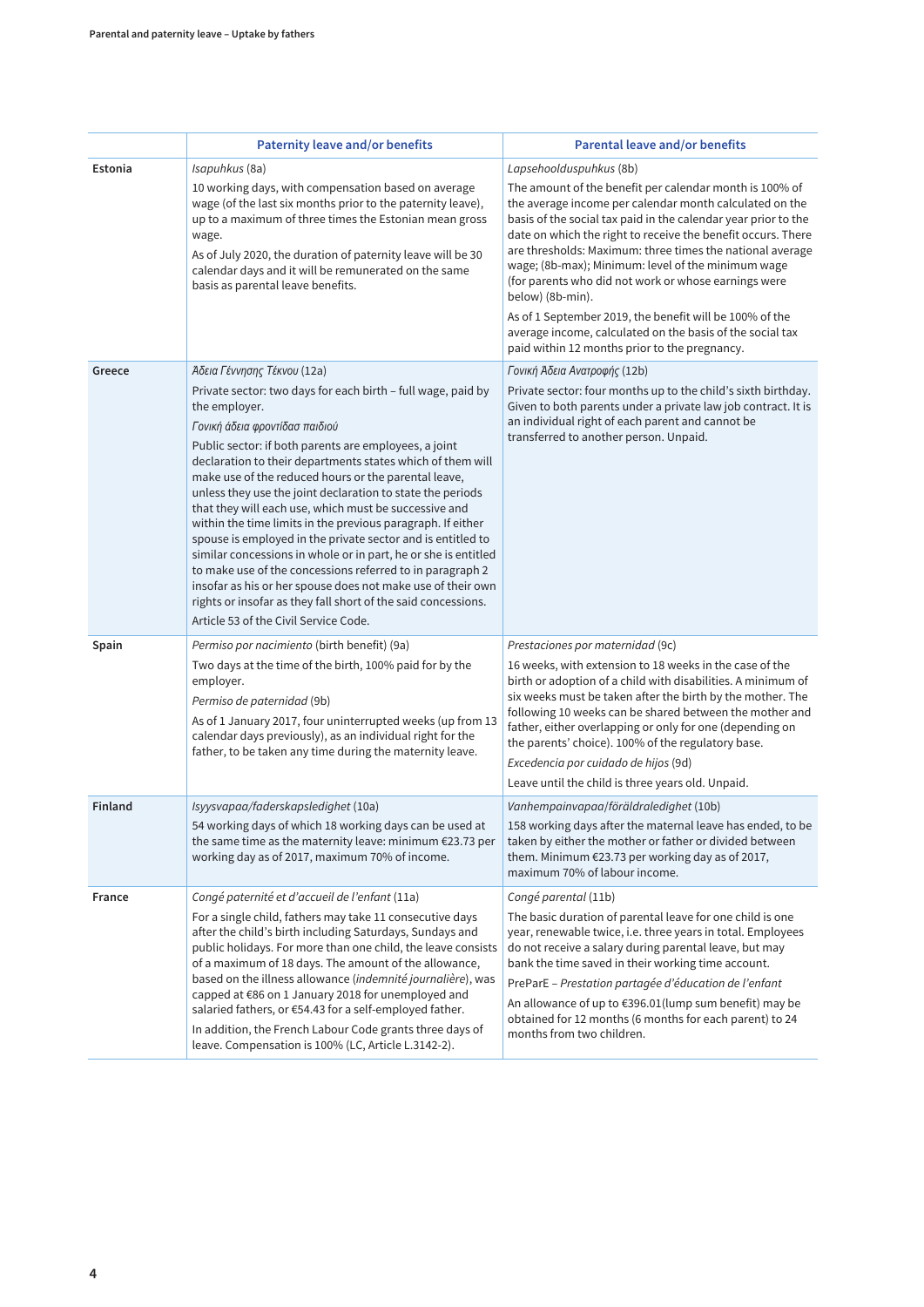|         | <b>Paternity leave and/or benefits</b>                                                                                                                                                                                                                                                                                                                                                                                                                                                                                                                                                                                                                                                                                                                                                                                                                      | <b>Parental leave and/or benefits</b>                                                                                                                                                                                                                                                                                                                                                                                                                                                                                                                                                                                        |  |  |  |
|---------|-------------------------------------------------------------------------------------------------------------------------------------------------------------------------------------------------------------------------------------------------------------------------------------------------------------------------------------------------------------------------------------------------------------------------------------------------------------------------------------------------------------------------------------------------------------------------------------------------------------------------------------------------------------------------------------------------------------------------------------------------------------------------------------------------------------------------------------------------------------|------------------------------------------------------------------------------------------------------------------------------------------------------------------------------------------------------------------------------------------------------------------------------------------------------------------------------------------------------------------------------------------------------------------------------------------------------------------------------------------------------------------------------------------------------------------------------------------------------------------------------|--|--|--|
| Estonia | Isapuhkus (8a)                                                                                                                                                                                                                                                                                                                                                                                                                                                                                                                                                                                                                                                                                                                                                                                                                                              | Lapsehoolduspuhkus (8b)                                                                                                                                                                                                                                                                                                                                                                                                                                                                                                                                                                                                      |  |  |  |
|         | 10 working days, with compensation based on average<br>wage (of the last six months prior to the paternity leave),<br>up to a maximum of three times the Estonian mean gross<br>wage.<br>As of July 2020, the duration of paternity leave will be 30<br>calendar days and it will be remunerated on the same<br>basis as parental leave benefits.                                                                                                                                                                                                                                                                                                                                                                                                                                                                                                           | The amount of the benefit per calendar month is 100% of<br>the average income per calendar month calculated on the<br>basis of the social tax paid in the calendar year prior to the<br>date on which the right to receive the benefit occurs. There<br>are thresholds: Maximum: three times the national average<br>wage; (8b-max); Minimum: level of the minimum wage<br>(for parents who did not work or whose earnings were<br>below) (8b-min).<br>As of 1 September 2019, the benefit will be 100% of the<br>average income, calculated on the basis of the social tax<br>paid within 12 months prior to the pregnancy. |  |  |  |
| Greece  | Άδεια Γέννησης Τέκνου (12a)                                                                                                                                                                                                                                                                                                                                                                                                                                                                                                                                                                                                                                                                                                                                                                                                                                 | Γονική Άδεια Ανατροφής (12b)                                                                                                                                                                                                                                                                                                                                                                                                                                                                                                                                                                                                 |  |  |  |
|         | Private sector: two days for each birth - full wage, paid by<br>the employer.<br>Γονική άδεια φροντίδασ παιδιού<br>Public sector: if both parents are employees, a joint<br>declaration to their departments states which of them will<br>make use of the reduced hours or the parental leave,<br>unless they use the joint declaration to state the periods<br>that they will each use, which must be successive and<br>within the time limits in the previous paragraph. If either<br>spouse is employed in the private sector and is entitled to<br>similar concessions in whole or in part, he or she is entitled<br>to make use of the concessions referred to in paragraph 2<br>insofar as his or her spouse does not make use of their own<br>rights or insofar as they fall short of the said concessions.<br>Article 53 of the Civil Service Code. | Private sector: four months up to the child's sixth birthday.<br>Given to both parents under a private law job contract. It is<br>an individual right of each parent and cannot be<br>transferred to another person. Unpaid.                                                                                                                                                                                                                                                                                                                                                                                                 |  |  |  |
| Spain   | Permiso por nacimiento (birth benefit) (9a)                                                                                                                                                                                                                                                                                                                                                                                                                                                                                                                                                                                                                                                                                                                                                                                                                 | Prestaciones por maternidad (9c)                                                                                                                                                                                                                                                                                                                                                                                                                                                                                                                                                                                             |  |  |  |
|         | Two days at the time of the birth, 100% paid for by the<br>employer.<br>Permiso de paternidad (9b)<br>As of 1 January 2017, four uninterrupted weeks (up from 13<br>calendar days previously), as an individual right for the<br>father, to be taken any time during the maternity leave.                                                                                                                                                                                                                                                                                                                                                                                                                                                                                                                                                                   | 16 weeks, with extension to 18 weeks in the case of the<br>birth or adoption of a child with disabilities. A minimum of<br>six weeks must be taken after the birth by the mother. The<br>following 10 weeks can be shared between the mother and<br>father, either overlapping or only for one (depending on<br>the parents' choice). 100% of the regulatory base.<br>Excedencia por cuidado de hijos (9d)<br>Leave until the child is three years old. Unpaid.                                                                                                                                                              |  |  |  |
| Finland | Isyysvapaa/faderskapsledighet (10a)                                                                                                                                                                                                                                                                                                                                                                                                                                                                                                                                                                                                                                                                                                                                                                                                                         | Vanhempainvapaa/föräldraledighet (10b)                                                                                                                                                                                                                                                                                                                                                                                                                                                                                                                                                                                       |  |  |  |
|         | 54 working days of which 18 working days can be used at<br>the same time as the maternity leave: minimum €23.73 per<br>working day as of 2017, maximum 70% of income.                                                                                                                                                                                                                                                                                                                                                                                                                                                                                                                                                                                                                                                                                       | 158 working days after the maternal leave has ended, to be<br>taken by either the mother or father or divided between<br>them. Minimum €23.73 per working day as of 2017,<br>maximum 70% of labour income.                                                                                                                                                                                                                                                                                                                                                                                                                   |  |  |  |
| France  | Congé paternité et d'accueil de l'enfant (11a)                                                                                                                                                                                                                                                                                                                                                                                                                                                                                                                                                                                                                                                                                                                                                                                                              | Congé parental (11b)                                                                                                                                                                                                                                                                                                                                                                                                                                                                                                                                                                                                         |  |  |  |
|         | For a single child, fathers may take 11 consecutive days<br>after the child's birth including Saturdays, Sundays and<br>public holidays. For more than one child, the leave consists<br>of a maximum of 18 days. The amount of the allowance,<br>based on the illness allowance (indemnité journalière), was<br>capped at €86 on 1 January 2018 for unemployed and<br>salaried fathers, or €54.43 for a self-employed father.<br>In addition, the French Labour Code grants three days of<br>leave. Compensation is 100% (LC, Article L.3142-2).                                                                                                                                                                                                                                                                                                            | The basic duration of parental leave for one child is one<br>year, renewable twice, i.e. three years in total. Employees<br>do not receive a salary during parental leave, but may<br>bank the time saved in their working time account.<br>PreParE - Prestation partagée d'éducation de l'enfant<br>An allowance of up to €396.01(lump sum benefit) may be<br>obtained for 12 months (6 months for each parent) to 24<br>months from two children.                                                                                                                                                                          |  |  |  |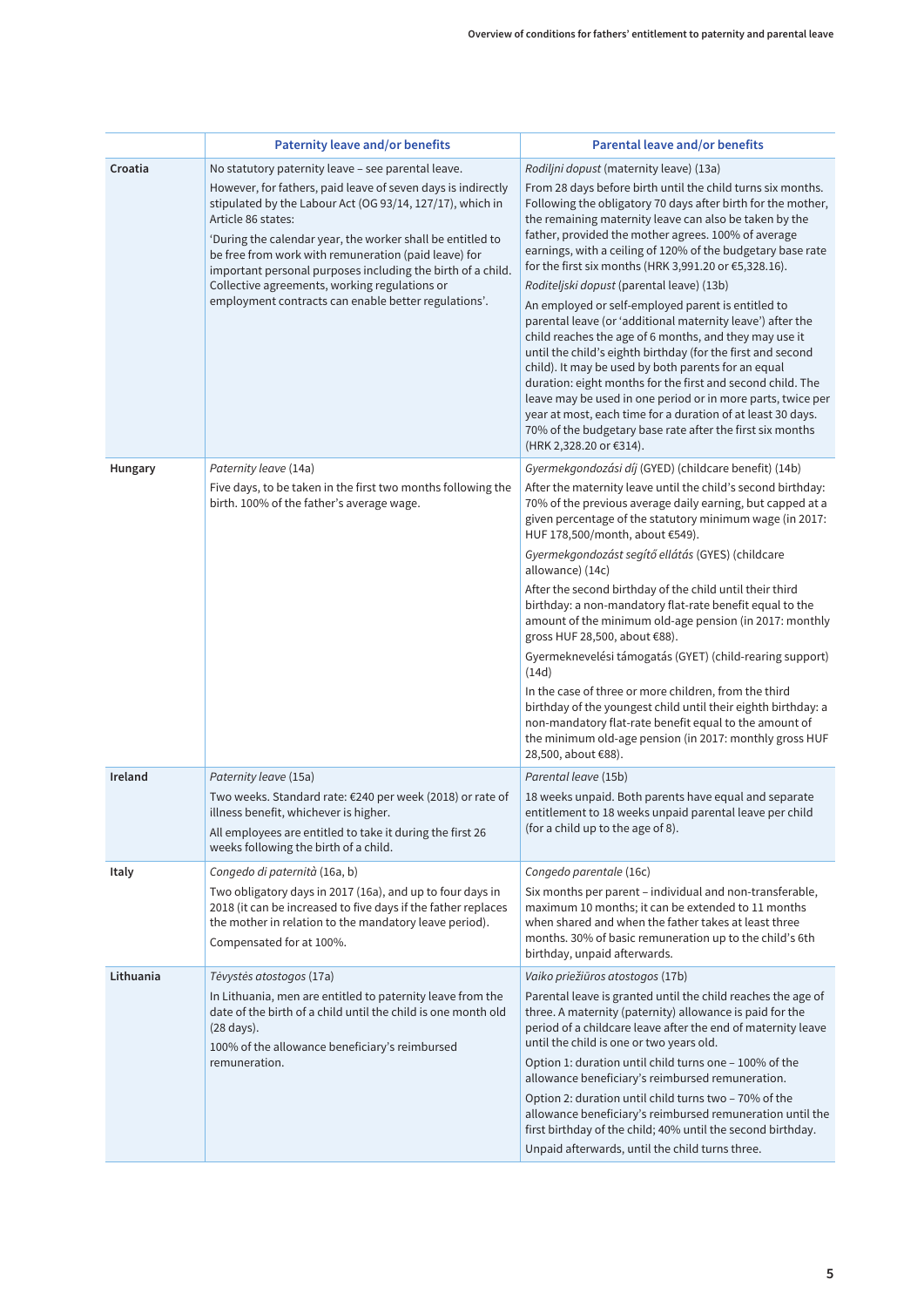|                | <b>Paternity leave and/or benefits</b>                                                                                                                                                                                                                                                                                                                                                                                                        | <b>Parental leave and/or benefits</b>                                                                                                                                                                                                                                                                                                                                                                                                                                                                                                                                                                                                                                                                                                                                                                                                                                                                                                                                                                     |  |  |  |
|----------------|-----------------------------------------------------------------------------------------------------------------------------------------------------------------------------------------------------------------------------------------------------------------------------------------------------------------------------------------------------------------------------------------------------------------------------------------------|-----------------------------------------------------------------------------------------------------------------------------------------------------------------------------------------------------------------------------------------------------------------------------------------------------------------------------------------------------------------------------------------------------------------------------------------------------------------------------------------------------------------------------------------------------------------------------------------------------------------------------------------------------------------------------------------------------------------------------------------------------------------------------------------------------------------------------------------------------------------------------------------------------------------------------------------------------------------------------------------------------------|--|--|--|
| Croatia        | No statutory paternity leave - see parental leave.                                                                                                                                                                                                                                                                                                                                                                                            | Rodiljni dopust (maternity leave) (13a)                                                                                                                                                                                                                                                                                                                                                                                                                                                                                                                                                                                                                                                                                                                                                                                                                                                                                                                                                                   |  |  |  |
|                | However, for fathers, paid leave of seven days is indirectly<br>stipulated by the Labour Act (OG 93/14, 127/17), which in<br>Article 86 states:<br>'During the calendar year, the worker shall be entitled to<br>be free from work with remuneration (paid leave) for<br>important personal purposes including the birth of a child.<br>Collective agreements, working regulations or<br>employment contracts can enable better regulations'. | From 28 days before birth until the child turns six months.<br>Following the obligatory 70 days after birth for the mother,<br>the remaining maternity leave can also be taken by the<br>father, provided the mother agrees. 100% of average<br>earnings, with a ceiling of 120% of the budgetary base rate<br>for the first six months (HRK 3,991.20 or €5,328.16).<br>Roditeljski dopust (parental leave) (13b)<br>An employed or self-employed parent is entitled to<br>parental leave (or 'additional maternity leave') after the<br>child reaches the age of 6 months, and they may use it<br>until the child's eighth birthday (for the first and second<br>child). It may be used by both parents for an equal<br>duration: eight months for the first and second child. The<br>leave may be used in one period or in more parts, twice per<br>year at most, each time for a duration of at least 30 days.<br>70% of the budgetary base rate after the first six months<br>(HRK 2,328.20 or €314). |  |  |  |
| <b>Hungary</b> | Paternity leave (14a)                                                                                                                                                                                                                                                                                                                                                                                                                         | Gyermekgondozási díj (GYED) (childcare benefit) (14b)                                                                                                                                                                                                                                                                                                                                                                                                                                                                                                                                                                                                                                                                                                                                                                                                                                                                                                                                                     |  |  |  |
|                | Five days, to be taken in the first two months following the<br>birth. 100% of the father's average wage.                                                                                                                                                                                                                                                                                                                                     | After the maternity leave until the child's second birthday:<br>70% of the previous average daily earning, but capped at a<br>given percentage of the statutory minimum wage (in 2017:<br>HUF 178,500/month, about €549).                                                                                                                                                                                                                                                                                                                                                                                                                                                                                                                                                                                                                                                                                                                                                                                 |  |  |  |
|                |                                                                                                                                                                                                                                                                                                                                                                                                                                               | Gyermekgondozást segítő ellátás (GYES) (childcare<br>allowance) (14c)                                                                                                                                                                                                                                                                                                                                                                                                                                                                                                                                                                                                                                                                                                                                                                                                                                                                                                                                     |  |  |  |
|                |                                                                                                                                                                                                                                                                                                                                                                                                                                               | After the second birthday of the child until their third<br>birthday: a non-mandatory flat-rate benefit equal to the<br>amount of the minimum old-age pension (in 2017: monthly<br>gross HUF 28,500, about €88).                                                                                                                                                                                                                                                                                                                                                                                                                                                                                                                                                                                                                                                                                                                                                                                          |  |  |  |
|                |                                                                                                                                                                                                                                                                                                                                                                                                                                               | Gyermeknevelési támogatás (GYET) (child-rearing support)<br>(14d)                                                                                                                                                                                                                                                                                                                                                                                                                                                                                                                                                                                                                                                                                                                                                                                                                                                                                                                                         |  |  |  |
|                |                                                                                                                                                                                                                                                                                                                                                                                                                                               | In the case of three or more children, from the third<br>birthday of the youngest child until their eighth birthday: a<br>non-mandatory flat-rate benefit equal to the amount of<br>the minimum old-age pension (in 2017: monthly gross HUF<br>28,500, about €88).                                                                                                                                                                                                                                                                                                                                                                                                                                                                                                                                                                                                                                                                                                                                        |  |  |  |
| Ireland        | Paternity leave (15a)                                                                                                                                                                                                                                                                                                                                                                                                                         | Parental leave (15b)                                                                                                                                                                                                                                                                                                                                                                                                                                                                                                                                                                                                                                                                                                                                                                                                                                                                                                                                                                                      |  |  |  |
|                | Two weeks. Standard rate: €240 per week (2018) or rate of<br>illness benefit, whichever is higher.<br>All employees are entitled to take it during the first 26<br>weeks following the birth of a child.                                                                                                                                                                                                                                      | 18 weeks unpaid. Both parents have equal and separate<br>entitlement to 18 weeks unpaid parental leave per child<br>(for a child up to the age of 8).                                                                                                                                                                                                                                                                                                                                                                                                                                                                                                                                                                                                                                                                                                                                                                                                                                                     |  |  |  |
| Italy          | Congedo di paternità (16a, b)                                                                                                                                                                                                                                                                                                                                                                                                                 | Congedo parentale (16c)                                                                                                                                                                                                                                                                                                                                                                                                                                                                                                                                                                                                                                                                                                                                                                                                                                                                                                                                                                                   |  |  |  |
|                | Two obligatory days in 2017 (16a), and up to four days in<br>2018 (it can be increased to five days if the father replaces<br>the mother in relation to the mandatory leave period).<br>Compensated for at 100%.                                                                                                                                                                                                                              | Six months per parent - individual and non-transferable,<br>maximum 10 months; it can be extended to 11 months<br>when shared and when the father takes at least three<br>months. 30% of basic remuneration up to the child's 6th<br>birthday, unpaid afterwards.                                                                                                                                                                                                                                                                                                                                                                                                                                                                                                                                                                                                                                                                                                                                         |  |  |  |
| Lithuania      | Tėvystės atostogos (17a)                                                                                                                                                                                                                                                                                                                                                                                                                      | Vaiko priežiūros atostogos (17b)                                                                                                                                                                                                                                                                                                                                                                                                                                                                                                                                                                                                                                                                                                                                                                                                                                                                                                                                                                          |  |  |  |
|                | In Lithuania, men are entitled to paternity leave from the<br>date of the birth of a child until the child is one month old<br>(28 days).<br>100% of the allowance beneficiary's reimbursed<br>remuneration.                                                                                                                                                                                                                                  | Parental leave is granted until the child reaches the age of<br>three. A maternity (paternity) allowance is paid for the<br>period of a childcare leave after the end of maternity leave<br>until the child is one or two years old.<br>Option 1: duration until child turns one - 100% of the<br>allowance beneficiary's reimbursed remuneration.<br>Option 2: duration until child turns two – 70% of the                                                                                                                                                                                                                                                                                                                                                                                                                                                                                                                                                                                               |  |  |  |
|                |                                                                                                                                                                                                                                                                                                                                                                                                                                               | allowance beneficiary's reimbursed remuneration until the<br>first birthday of the child; 40% until the second birthday.<br>Unpaid afterwards, until the child turns three.                                                                                                                                                                                                                                                                                                                                                                                                                                                                                                                                                                                                                                                                                                                                                                                                                               |  |  |  |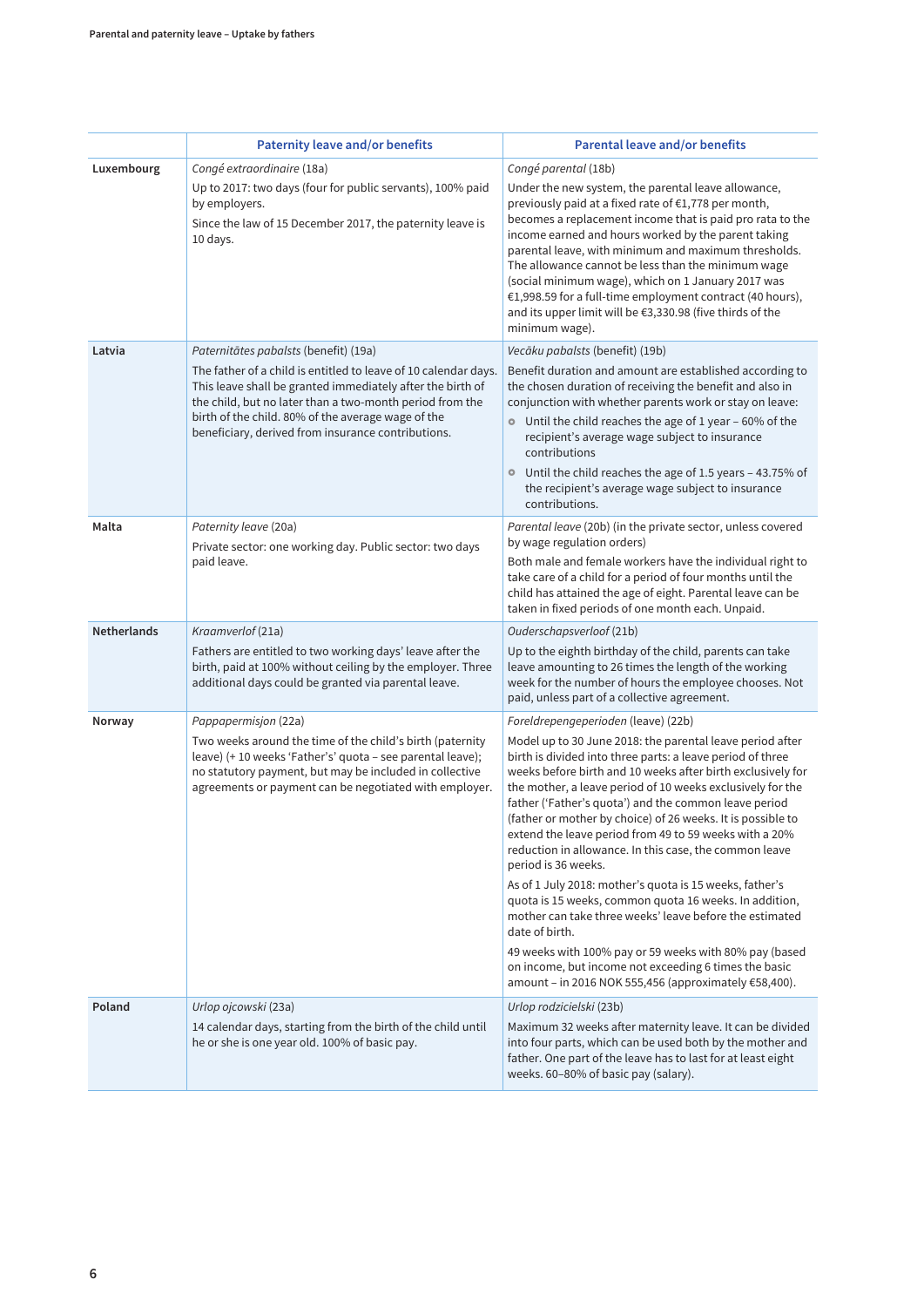|                    | <b>Paternity leave and/or benefits</b>                                                                                                                                                                                                                                                                                                         | <b>Parental leave and/or benefits</b>                                                                                                                                                                                                                                                                                                                                                                                                                                                                                                                                                                                                                                                                                                                                                                                                                                                                                                        |  |  |  |  |
|--------------------|------------------------------------------------------------------------------------------------------------------------------------------------------------------------------------------------------------------------------------------------------------------------------------------------------------------------------------------------|----------------------------------------------------------------------------------------------------------------------------------------------------------------------------------------------------------------------------------------------------------------------------------------------------------------------------------------------------------------------------------------------------------------------------------------------------------------------------------------------------------------------------------------------------------------------------------------------------------------------------------------------------------------------------------------------------------------------------------------------------------------------------------------------------------------------------------------------------------------------------------------------------------------------------------------------|--|--|--|--|
| Luxembourg         | Congé extraordinaire (18a)<br>Up to 2017: two days (four for public servants), 100% paid<br>by employers.<br>Since the law of 15 December 2017, the paternity leave is<br>10 days.                                                                                                                                                             | Congé parental (18b)<br>Under the new system, the parental leave allowance,<br>previously paid at a fixed rate of €1,778 per month,<br>becomes a replacement income that is paid pro rata to the<br>income earned and hours worked by the parent taking<br>parental leave, with minimum and maximum thresholds.<br>The allowance cannot be less than the minimum wage<br>(social minimum wage), which on 1 January 2017 was<br>€1,998.59 for a full-time employment contract (40 hours),<br>and its upper limit will be €3,330.98 (five thirds of the<br>minimum wage).                                                                                                                                                                                                                                                                                                                                                                      |  |  |  |  |
| Latvia             | Paternitātes pabalsts (benefit) (19a)<br>The father of a child is entitled to leave of 10 calendar days.<br>This leave shall be granted immediately after the birth of<br>the child, but no later than a two-month period from the<br>birth of the child. 80% of the average wage of the<br>beneficiary, derived from insurance contributions. | Vecāku pabalsts (benefit) (19b)<br>Benefit duration and amount are established according to<br>the chosen duration of receiving the benefit and also in<br>conjunction with whether parents work or stay on leave:<br>• Until the child reaches the age of 1 year - 60% of the<br>recipient's average wage subject to insurance<br>contributions<br>• Until the child reaches the age of 1.5 years - 43.75% of<br>the recipient's average wage subject to insurance<br>contributions.                                                                                                                                                                                                                                                                                                                                                                                                                                                        |  |  |  |  |
| Malta              | Paternity leave (20a)<br>Private sector: one working day. Public sector: two days<br>paid leave.                                                                                                                                                                                                                                               | Parental leave (20b) (in the private sector, unless covered<br>by wage regulation orders)<br>Both male and female workers have the individual right to<br>take care of a child for a period of four months until the<br>child has attained the age of eight. Parental leave can be<br>taken in fixed periods of one month each. Unpaid.                                                                                                                                                                                                                                                                                                                                                                                                                                                                                                                                                                                                      |  |  |  |  |
| <b>Netherlands</b> | Kraamverlof (21a)                                                                                                                                                                                                                                                                                                                              | Ouderschapsverloof (21b)                                                                                                                                                                                                                                                                                                                                                                                                                                                                                                                                                                                                                                                                                                                                                                                                                                                                                                                     |  |  |  |  |
|                    | Fathers are entitled to two working days' leave after the<br>birth, paid at 100% without ceiling by the employer. Three<br>additional days could be granted via parental leave.                                                                                                                                                                | Up to the eighth birthday of the child, parents can take<br>leave amounting to 26 times the length of the working<br>week for the number of hours the employee chooses. Not<br>paid, unless part of a collective agreement.                                                                                                                                                                                                                                                                                                                                                                                                                                                                                                                                                                                                                                                                                                                  |  |  |  |  |
| Norway             | Pappapermisjon (22a)<br>Two weeks around the time of the child's birth (paternity<br>leave) (+ 10 weeks 'Father's' quota - see parental leave);<br>no statutory payment, but may be included in collective<br>agreements or payment can be negotiated with employer.                                                                           | Foreldrepengeperioden (leave) (22b)<br>Model up to 30 June 2018: the parental leave period after<br>birth is divided into three parts: a leave period of three<br>weeks before birth and 10 weeks after birth exclusively for<br>the mother, a leave period of 10 weeks exclusively for the<br>father ('Father's quota') and the common leave period<br>(father or mother by choice) of 26 weeks. It is possible to<br>extend the leave period from 49 to 59 weeks with a 20%<br>reduction in allowance. In this case, the common leave<br>period is 36 weeks.<br>As of 1 July 2018: mother's quota is 15 weeks, father's<br>quota is 15 weeks, common quota 16 weeks. In addition,<br>mother can take three weeks' leave before the estimated<br>date of birth.<br>49 weeks with 100% pay or 59 weeks with 80% pay (based<br>on income, but income not exceeding 6 times the basic<br>amount - in 2016 NOK 555,456 (approximately €58,400). |  |  |  |  |
| Poland             | Urlop ojcowski (23a)<br>14 calendar days, starting from the birth of the child until<br>he or she is one year old. 100% of basic pay.                                                                                                                                                                                                          | Urlop rodzicielski (23b)<br>Maximum 32 weeks after maternity leave. It can be divided<br>into four parts, which can be used both by the mother and<br>father. One part of the leave has to last for at least eight<br>weeks. 60-80% of basic pay (salary).                                                                                                                                                                                                                                                                                                                                                                                                                                                                                                                                                                                                                                                                                   |  |  |  |  |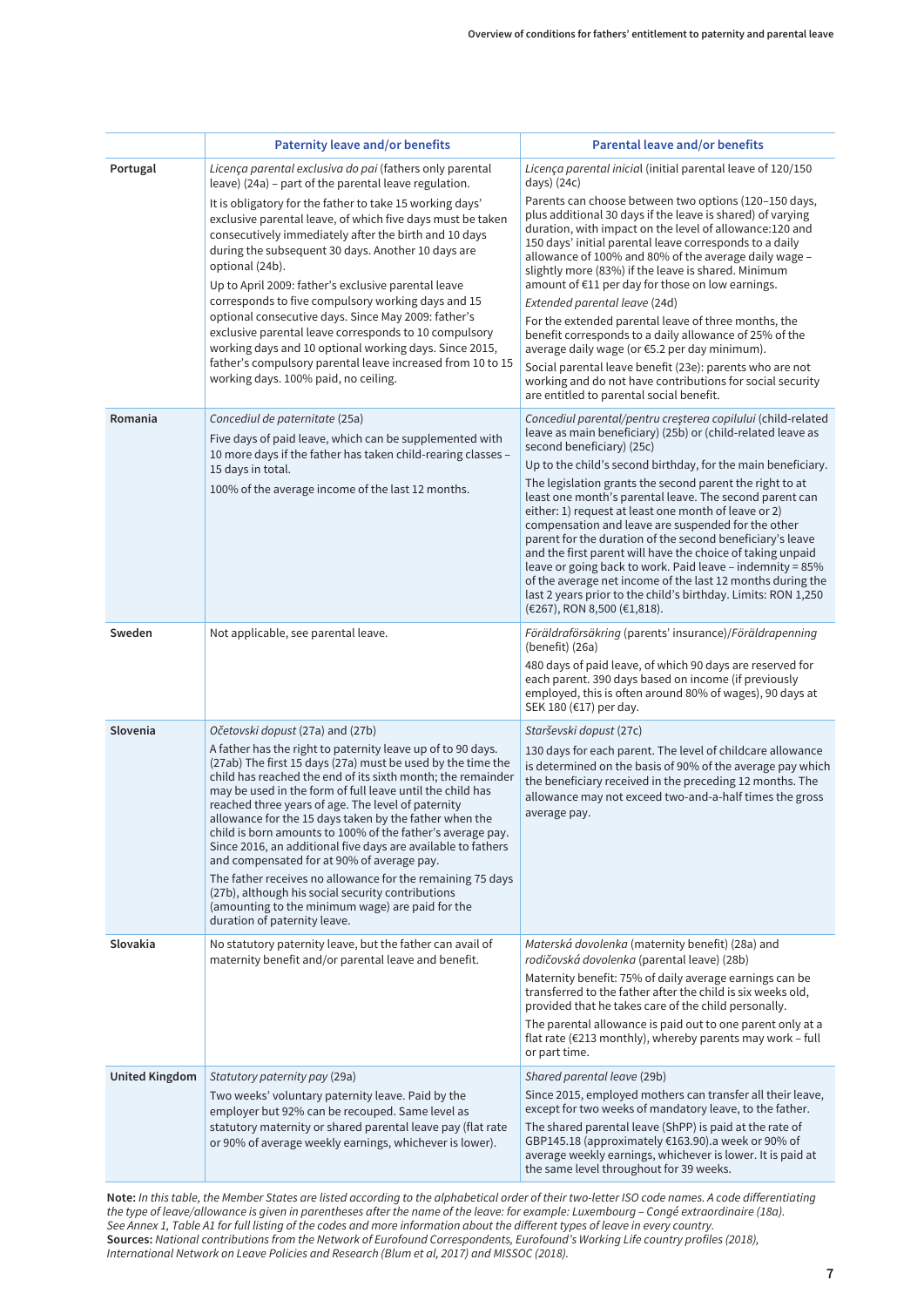|                       | <b>Paternity leave and/or benefits</b>                                                                                                                                                                                                                                                                                                                                                                                                                                                                                                                                                                                                                                                                                                                                                        | <b>Parental leave and/or benefits</b>                                                                                                                                                                                                                                                                                                                                                                                                                                                                                                                                                                                                                                                                                                                                                                                     |  |  |  |
|-----------------------|-----------------------------------------------------------------------------------------------------------------------------------------------------------------------------------------------------------------------------------------------------------------------------------------------------------------------------------------------------------------------------------------------------------------------------------------------------------------------------------------------------------------------------------------------------------------------------------------------------------------------------------------------------------------------------------------------------------------------------------------------------------------------------------------------|---------------------------------------------------------------------------------------------------------------------------------------------------------------------------------------------------------------------------------------------------------------------------------------------------------------------------------------------------------------------------------------------------------------------------------------------------------------------------------------------------------------------------------------------------------------------------------------------------------------------------------------------------------------------------------------------------------------------------------------------------------------------------------------------------------------------------|--|--|--|
| Portugal              | Licença parental exclusiva do pai (fathers only parental                                                                                                                                                                                                                                                                                                                                                                                                                                                                                                                                                                                                                                                                                                                                      | Licença parental inicial (initial parental leave of 120/150                                                                                                                                                                                                                                                                                                                                                                                                                                                                                                                                                                                                                                                                                                                                                               |  |  |  |
|                       | leave) (24a) - part of the parental leave regulation.<br>It is obligatory for the father to take 15 working days'<br>exclusive parental leave, of which five days must be taken<br>consecutively immediately after the birth and 10 days<br>during the subsequent 30 days. Another 10 days are<br>optional (24b).<br>Up to April 2009: father's exclusive parental leave<br>corresponds to five compulsory working days and 15<br>optional consecutive days. Since May 2009: father's<br>exclusive parental leave corresponds to 10 compulsory<br>working days and 10 optional working days. Since 2015,<br>father's compulsory parental leave increased from 10 to 15<br>working days. 100% paid, no ceiling.                                                                                | days) $(24c)$<br>Parents can choose between two options (120-150 days,<br>plus additional 30 days if the leave is shared) of varying<br>duration, with impact on the level of allowance:120 and<br>150 days' initial parental leave corresponds to a daily<br>allowance of 100% and 80% of the average daily wage -<br>slightly more (83%) if the leave is shared. Minimum<br>amount of €11 per day for those on low earnings.<br>Extended parental leave (24d)<br>For the extended parental leave of three months, the<br>benefit corresponds to a daily allowance of 25% of the<br>average daily wage (or €5.2 per day minimum).<br>Social parental leave benefit (23e): parents who are not<br>working and do not have contributions for social security<br>are entitled to parental social benefit.                   |  |  |  |
| Romania               | Concediul de paternitate (25a)<br>Five days of paid leave, which can be supplemented with<br>10 more days if the father has taken child-rearing classes -<br>15 days in total.<br>100% of the average income of the last 12 months.                                                                                                                                                                                                                                                                                                                                                                                                                                                                                                                                                           | Concediul parental/pentru creșterea copilului (child-related<br>leave as main beneficiary) (25b) or (child-related leave as<br>second beneficiary) (25c)<br>Up to the child's second birthday, for the main beneficiary.<br>The legislation grants the second parent the right to at<br>least one month's parental leave. The second parent can<br>either: 1) request at least one month of leave or 2)<br>compensation and leave are suspended for the other<br>parent for the duration of the second beneficiary's leave<br>and the first parent will have the choice of taking unpaid<br>leave or going back to work. Paid leave - indemnity = 85%<br>of the average net income of the last 12 months during the<br>last 2 years prior to the child's birthday. Limits: RON 1,250<br>$(€267)$ , RON 8,500 $(€1,818)$ . |  |  |  |
| Sweden                | Not applicable, see parental leave.                                                                                                                                                                                                                                                                                                                                                                                                                                                                                                                                                                                                                                                                                                                                                           | Föräldraförsäkring (parents' insurance)/Föräldrapenning<br>(benefit) (26a)<br>480 days of paid leave, of which 90 days are reserved for<br>each parent. 390 days based on income (if previously<br>employed, this is often around 80% of wages), 90 days at<br>SEK 180 (€17) per day.                                                                                                                                                                                                                                                                                                                                                                                                                                                                                                                                     |  |  |  |
| Slovenia              | Očetovski dopust (27a) and (27b)<br>A father has the right to paternity leave up of to 90 days.<br>(27ab) The first 15 days (27a) must be used by the time the<br>child has reached the end of its sixth month; the remainder<br>may be used in the form of full leave until the child has<br>reached three years of age. The level of paternity<br>allowance for the 15 days taken by the father when the<br>child is born amounts to 100% of the father's average pay.<br>Since 2016, an additional five days are available to fathers<br>and compensated for at 90% of average pay.<br>The father receives no allowance for the remaining 75 days<br>(27b), although his social security contributions<br>(amounting to the minimum wage) are paid for the<br>duration of paternity leave. | Starševski dopust (27c)<br>130 days for each parent. The level of childcare allowance<br>is determined on the basis of 90% of the average pay which<br>the beneficiary received in the preceding 12 months. The<br>allowance may not exceed two-and-a-half times the gross<br>average pay.                                                                                                                                                                                                                                                                                                                                                                                                                                                                                                                                |  |  |  |
| Slovakia              | No statutory paternity leave, but the father can avail of<br>maternity benefit and/or parental leave and benefit.                                                                                                                                                                                                                                                                                                                                                                                                                                                                                                                                                                                                                                                                             | Materská dovolenka (maternity benefit) (28a) and<br>rodičovská dovolenka (parental leave) (28b)<br>Maternity benefit: 75% of daily average earnings can be<br>transferred to the father after the child is six weeks old,<br>provided that he takes care of the child personally.<br>The parental allowance is paid out to one parent only at a<br>flat rate (€213 monthly), whereby parents may work - full<br>or part time.                                                                                                                                                                                                                                                                                                                                                                                             |  |  |  |
| <b>United Kingdom</b> | Statutory paternity pay (29a)<br>Two weeks' voluntary paternity leave. Paid by the<br>employer but 92% can be recouped. Same level as<br>statutory maternity or shared parental leave pay (flat rate<br>or 90% of average weekly earnings, whichever is lower).                                                                                                                                                                                                                                                                                                                                                                                                                                                                                                                               | Shared parental leave (29b)<br>Since 2015, employed mothers can transfer all their leave,<br>except for two weeks of mandatory leave, to the father.<br>The shared parental leave (ShPP) is paid at the rate of<br>GBP145.18 (approximately €163.90).a week or 90% of<br>average weekly earnings, whichever is lower. It is paid at<br>the same level throughout for 39 weeks.                                                                                                                                                                                                                                                                                                                                                                                                                                            |  |  |  |

**Note:** In this table, the Member States are listed according to the alphabetical order of their two-letter ISO code names. A code differentiating the type of leave/allowance is given in parentheses after the name of the leave: for example: Luxembourg – Congé extraordinaire (18a). See Annex 1, Table A1 for full listing of the codes and more information about the different types of leave in every country. **Sources:** National contributions from the Network of Eurofound Correspondents, Eurofound's Working Life country profiles (2018), International Network on Leave Policies and Research (Blum et al, 2017) and MISSOC (2018).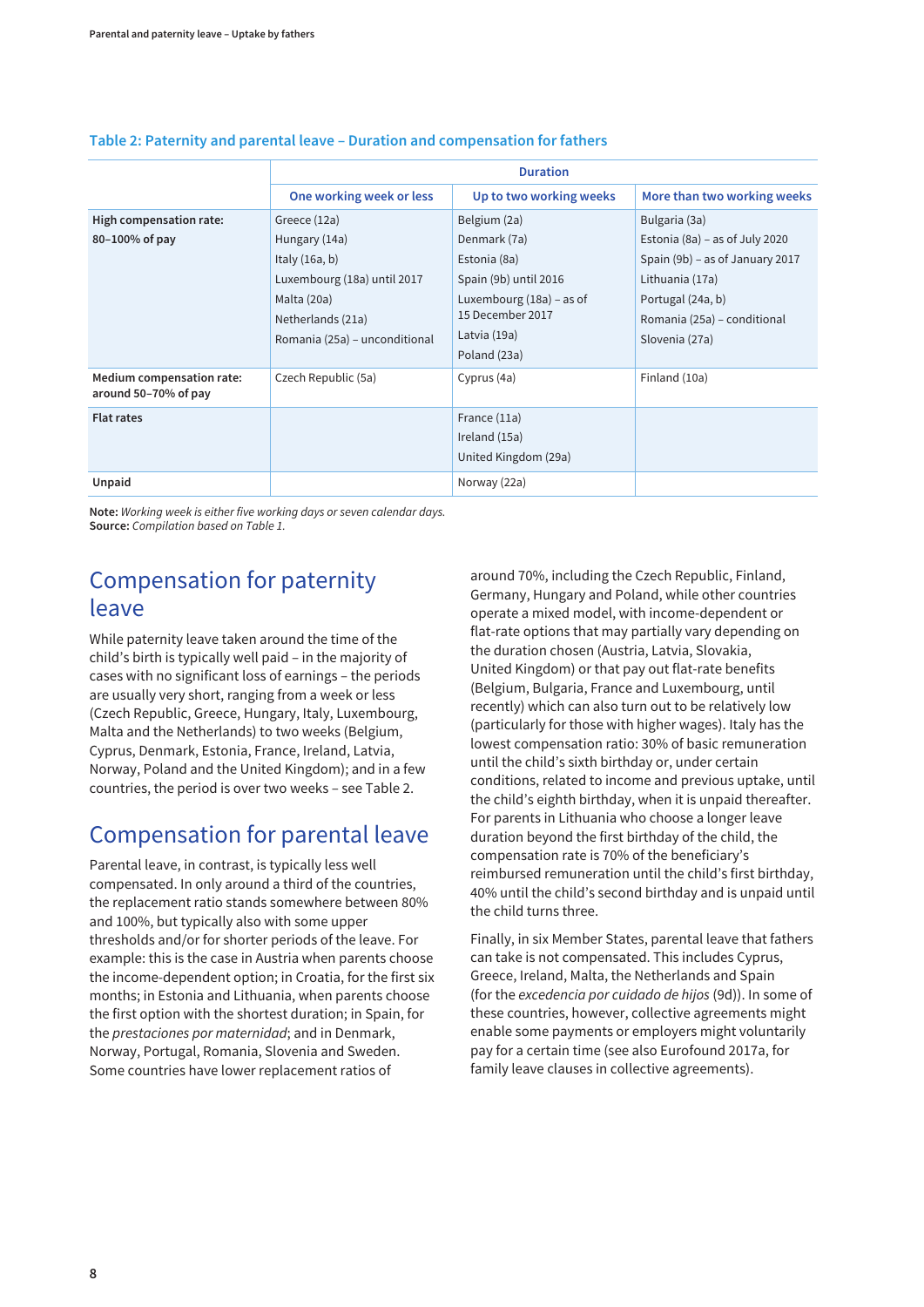|                                                   | <b>Duration</b>                                                                                                                                       |                                                                                                                                                         |                                                                                                                                                                             |  |  |  |  |  |  |
|---------------------------------------------------|-------------------------------------------------------------------------------------------------------------------------------------------------------|---------------------------------------------------------------------------------------------------------------------------------------------------------|-----------------------------------------------------------------------------------------------------------------------------------------------------------------------------|--|--|--|--|--|--|
|                                                   | One working week or less                                                                                                                              | Up to two working weeks                                                                                                                                 | More than two working weeks                                                                                                                                                 |  |  |  |  |  |  |
| High compensation rate:<br>80-100% of pay         | Greece (12a)<br>Hungary (14a)<br>Italy $(16a, b)$<br>Luxembourg (18a) until 2017<br>Malta (20a)<br>Netherlands (21a)<br>Romania (25a) – unconditional | Belgium (2a)<br>Denmark (7a)<br>Estonia (8a)<br>Spain (9b) until 2016<br>Luxembourg $(18a)$ – as of<br>15 December 2017<br>Latvia (19a)<br>Poland (23a) | Bulgaria (3a)<br>Estonia (8a) – as of July 2020<br>Spain (9b) - as of January 2017<br>Lithuania (17a)<br>Portugal (24a, b)<br>Romania (25a) - conditional<br>Slovenia (27a) |  |  |  |  |  |  |
| Medium compensation rate:<br>around 50-70% of pay | Czech Republic (5a)                                                                                                                                   | Cyprus (4a)                                                                                                                                             | Finland (10a)                                                                                                                                                               |  |  |  |  |  |  |
| <b>Flat rates</b>                                 |                                                                                                                                                       | France (11a)<br>Ireland (15a)<br>United Kingdom (29a)                                                                                                   |                                                                                                                                                                             |  |  |  |  |  |  |
| Unpaid                                            |                                                                                                                                                       | Norway (22a)                                                                                                                                            |                                                                                                                                                                             |  |  |  |  |  |  |

#### <span id="page-13-0"></span>**Table 2: Paternity and parental leave – Duration and compensation for fathers**

**Note:** Working week is either five working days or seven calendar days. **Source:** Compilation based on Table 1.

## Compensation for paternity leave

While paternity leave taken around the time of the child's birth is typically well paid – in the majority of cases with no significant loss of earnings – the periods are usually very short, ranging from a week or less (Czech Republic, Greece, Hungary, Italy, Luxembourg, Malta and the Netherlands) to two weeks (Belgium, Cyprus, Denmark, Estonia, France, Ireland, Latvia, Norway, Poland and the United Kingdom); and in a few countries, the period is over two weeks – see Table 2.

### Compensation for parental leave

Parental leave, in contrast, is typically less well compensated. In only around a third of the countries, the replacement ratio stands somewhere between 80% and 100%, but typically also with some upper thresholds and/or for shorter periods of the leave. For example: this is the case in Austria when parents choose the income-dependent option; in Croatia, for the first six months; in Estonia and Lithuania, when parents choose the first option with the shortest duration; in Spain, for the prestaciones por maternidad; and in Denmark, Norway, Portugal, Romania, Slovenia and Sweden. Some countries have lower replacement ratios of

around 70%, including the Czech Republic, Finland, Germany, Hungary and Poland, while other countries operate a mixed model, with income-dependent or flat-rate options that may partially vary depending on the duration chosen (Austria, Latvia, Slovakia, United Kingdom) or that pay out flat-rate benefits (Belgium, Bulgaria, France and Luxembourg, until recently) which can also turn out to be relatively low (particularly for those with higher wages). Italy has the lowest compensation ratio: 30% of basic remuneration until the child's sixth birthday or, under certain conditions, related to income and previous uptake, until the child's eighth birthday, when it is unpaid thereafter. For parents in Lithuania who choose a longer leave duration beyond the first birthday of the child, the compensation rate is 70% of the beneficiary's reimbursed remuneration until the child's first birthday, 40% until the child's second birthday and is unpaid until the child turns three.

Finally, in six Member States, parental leave that fathers can take is not compensated. This includes Cyprus, Greece, Ireland, Malta, the Netherlands and Spain (for the excedencia por cuidado de hijos (9d)). In some of these countries, however, collective agreements might enable some payments or employers might voluntarily pay for a certain time (see also Eurofound 2017a, for family leave clauses in collective agreements).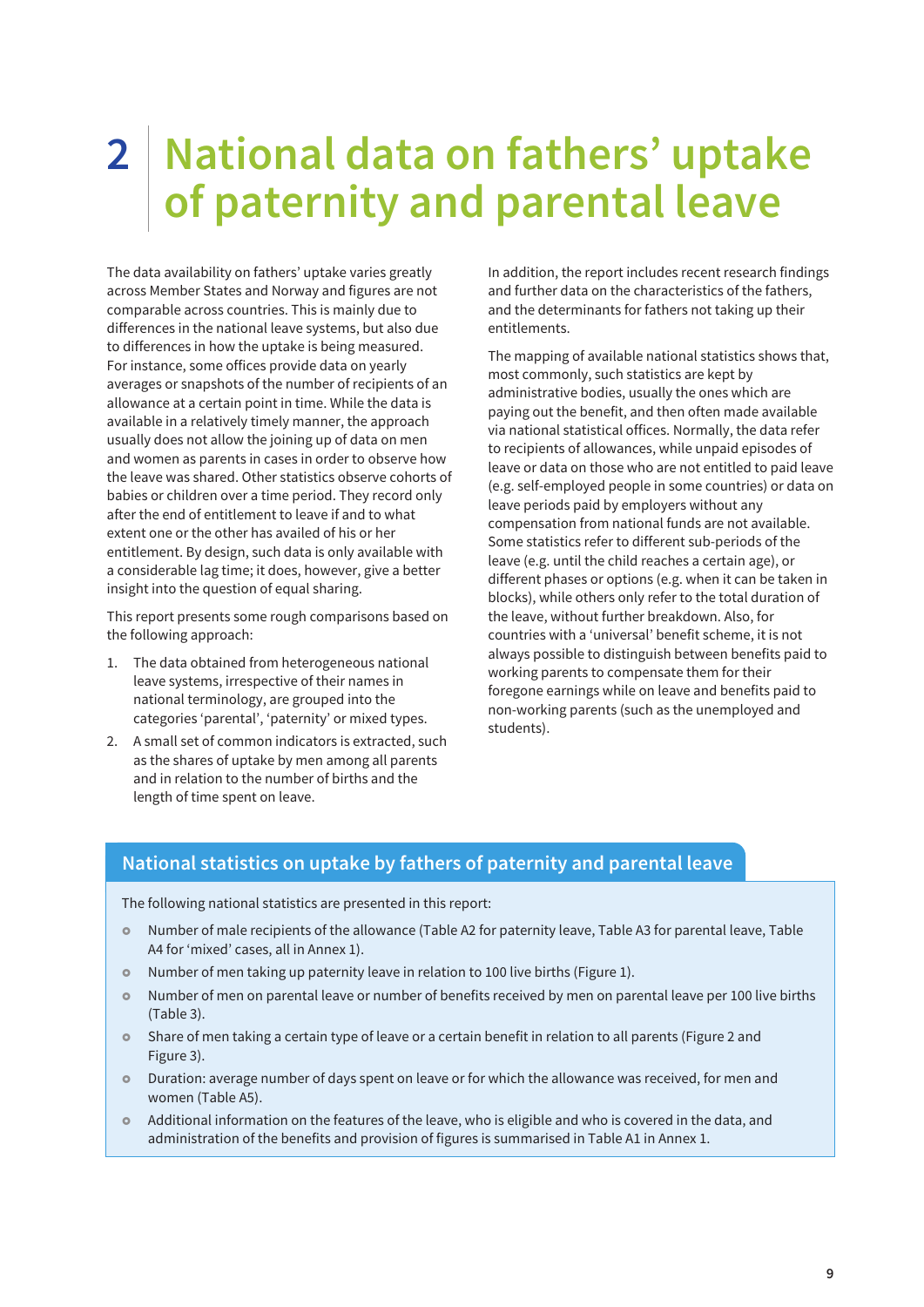## <span id="page-14-0"></span>**2 National data on fathers' uptake of paternity and parental leave**

The data availability on fathers' uptake varies greatly across Member States and Norway and figures are not comparable across countries. This is mainly due to differences in the national leave systems, but also due to differences in how the uptake is being measured. For instance, some offices provide data on yearly averages or snapshots of the number of recipients of an allowance at a certain point in time. While the data is available in a relatively timely manner, the approach usually does not allow the joining up of data on men and women as parents in cases in order to observe how the leave was shared. Other statistics observe cohorts of babies or children over a time period. They record only after the end of entitlement to leave if and to what extent one or the other has availed of his or her entitlement. By design, such data is only available with a considerable lag time; it does, however, give a better insight into the question of equal sharing.

This report presents some rough comparisons based on the following approach:

- 1. The data obtained from heterogeneous national leave systems, irrespective of their names in national terminology, are grouped into the categories 'parental', 'paternity' or mixed types.
- 2. A small set of common indicators is extracted, such as the shares of uptake by men among all parents and in relation to the number of births and the length of time spent on leave.

In addition, the report includes recent research findings and further data on the characteristics of the fathers, and the determinants for fathers not taking up their entitlements.

The mapping of available national statistics shows that, most commonly, such statistics are kept by administrative bodies, usually the ones which are paying out the benefit, and then often made available via national statistical offices. Normally, the data refer to recipients of allowances, while unpaid episodes of leave or data on those who are not entitled to paid leave (e.g. self-employed people in some countries) or data on leave periods paid by employers without any compensation from national funds are not available. Some statistics refer to different sub-periods of the leave (e.g. until the child reaches a certain age), or different phases or options (e.g. when it can be taken in blocks), while others only refer to the total duration of the leave, without further breakdown. Also, for countries with a 'universal' benefit scheme, it is not always possible to distinguish between benefits paid to working parents to compensate them for their foregone earnings while on leave and benefits paid to non-working parents (such as the unemployed and students).

#### **National statistics on uptake by fathers of paternity and parental leave**

The following national statistics are presented in this report:

- £ Number of male recipients of the allowance (Table A2 for paternity leave, Table A3 for parental leave, Table A4 for 'mixed' cases, all in Annex 1).
- Number of men taking up paternity leave in relation to 100 live births (Figure 1).
- Number of men on parental leave or number of benefits received by men on parental leave per 100 live births (Table 3).
- **•** Share of men taking a certain type of leave or a certain benefit in relation to all parents (Figure 2 and Figure 3).
- **Duration: average number of days spent on leave or for which the allowance was received, for men and** women (Table A5).
- Additional information on the features of the leave, who is eligible and who is covered in the data, and administration of the benefits and provision of figures is summarised in Table A1 in Annex 1.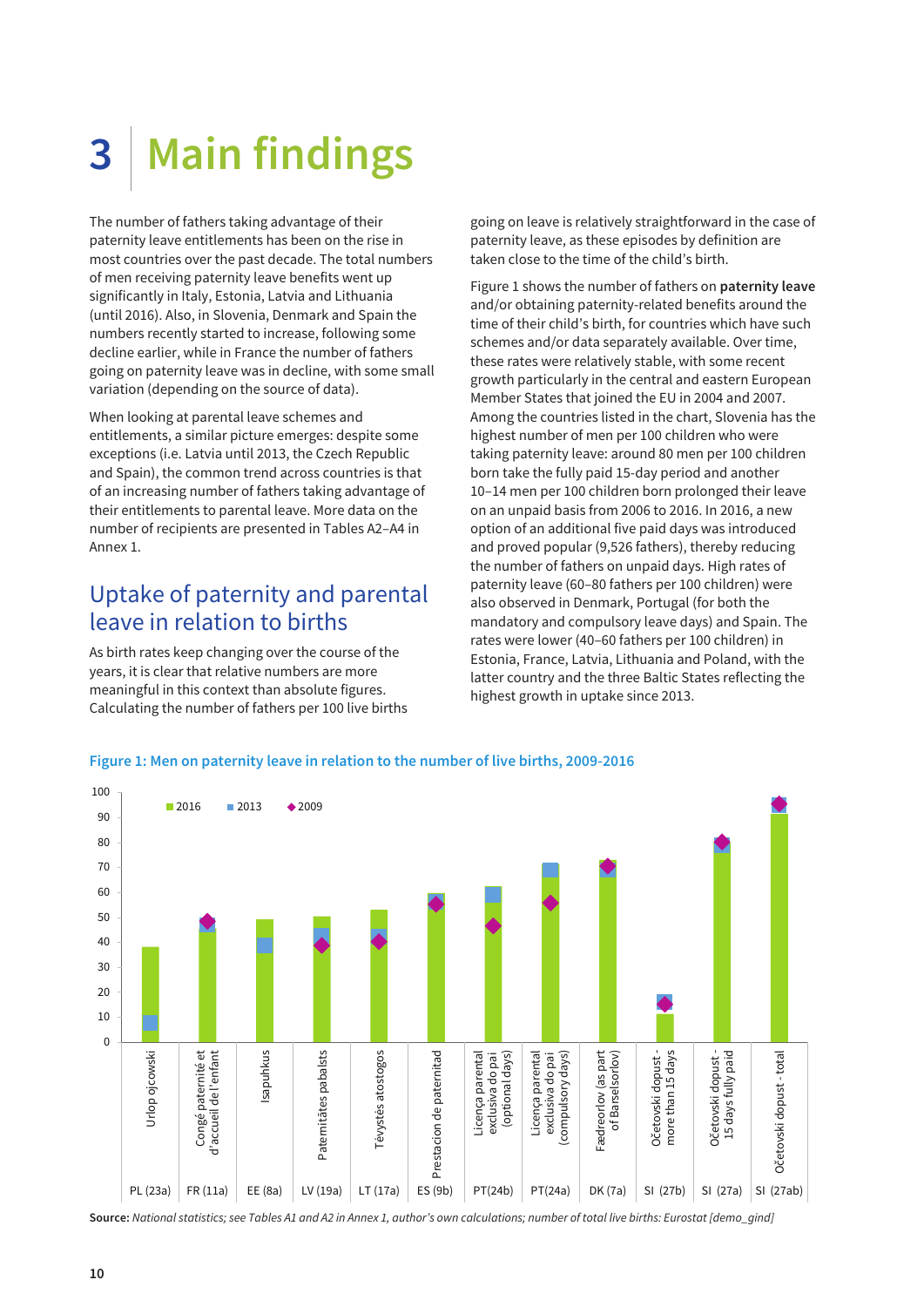# <span id="page-15-0"></span>**3 Main findings**

The number of fathers taking advantage of their paternity leave entitlements has been on the rise in most countries over the past decade. The total numbers of men receiving paternity leave benefits went up significantly in Italy, Estonia, Latvia and Lithuania (until 2016). Also, in Slovenia, Denmark and Spain the numbers recently started to increase, following some decline earlier, while in France the number of fathers going on paternity leave was in decline, with some small variation (depending on the source of data).

When looking at parental leave schemes and entitlements, a similar picture emerges: despite some exceptions (i.e. Latvia until 2013, the Czech Republic and Spain), the common trend across countries is that of an increasing number of fathers taking advantage of their entitlements to parental leave. More data on the number of recipients are presented in Tables A2–A4 in Annex 1.

### Uptake of paternity and parental leave in relation to births

As birth rates keep changing over the course of the years, it is clear that relative numbers are more meaningful in this context than absolute figures. Calculating the number of fathers per 100 live births

going on leave is relatively straightforward in the case of paternity leave, as these episodes by definition are taken close to the time of the child's birth.

Figure 1 shows the number of fathers on **paternity leave** and/or obtaining paternity-related benefits around the time of their child's birth, for countries which have such schemes and/or data separately available. Over time, these rates were relatively stable, with some recent growth particularly in the central and eastern European Member States that joined the EU in 2004 and 2007. Among the countries listed in the chart, Slovenia has the highest number of men per 100 children who were taking paternity leave: around 80 men per 100 children born take the fully paid 15-day period and another 10–14 men per 100 children born prolonged their leave on an unpaid basis from 2006 to 2016. In 2016, a new option of an additional five paid days was introduced and proved popular (9,526 fathers), thereby reducing the number of fathers on unpaid days. High rates of paternity leave (60–80 fathers per 100 children) were also observed in Denmark, Portugal (for both the mandatory and compulsory leave days) and Spain. The rates were lower (40–60 fathers per 100 children) in Estonia, France, Latvia, Lithuania and Poland, with the latter country and the three Baltic States reflecting the highest growth in uptake since 2013.



#### **Figure 1: Men on paternity leave in relation to the number of live births, 2009-2016**

**Source:** National statistics; see Tables A1 and A2 in Annex 1, author's own calculations; number of total live births: Eurostat [demo\_gind]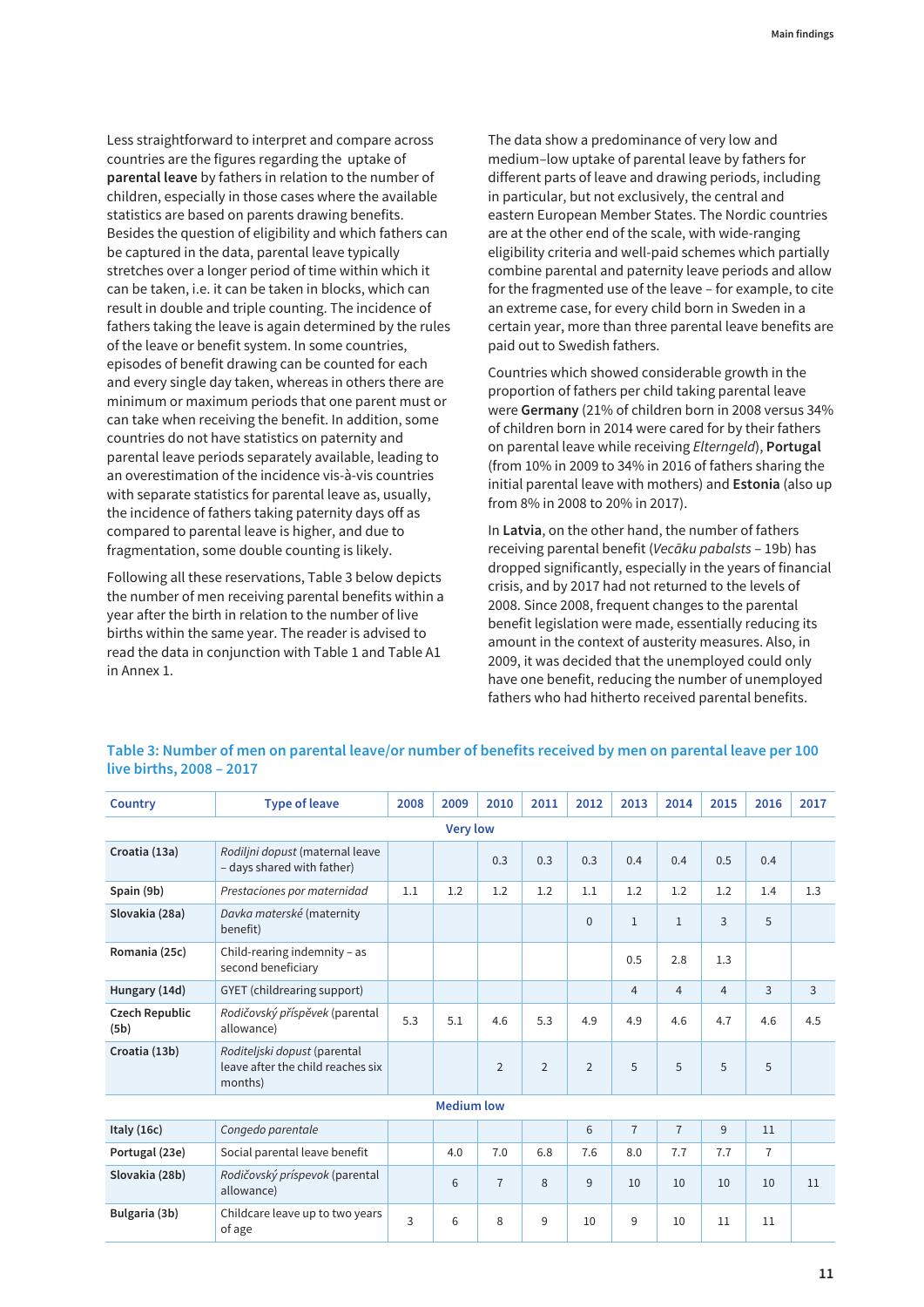Less straightforward to interpret and compare across countries are the figures regarding the uptake of **parental leave** by fathers in relation to the number of children, especially in those cases where the available statistics are based on parents drawing benefits. Besides the question of eligibility and which fathers can be captured in the data, parental leave typically stretches over a longer period of time within which it can be taken, i.e. it can be taken in blocks, which can result in double and triple counting. The incidence of fathers taking the leave is again determined by the rules of the leave or benefit system. In some countries, episodes of benefit drawing can be counted for each and every single day taken, whereas in others there are minimum or maximum periods that one parent must or can take when receiving the benefit. In addition, some countries do not have statistics on paternity and parental leave periods separately available, leading to an overestimation of the incidence vis-à-vis countries with separate statistics for parental leave as, usually, the incidence of fathers taking paternity days off as compared to parental leave is higher, and due to fragmentation, some double counting is likely.

Following all these reservations, Table 3 below depicts the number of men receiving parental benefits within a year after the birth in relation to the number of live births within the same year. The reader is advised to read the data in conjunction with Table 1 and Table A1 in Annex 1.

The data show a predominance of very low and medium–low uptake of parental leave by fathers for different parts of leave and drawing periods, including in particular, but not exclusively, the central and eastern European Member States. The Nordic countries are at the other end of the scale, with wide-ranging eligibility criteria and well-paid schemes which partially combine parental and paternity leave periods and allow for the fragmented use of the leave – for example, to cite an extreme case, for every child born in Sweden in a certain year, more than three parental leave benefits are paid out to Swedish fathers.

Countries which showed considerable growth in the proportion of fathers per child taking parental leave were **Germany** (21% of children born in 2008 versus 34% of children born in 2014 were cared for by their fathers on parental leave while receiving Elterngeld), **Portugal** (from 10% in 2009 to 34% in 2016 of fathers sharing the initial parental leave with mothers) and **Estonia** (also up from 8% in 2008 to 20% in 2017).

In **Latvia**, on the other hand, the number of fathers receiving parental benefit (Vecāku pabalsts – 19b) has dropped significantly, especially in the years of financial crisis, and by 2017 had not returned to the levels of 2008. Since 2008, frequent changes to the parental benefit legislation were made, essentially reducing its amount in the context of austerity measures. Also, in 2009, it was decided that the unemployed could only have one benefit, reducing the number of unemployed fathers who had hitherto received parental benefits.

| <b>Country</b>         | <b>Type of leave</b>                                                         | 2008 | 2009              | 2010           | 2011           | 2012           | 2013           | 2014           | 2015           | 2016           | 2017 |
|------------------------|------------------------------------------------------------------------------|------|-------------------|----------------|----------------|----------------|----------------|----------------|----------------|----------------|------|
| <b>Very low</b>        |                                                                              |      |                   |                |                |                |                |                |                |                |      |
| Croatia (13a)          | Rodiljni dopust (maternal leave<br>- days shared with father)                |      |                   | 0.3            | 0.3            | 0.3            | 0.4            | 0.4            | 0.5            | 0.4            |      |
| Spain (9b)             | Prestaciones por maternidad                                                  | 1.1  | 1.2               | 1.2            | 1.2            | 1.1            | 1.2            | 1.2            | 1.2            | 1.4            | 1.3  |
| Slovakia (28a)         | Davka materské (maternity<br>benefit)                                        |      |                   |                |                | $\mathbf{0}$   | $\mathbf{1}$   | $\mathbf{1}$   | 3              | 5              |      |
| Romania (25c)          | Child-rearing indemnity - as<br>second beneficiary                           |      |                   |                |                |                | 0.5            | 2.8            | 1.3            |                |      |
| Hungary (14d)          | GYET (childrearing support)                                                  |      |                   |                |                |                | $\overline{4}$ | $\overline{4}$ | $\overline{4}$ | $\overline{3}$ | 3    |
| Czech Republic<br>(5b) | Rodičovský příspěvek (parental<br>allowance)                                 | 5.3  | 5.1               | 4.6            | 5.3            | 4.9            | 4.9            | 4.6            | 4.7            | 4.6            | 4.5  |
| Croatia (13b)          | Roditeljski dopust (parental<br>leave after the child reaches six<br>months) |      |                   | $\overline{2}$ | $\overline{2}$ | $\overline{2}$ | 5              | 5              | 5              | 5              |      |
|                        |                                                                              |      | <b>Medium low</b> |                |                |                |                |                |                |                |      |
| Italy $(16c)$          | Congedo parentale                                                            |      |                   |                |                | 6              | $\overline{7}$ | $\overline{7}$ | 9              | 11             |      |
| Portugal (23e)         | Social parental leave benefit                                                |      | 4.0               | 7.0            | 6.8            | 7.6            | 8.0            | 7.7            | 7.7            | $\overline{7}$ |      |
| Slovakia (28b)         | Rodičovský príspevok (parental<br>allowance)                                 |      | 6                 | $\overline{7}$ | 8              | 9              | 10             | 10             | 10             | 10             | 11   |
| Bulgaria (3b)          | Childcare leave up to two years<br>of age                                    | 3    | 6                 | 8              | 9              | 10             | 9              | 10             | 11             | 11             |      |

**Table 3: Number of men on parental leave/or number of benefits received by men on parental leave per 100 live births, 2008 – 2017**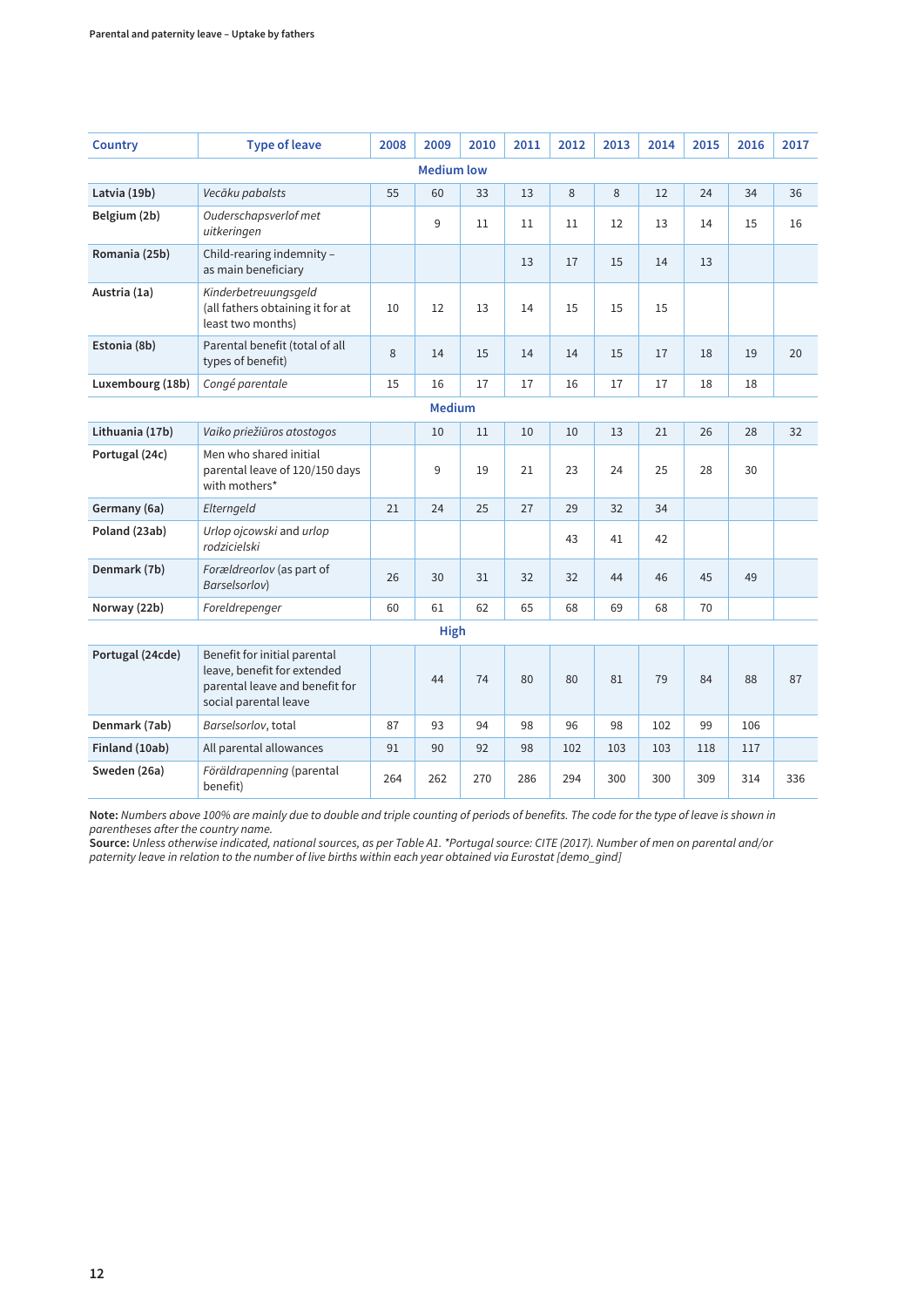| <b>Country</b>   | <b>Type of leave</b>                                                                                                   | 2008 | 2009              | 2010 | 2011 | 2012 | 2013 | 2014 | 2015 | 2016 | 2017 |
|------------------|------------------------------------------------------------------------------------------------------------------------|------|-------------------|------|------|------|------|------|------|------|------|
|                  |                                                                                                                        |      | <b>Medium low</b> |      |      |      |      |      |      |      |      |
| Latvia (19b)     | Vecāku pabalsts                                                                                                        | 55   | 60                | 33   | 13   | 8    | 8    | 12   | 24   | 34   | 36   |
| Belgium (2b)     | Ouderschapsverlof met<br>uitkeringen                                                                                   |      | 9                 | 11   | 11   | 11   | 12   | 13   | 14   | 15   | 16   |
| Romania (25b)    | Child-rearing indemnity -<br>as main beneficiary                                                                       |      |                   |      | 13   | 17   | 15   | 14   | 13   |      |      |
| Austria (1a)     | Kinderbetreuungsgeld<br>(all fathers obtaining it for at<br>least two months)                                          | 10   | 12                | 13   | 14   | 15   | 15   | 15   |      |      |      |
| Estonia (8b)     | Parental benefit (total of all<br>types of benefit)                                                                    | 8    | 14                | 15   | 14   | 14   | 15   | 17   | 18   | 19   | 20   |
| Luxembourg (18b) | Congé parentale                                                                                                        | 15   | 16                | 17   | 17   | 16   | 17   | 17   | 18   | 18   |      |
|                  |                                                                                                                        |      | <b>Medium</b>     |      |      |      |      |      |      |      |      |
| Lithuania (17b)  | Vaiko priežiūros atostogos                                                                                             |      | 10                | 11   | 10   | 10   | 13   | 21   | 26   | 28   | 32   |
| Portugal (24c)   | Men who shared initial<br>parental leave of 120/150 days<br>with mothers*                                              |      | 9                 | 19   | 21   | 23   | 24   | 25   | 28   | 30   |      |
| Germany (6a)     | Elterngeld                                                                                                             | 21   | 24                | 25   | 27   | 29   | 32   | 34   |      |      |      |
| Poland (23ab)    | Urlop ojcowski and urlop<br>rodzicielski                                                                               |      |                   |      |      | 43   | 41   | 42   |      |      |      |
| Denmark (7b)     | Forældreorlov (as part of<br>Barselsorlov)                                                                             | 26   | 30                | 31   | 32   | 32   | 44   | 46   | 45   | 49   |      |
| Norway (22b)     | Foreldrepenger                                                                                                         | 60   | 61                | 62   | 65   | 68   | 69   | 68   | 70   |      |      |
| <b>High</b>      |                                                                                                                        |      |                   |      |      |      |      |      |      |      |      |
| Portugal (24cde) | Benefit for initial parental<br>leave, benefit for extended<br>parental leave and benefit for<br>social parental leave |      | 44                | 74   | 80   | 80   | 81   | 79   | 84   | 88   | 87   |
| Denmark (7ab)    | Barselsorlov, total                                                                                                    | 87   | 93                | 94   | 98   | 96   | 98   | 102  | 99   | 106  |      |
| Finland (10ab)   | All parental allowances                                                                                                | 91   | 90                | 92   | 98   | 102  | 103  | 103  | 118  | 117  |      |
| Sweden (26a)     | Föräldrapenning (parental<br>benefit)                                                                                  | 264  | 262               | 270  | 286  | 294  | 300  | 300  | 309  | 314  | 336  |

**Note:** Numbers above 100% are mainly due to double and triple counting of periods of benefits. The code for the type of leave is shown in parentheses after the country name.

**Source:** Unless otherwise indicated, national sources, as per Table A1. \*Portugal source: CITE (2017). Number of men on parental and/or paternity leave in relation to the number of live births within each year obtained via Eurostat [demo\_gind]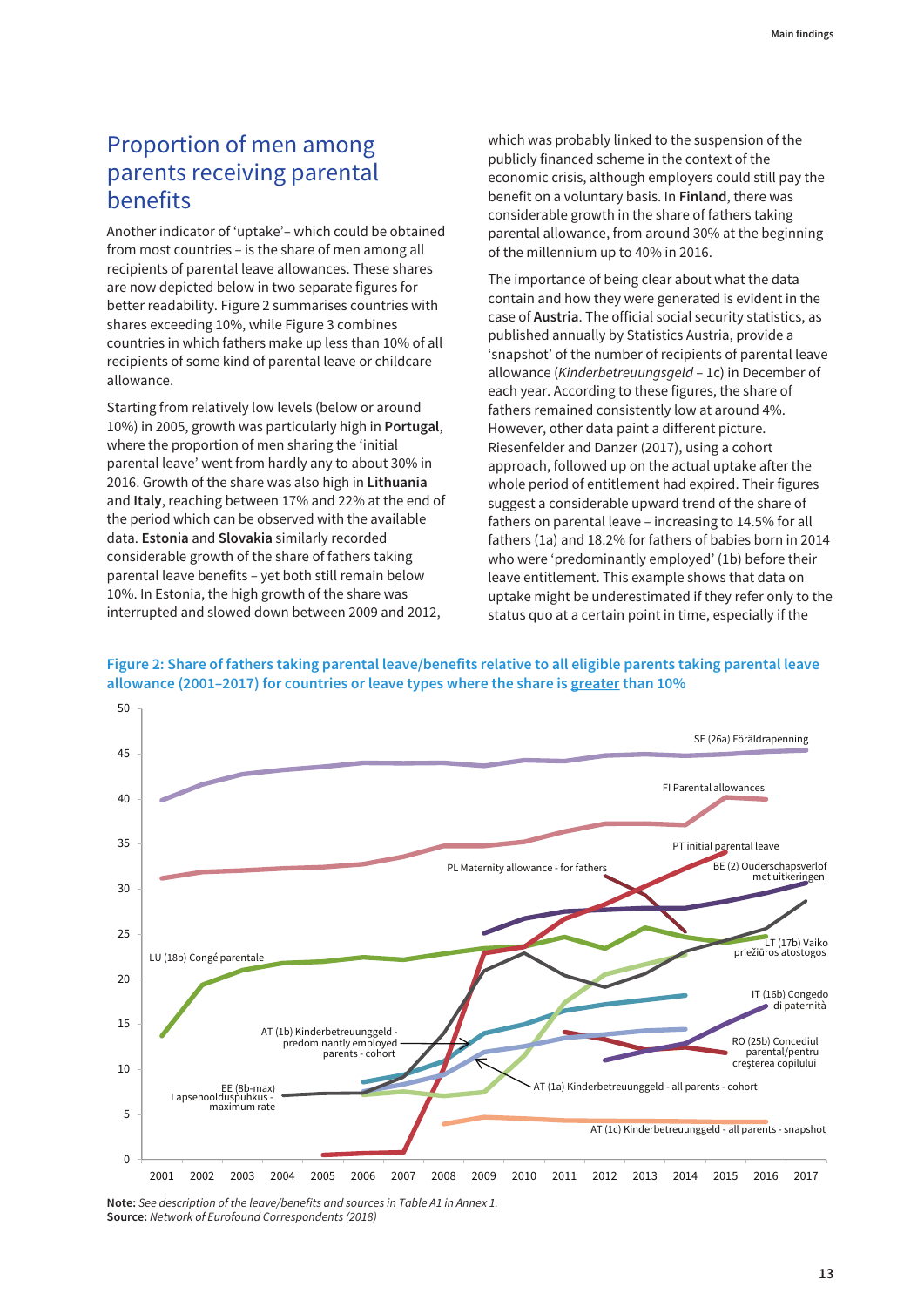## <span id="page-18-0"></span>Proportion of men among parents receiving parental benefits

Another indicator of 'uptake'– which could be obtained from most countries – is the share of men among all recipients of parental leave allowances. These shares are now depicted below in two separate figures for better readability. Figure 2 summarises countries with shares exceeding 10%, while Figure 3 combines countries in which fathers make up less than 10% of all recipients of some kind of parental leave or childcare allowance.

Starting from relatively low levels (below or around 10%) in 2005, growth was particularly high in **Portugal**, where the proportion of men sharing the 'initial parental leave' went from hardly any to about 30% in 2016. Growth of the share was also high in **Lithuania** and **Italy**, reaching between 17% and 22% at the end of the period which can be observed with the available data. **Estonia** and **Slovakia** similarly recorded considerable growth of the share of fathers taking parental leave benefits – yet both still remain below 10%. In Estonia, the high growth of the share was interrupted and slowed down between 2009 and 2012,

50

which was probably linked to the suspension of the publicly financed scheme in the context of the economic crisis, although employers could still pay the benefit on a voluntary basis. In **Finland**, there was considerable growth in the share of fathers taking parental allowance, from around 30% at the beginning of the millennium up to 40% in 2016.

The importance of being clear about what the data contain and how they were generated is evident in the case of **Austria**. The official social security statistics, as published annually by Statistics Austria, provide a 'snapshot' of the number of recipients of parental leave allowance (Kinderbetreuungsgeld – 1c) in December of each year. According to these figures, the share of fathers remained consistently low at around 4%. However, other data paint a different picture. Riesenfelder and Danzer (2017), using a cohort approach, followed up on the actual uptake after the whole period of entitlement had expired. Their figures suggest a considerable upward trend of the share of fathers on parental leave – increasing to 14.5% for all fathers (1a) and 18.2% for fathers of babies born in 2014 who were 'predominantly employed' (1b) before their leave entitlement. This example shows that data on uptake might be underestimated if they refer only to the status quo at a certain point in time, especially if the





**Note:** See description of the leave/benefits and sources in Table A1 in Annex 1. **Source:** Network of Eurofound Correspondents (2018)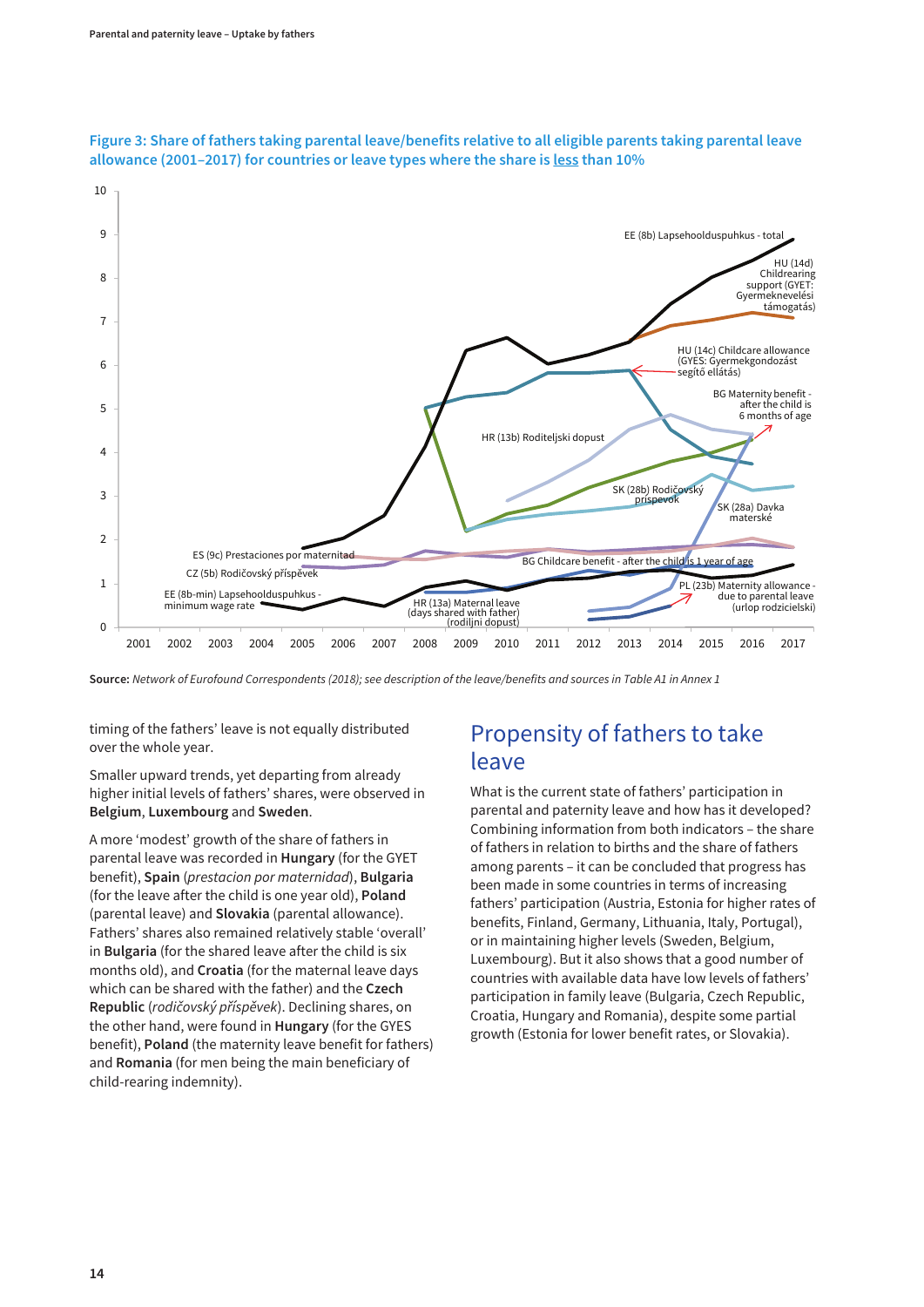

<span id="page-19-0"></span>

**Source:** Network of Eurofound Correspondents (2018); see description of the leave/benefits and sources in Table A1 in Annex 1

timing of the fathers' leave is not equally distributed over the whole year.

Smaller upward trends, yet departing from already higher initial levels of fathers' shares, were observed in **Belgium**, **Luxembourg** and **Sweden**.

A more 'modest' growth of the share of fathers in parental leave was recorded in **Hungary** (for the GYET benefit), **Spain** (prestacion por maternidad), **Bulgaria** (for the leave after the child is one year old), **Poland** (parental leave) and **Slovakia** (parental allowance). Fathers' shares also remained relatively stable 'overall' in **Bulgaria** (for the shared leave after the child is six months old), and **Croatia** (for the maternal leave days which can be shared with the father) and the **Czech Republic** (rodičovský příspěvek). Declining shares, on the other hand, were found in **Hungary** (for the GYES benefit), **Poland** (the maternity leave benefit for fathers) and **Romania** (for men being the main beneficiary of child-rearing indemnity).

### Propensity of fathers to take leave

What is the current state of fathers' participation in parental and paternity leave and how has it developed? Combining information from both indicators – the share of fathers in relation to births and the share of fathers among parents – it can be concluded that progress has been made in some countries in terms of increasing fathers' participation (Austria, Estonia for higher rates of benefits, Finland, Germany, Lithuania, Italy, Portugal), or in maintaining higher levels (Sweden, Belgium, Luxembourg). But it also shows that a good number of countries with available data have low levels of fathers' participation in family leave (Bulgaria, Czech Republic, Croatia, Hungary and Romania), despite some partial growth (Estonia for lower benefit rates, or Slovakia).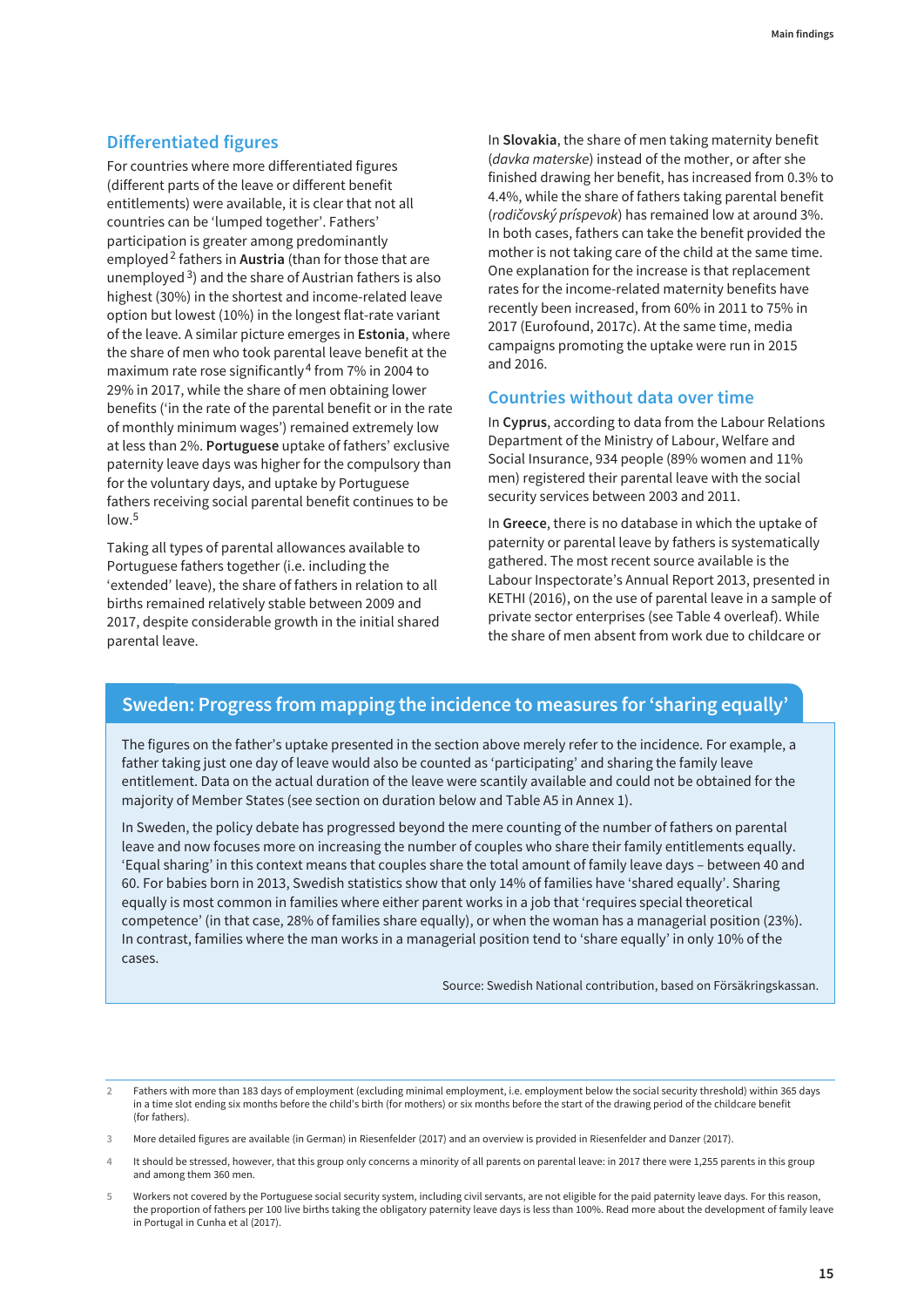#### **Differentiated figures**

For countries where more differentiated figures (different parts of the leave or different benefit entitlements) were available, it is clear that not all countries can be 'lumped together'. Fathers' participation is greater among predominantly employed<sup>2</sup> fathers in **Austria** (than for those that are unemployed  $3$ ) and the share of Austrian fathers is also highest (30%) in the shortest and income-related leave option but lowest (10%) in the longest flat-rate variant of the leave. A similar picture emerges in **Estonia**, where the share of men who took parental leave benefit at the maximum rate rose significantly <sup>4</sup> from 7% in 2004 to 29% in 2017, while the share of men obtaining lower benefits ('in the rate of the parental benefit or in the rate of monthly minimum wages') remained extremely low at less than 2%. **Portuguese** uptake of fathers' exclusive paternity leave days was higher for the compulsory than for the voluntary days, and uptake by Portuguese fathers receiving social parental benefit continues to be  $low<sup>5</sup>$ 

Taking all types of parental allowances available to Portuguese fathers together (i.e. including the 'extended' leave), the share of fathers in relation to all births remained relatively stable between 2009 and 2017, despite considerable growth in the initial shared parental leave.

In **Slovakia**, the share of men taking maternity benefit (davka materske) instead of the mother, or after she finished drawing her benefit, has increased from 0.3% to 4.4%, while the share of fathers taking parental benefit (rodičovský príspevok) has remained low at around 3%. In both cases, fathers can take the benefit provided the mother is not taking care of the child at the same time. One explanation for the increase is that replacement rates for the income-related maternity benefits have recently been increased, from 60% in 2011 to 75% in 2017 (Eurofound, 2017c). At the same time, media campaigns promoting the uptake were run in 2015 and 2016.

#### **Countries without data over time**

In **Cyprus**, according to data from the Labour Relations Department of the Ministry of Labour, Welfare and Social Insurance, 934 people (89% women and 11% men) registered their parental leave with the social security services between 2003 and 2011.

In **Greece**, there is no database in which the uptake of paternity or parental leave by fathers is systematically gathered. The most recent source available is the Labour Inspectorate's Annual Report 2013, presented in KETHI (2016), on the use of parental leave in a sample of private sector enterprises (see Table 4 overleaf). While the share of men absent from work due to childcare or

#### **Sweden: Progress from mapping the incidence to measures for 'sharing equally'**

The figures on the father's uptake presented in the section above merely refer to the incidence. For example, a father taking just one day of leave would also be counted as 'participating' and sharing the family leave entitlement. Data on the actual duration of the leave were scantily available and could not be obtained for the majority of Member States (see section on duration below and Table A5 in Annex 1).

In Sweden, the policy debate has progressed beyond the mere counting of the number of fathers on parental leave and now focuses more on increasing the number of couples who share their family entitlements equally. 'Equal sharing' in this context means that couples share the total amount of family leave days – between 40 and 60. For babies born in 2013, Swedish statistics show that only 14% of families have 'shared equally'. Sharing equally is most common in families where either parent works in a job that 'requires special theoretical competence' (in that case, 28% of families share equally), or when the woman has a managerial position (23%). In contrast, families where the man works in a managerial position tend to 'share equally' in only 10% of the cases.

Source: Swedish National contribution, based on Försäkringskassan.

**2** Fathers with more than 183 days of employment (excluding minimal employment, i.e. employment below the social security threshold) within 365 days in a time slot ending six months before the child's birth (for mothers) or six months before the start of the drawing period of the childcare benefit (for fathers).

**<sup>3</sup>** More detailed figures are available (in German) in Riesenfelder (2017) and an overview is provided in Riesenfelder and Danzer (2017).

**<sup>4</sup>** It should be stressed, however, that this group only concerns a minority of all parents on parental leave: in 2017 there were 1,255 parents in this group and among them 360 men.

**<sup>5</sup>** Workers not covered by the Portuguese social security system, including civil servants, are not eligible for the paid paternity leave days. For this reason, the proportion of fathers per 100 live births taking the obligatory paternity leave days is less than 100%. Read more about the development of family leave in Portugal in Cunha et al (2017).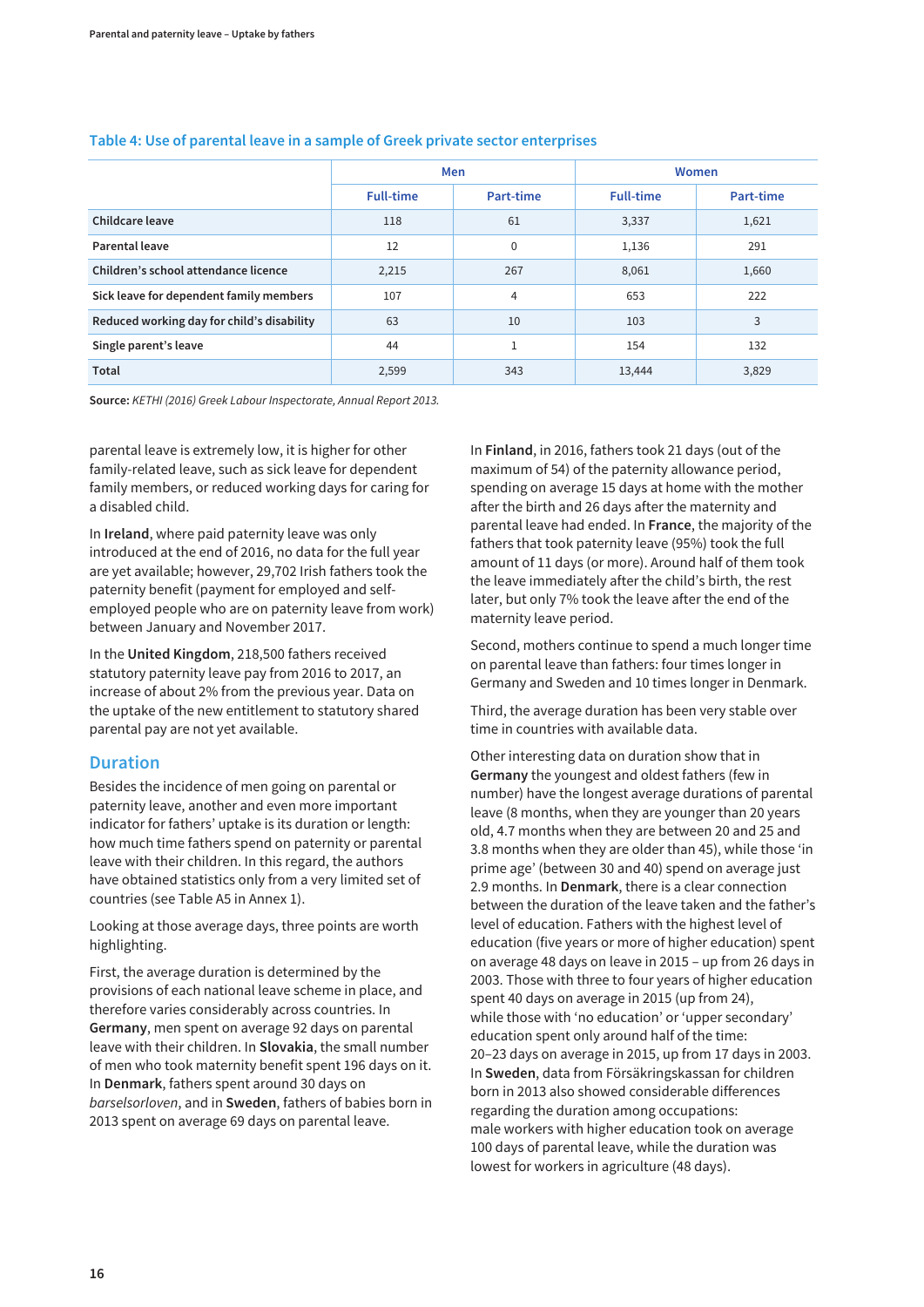|                                            |                  | Men            | Women            |           |  |  |
|--------------------------------------------|------------------|----------------|------------------|-----------|--|--|
|                                            | <b>Full-time</b> | Part-time      | <b>Full-time</b> | Part-time |  |  |
| Childcare leave                            | 118              | 61             | 3,337            | 1,621     |  |  |
| Parental leave                             | 12               | $\mathbf 0$    | 1,136            | 291       |  |  |
| Children's school attendance licence       | 2,215            | 267            | 8,061            | 1,660     |  |  |
| Sick leave for dependent family members    | 107              | $\overline{4}$ | 653              | 222       |  |  |
| Reduced working day for child's disability | 63               | 10             | 103              | 3         |  |  |
| Single parent's leave                      | 44               |                | 154              | 132       |  |  |
| Total                                      | 2,599            | 343            | 13,444           | 3,829     |  |  |

#### **Table 4: Use of parental leave in a sample of Greek private sector enterprises**

**Source:** KETHI (2016) Greek Labour Inspectorate, Annual Report 2013.

parental leave is extremely low, it is higher for other family-related leave, such as sick leave for dependent family members, or reduced working days for caring for a disabled child.

In **Ireland**, where paid paternity leave was only introduced at the end of 2016, no data for the full year are yet available; however, 29,702 Irish fathers took the paternity benefit (payment for employed and selfemployed people who are on paternity leave from work) between January and November 2017.

In the **United Kingdom**, 218,500 fathers received statutory paternity leave pay from 2016 to 2017, an increase of about 2% from the previous year. Data on the uptake of the new entitlement to statutory shared parental pay are not yet available.

#### **Duration**

Besides the incidence of men going on parental or paternity leave, another and even more important indicator for fathers' uptake is its duration or length: how much time fathers spend on paternity or parental leave with their children. In this regard, the authors have obtained statistics only from a very limited set of countries (see Table A5 in Annex 1).

Looking at those average days, three points are worth highlighting.

First, the average duration is determined by the provisions of each national leave scheme in place, and therefore varies considerably across countries. In **Germany**, men spent on average 92 days on parental leave with their children. In **Slovakia**, the small number of men who took maternity benefit spent 196 days on it. In **Denmark**, fathers spent around 30 days on barselsorloven, and in **Sweden**, fathers of babies born in 2013 spent on average 69 days on parental leave.

In **Finland**, in 2016, fathers took 21 days (out of the maximum of 54) of the paternity allowance period, spending on average 15 days at home with the mother after the birth and 26 days after the maternity and parental leave had ended. In **France**, the majority of the fathers that took paternity leave (95%) took the full amount of 11 days (or more). Around half of them took the leave immediately after the child's birth, the rest later, but only 7% took the leave after the end of the maternity leave period.

Second, mothers continue to spend a much longer time on parental leave than fathers: four times longer in Germany and Sweden and 10 times longer in Denmark.

Third, the average duration has been very stable over time in countries with available data.

Other interesting data on duration show that in **Germany** the youngest and oldest fathers (few in number) have the longest average durations of parental leave (8 months, when they are younger than 20 years old, 4.7 months when they are between 20 and 25 and 3.8 months when they are older than 45), while those 'in prime age' (between 30 and 40) spend on average just 2.9 months. In **Denmark**, there is a clear connection between the duration of the leave taken and the father's level of education. Fathers with the highest level of education (five years or more of higher education) spent on average 48 days on leave in 2015 – up from 26 days in 2003. Those with three to four years of higher education spent 40 days on average in 2015 (up from 24), while those with 'no education' or 'upper secondary' education spent only around half of the time: 20–23 days on average in 2015, up from 17 days in 2003. In **Sweden**, data from Försäkringskassan for children born in 2013 also showed considerable differences regarding the duration among occupations: male workers with higher education took on average 100 days of parental leave, while the duration was lowest for workers in agriculture (48 days).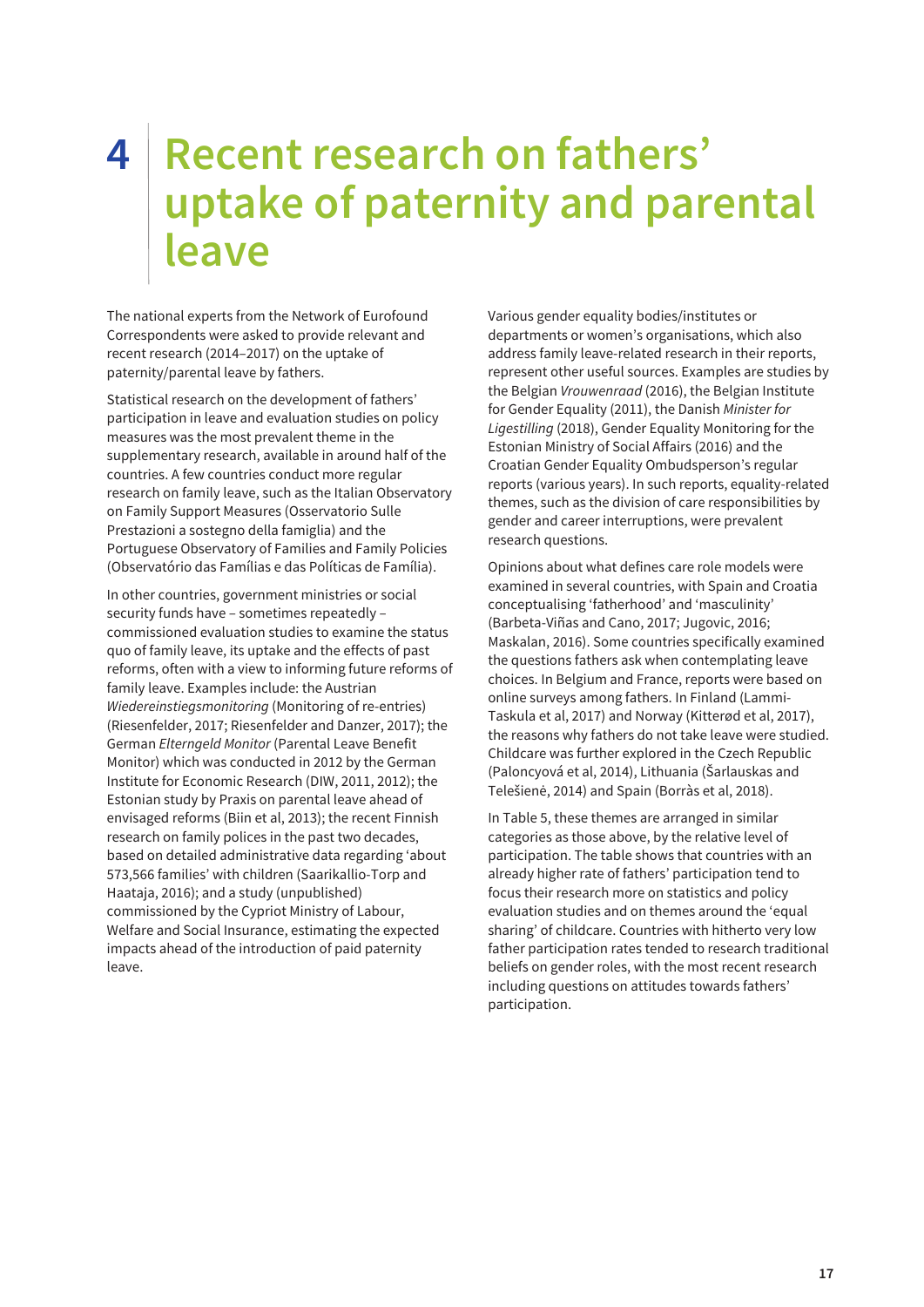## <span id="page-22-0"></span>**4 Recent research on fathers' uptake of paternity and parental leave**

The national experts from the Network of Eurofound Correspondents were asked to provide relevant and recent research (2014–2017) on the uptake of paternity/parental leave by fathers.

Statistical research on the development of fathers' participation in leave and evaluation studies on policy measures was the most prevalent theme in the supplementary research, available in around half of the countries. A few countries conduct more regular research on family leave, such as the Italian Observatory on Family Support Measures (Osservatorio Sulle Prestazioni a sostegno della famiglia) and the Portuguese Observatory of Families and Family Policies (Observatório das Famílias e das Políticas de Família).

In other countries, government ministries or social security funds have – sometimes repeatedly – commissioned evaluation studies to examine the status quo of family leave, its uptake and the effects of past reforms, often with a view to informing future reforms of family leave. Examples include: the Austrian Wiedereinstiegsmonitoring (Monitoring of re-entries) (Riesenfelder, 2017; Riesenfelder and Danzer, 2017); the German Elterngeld Monitor (Parental Leave Benefit Monitor) which was conducted in 2012 by the German Institute for Economic Research (DIW, 2011, 2012); the Estonian study by Praxis on parental leave ahead of envisaged reforms (Biin et al, 2013); the recent Finnish research on family polices in the past two decades, based on detailed administrative data regarding 'about 573,566 families' with children (Saarikallio-Torp and Haataja, 2016); and a study (unpublished) commissioned by the Cypriot Ministry of Labour, Welfare and Social Insurance, estimating the expected impacts ahead of the introduction of paid paternity leave.

Various gender equality bodies/institutes or departments or women's organisations, which also address family leave-related research in their reports, represent other useful sources. Examples are studies by the Belgian Vrouwenraad (2016), the Belgian Institute for Gender Equality (2011), the Danish Minister for Ligestilling (2018), Gender Equality Monitoring for the Estonian Ministry of Social Affairs (2016) and the Croatian Gender Equality Ombudsperson's regular reports (various years). In such reports, equality-related themes, such as the division of care responsibilities by gender and career interruptions, were prevalent research questions.

Opinions about what defines care role models were examined in several countries, with Spain and Croatia conceptualising 'fatherhood' and 'masculinity' (Barbeta-Viñas and Cano, 2017; Jugovic, 2016; Maskalan, 2016). Some countries specifically examined the questions fathers ask when contemplating leave choices. In Belgium and France, reports were based on online surveys among fathers. In Finland (Lammi-Taskula et al, 2017) and Norway (Kitterød et al, 2017), the reasons why fathers do not take leave were studied. Childcare was further explored in the Czech Republic (Paloncyová et al, 2014), Lithuania (Šarlauskas and Telešienė, 2014) and Spain (Borràs et al, 2018).

In Table 5, these themes are arranged in similar categories as those above, by the relative level of participation. The table shows that countries with an already higher rate of fathers' participation tend to focus their research more on statistics and policy evaluation studies and on themes around the 'equal sharing' of childcare. Countries with hitherto very low father participation rates tended to research traditional beliefs on gender roles, with the most recent research including questions on attitudes towards fathers' participation.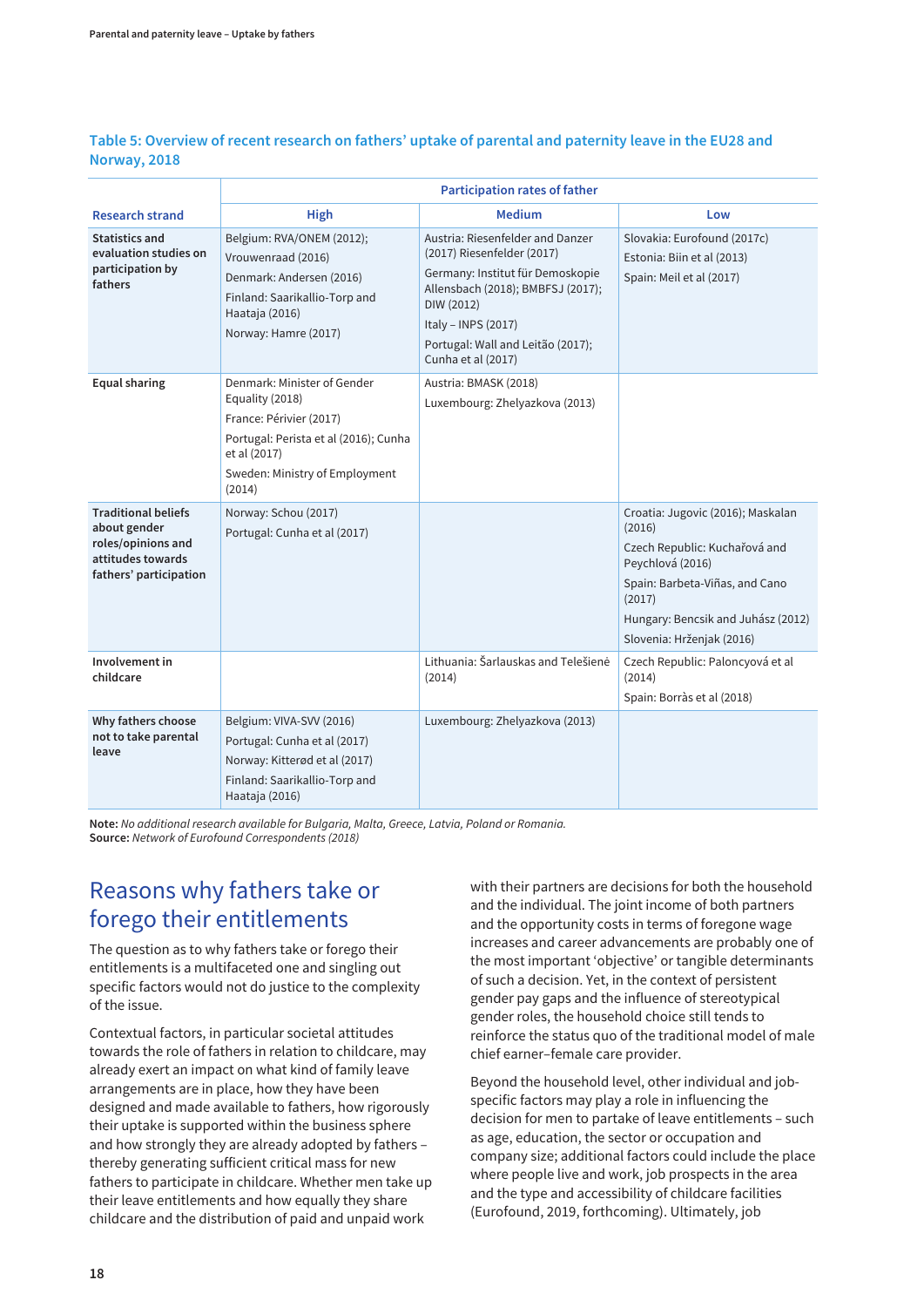|                                                                                                                 |                                                                                                                                                                                | <b>Participation rates of father</b>                                                                                                                                                                                                    |                                                                                                                                                                                                                 |
|-----------------------------------------------------------------------------------------------------------------|--------------------------------------------------------------------------------------------------------------------------------------------------------------------------------|-----------------------------------------------------------------------------------------------------------------------------------------------------------------------------------------------------------------------------------------|-----------------------------------------------------------------------------------------------------------------------------------------------------------------------------------------------------------------|
| <b>Research strand</b>                                                                                          | <b>High</b>                                                                                                                                                                    | <b>Medium</b>                                                                                                                                                                                                                           | Low                                                                                                                                                                                                             |
| <b>Statistics and</b><br>evaluation studies on<br>participation by<br>fathers                                   | Belgium: RVA/ONEM (2012);<br>Vrouwenraad (2016)<br>Denmark: Andersen (2016)<br>Finland: Saarikallio-Torp and<br>Haataja (2016)<br>Norway: Hamre (2017)                         | Austria: Riesenfelder and Danzer<br>(2017) Riesenfelder (2017)<br>Germany: Institut für Demoskopie<br>Allensbach (2018); BMBFSJ (2017);<br>DIW (2012)<br>Italy - INPS (2017)<br>Portugal: Wall and Leitão (2017);<br>Cunha et al (2017) | Slovakia: Eurofound (2017c)<br>Estonia: Biin et al (2013)<br>Spain: Meil et al (2017)                                                                                                                           |
| <b>Equal sharing</b>                                                                                            | Denmark: Minister of Gender<br>Equality (2018)<br>France: Périvier (2017)<br>Portugal: Perista et al (2016); Cunha<br>et al (2017)<br>Sweden: Ministry of Employment<br>(2014) | Austria: BMASK (2018)<br>Luxembourg: Zhelyazkova (2013)                                                                                                                                                                                 |                                                                                                                                                                                                                 |
| <b>Traditional beliefs</b><br>about gender<br>roles/opinions and<br>attitudes towards<br>fathers' participation | Norway: Schou (2017)<br>Portugal: Cunha et al (2017)                                                                                                                           |                                                                                                                                                                                                                                         | Croatia: Jugovic (2016); Maskalan<br>(2016)<br>Czech Republic: Kuchařová and<br>Peychlová (2016)<br>Spain: Barbeta-Viñas, and Cano<br>(2017)<br>Hungary: Bencsik and Juhász (2012)<br>Slovenia: Hrženjak (2016) |
| Involvement in<br>childcare                                                                                     |                                                                                                                                                                                | Lithuania: Šarlauskas and Telešienė<br>(2014)                                                                                                                                                                                           | Czech Republic: Paloncyová et al<br>(2014)<br>Spain: Borràs et al (2018)                                                                                                                                        |
| Why fathers choose<br>not to take parental<br>leave                                                             | Belgium: VIVA-SVV (2016)<br>Portugal: Cunha et al (2017)<br>Norway: Kitterød et al (2017)<br>Finland: Saarikallio-Torp and<br>Haataja (2016)                                   | Luxembourg: Zhelyazkova (2013)                                                                                                                                                                                                          |                                                                                                                                                                                                                 |

#### **Table 5: Overview of recent research on fathers' uptake of parental and paternity leave in the EU28 and Norway, 2018**

**Note:** No additional research available for Bulgaria, Malta, Greece, Latvia, Poland or Romania. **Source:** Network of Eurofound Correspondents (2018)

### Reasons why fathers take or forego their entitlements

The question as to why fathers take or forego their entitlements is a multifaceted one and singling out specific factors would not do justice to the complexity of the issue.

Contextual factors, in particular societal attitudes towards the role of fathers in relation to childcare, may already exert an impact on what kind of family leave arrangements are in place, how they have been designed and made available to fathers, how rigorously their uptake is supported within the business sphere and how strongly they are already adopted by fathers – thereby generating sufficient critical mass for new fathers to participate in childcare. Whether men take up their leave entitlements and how equally they share childcare and the distribution of paid and unpaid work

with their partners are decisions for both the household and the individual. The joint income of both partners and the opportunity costs in terms of foregone wage increases and career advancements are probably one of the most important 'objective' or tangible determinants of such a decision. Yet, in the context of persistent gender pay gaps and the influence of stereotypical gender roles, the household choice still tends to reinforce the status quo of the traditional model of male chief earner–female care provider.

Beyond the household level, other individual and jobspecific factors may play a role in influencing the decision for men to partake of leave entitlements – such as age, education, the sector or occupation and company size; additional factors could include the place where people live and work, job prospects in the area and the type and accessibility of childcare facilities (Eurofound, 2019, forthcoming). Ultimately, job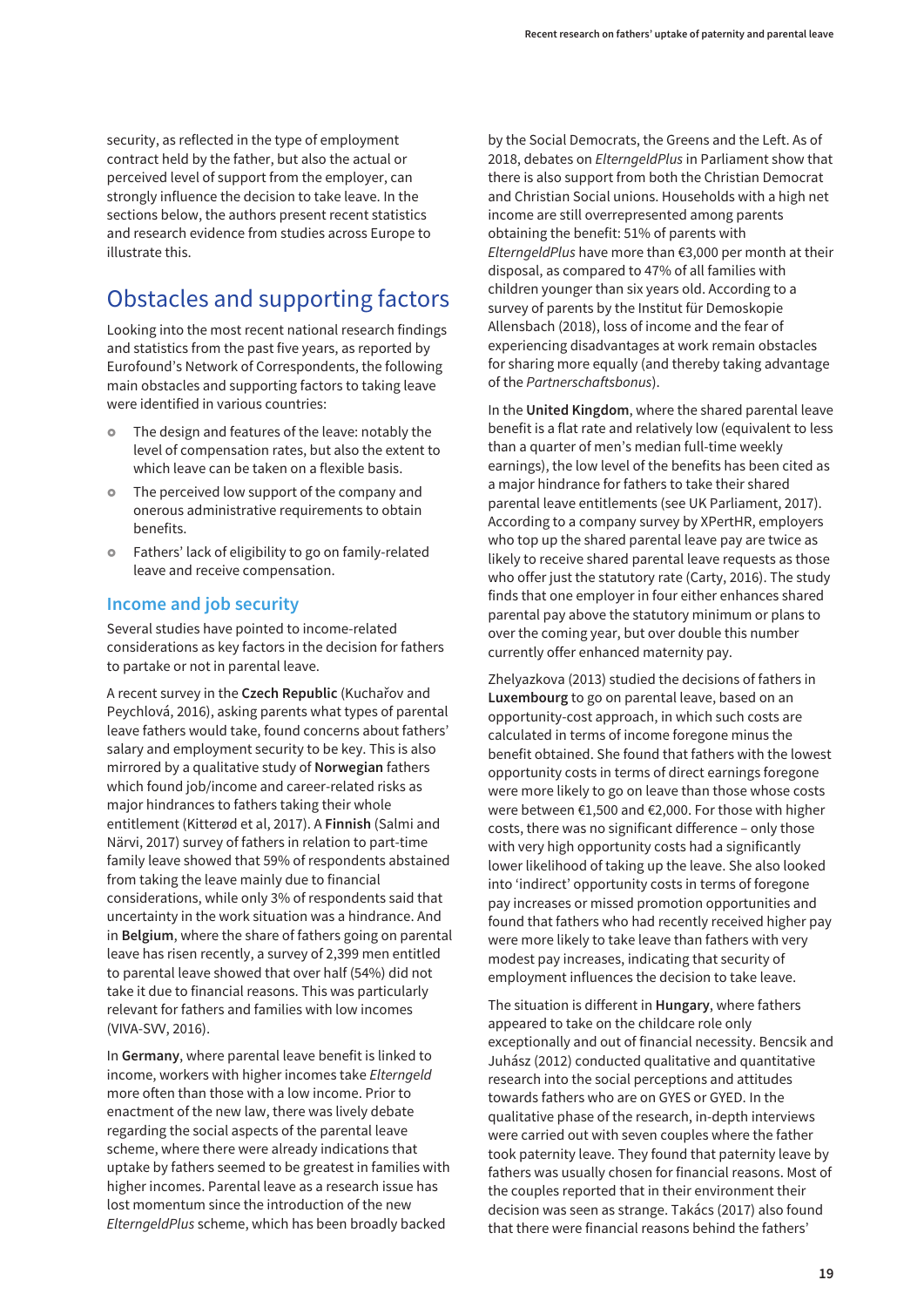<span id="page-24-0"></span>security, as reflected in the type of employment contract held by the father, but also the actual or perceived level of support from the employer, can strongly influence the decision to take leave. In the sections below, the authors present recent statistics and research evidence from studies across Europe to illustrate this.

## Obstacles and supporting factors

Looking into the most recent national research findings and statistics from the past five years, as reported by Eurofound's Network of Correspondents, the following main obstacles and supporting factors to taking leave were identified in various countries:

- The design and features of the leave: notably the level of compensation rates, but also the extent to which leave can be taken on a flexible basis.
- The perceived low support of the company and onerous administrative requirements to obtain benefits.
- **•** Fathers' lack of eligibility to go on family-related leave and receive compensation.

#### **Income and job security**

Several studies have pointed to income-related considerations as key factors in the decision for fathers to partake or not in parental leave.

A recent survey in the **Czech Republic** (Kuchařov and Peychlová, 2016), asking parents what types of parental leave fathers would take, found concerns about fathers' salary and employment security to be key. This is also mirrored by a qualitative study of **Norwegian** fathers which found job/income and career-related risks as major hindrances to fathers taking their whole entitlement (Kitterød et al, 2017). A **Finnish** (Salmi and Närvi, 2017) survey of fathers in relation to part-time family leave showed that 59% of respondents abstained from taking the leave mainly due to financial considerations, while only 3% of respondents said that uncertainty in the work situation was a hindrance. And in **Belgium**, where the share of fathers going on parental leave has risen recently, a survey of 2,399 men entitled to parental leave showed that over half (54%) did not take it due to financial reasons. This was particularly relevant for fathers and families with low incomes (VIVA-SVV, 2016).

In **Germany**, where parental leave benefit is linked to income, workers with higher incomes take Elterngeld more often than those with a low income. Prior to enactment of the new law, there was lively debate regarding the social aspects of the parental leave scheme, where there were already indications that uptake by fathers seemed to be greatest in families with higher incomes. Parental leave as a research issue has lost momentum since the introduction of the new ElterngeldPlus scheme, which has been broadly backed

by the Social Democrats, the Greens and the Left. As of 2018, debates on ElterngeldPlus in Parliament show that there is also support from both the Christian Democrat and Christian Social unions. Households with a high net income are still overrepresented among parents obtaining the benefit: 51% of parents with ElterngeldPlus have more than €3,000 per month at their disposal, as compared to 47% of all families with children younger than six years old. According to a survey of parents by the Institut für Demoskopie Allensbach (2018), loss of income and the fear of experiencing disadvantages at work remain obstacles for sharing more equally (and thereby taking advantage of the Partnerschaftsbonus).

In the **United Kingdom**, where the shared parental leave benefit is a flat rate and relatively low (equivalent to less than a quarter of men's median full-time weekly earnings), the low level of the benefits has been cited as a major hindrance for fathers to take their shared parental leave entitlements (see UK Parliament, 2017). According to a company survey by XPertHR, employers who top up the shared parental leave pay are twice as likely to receive shared parental leave requests as those who offer just the statutory rate (Carty, 2016). The study finds that one employer in four either enhances shared parental pay above the statutory minimum or plans to over the coming year, but over double this number currently offer enhanced maternity pay.

Zhelyazkova (2013) studied the decisions of fathers in **Luxembourg** to go on parental leave, based on an opportunity-cost approach, in which such costs are calculated in terms of income foregone minus the benefit obtained. She found that fathers with the lowest opportunity costs in terms of direct earnings foregone were more likely to go on leave than those whose costs were between €1,500 and €2,000. For those with higher costs, there was no significant difference – only those with very high opportunity costs had a significantly lower likelihood of taking up the leave. She also looked into 'indirect' opportunity costs in terms of foregone pay increases or missed promotion opportunities and found that fathers who had recently received higher pay were more likely to take leave than fathers with very modest pay increases, indicating that security of employment influences the decision to take leave.

The situation is different in **Hungary**, where fathers appeared to take on the childcare role only exceptionally and out of financial necessity. Bencsik and Juhász (2012) conducted qualitative and quantitative research into the social perceptions and attitudes towards fathers who are on GYES or GYED. In the qualitative phase of the research, in-depth interviews were carried out with seven couples where the father took paternity leave. They found that paternity leave by fathers was usually chosen for financial reasons. Most of the couples reported that in their environment their decision was seen as strange. Takács (2017) also found that there were financial reasons behind the fathers'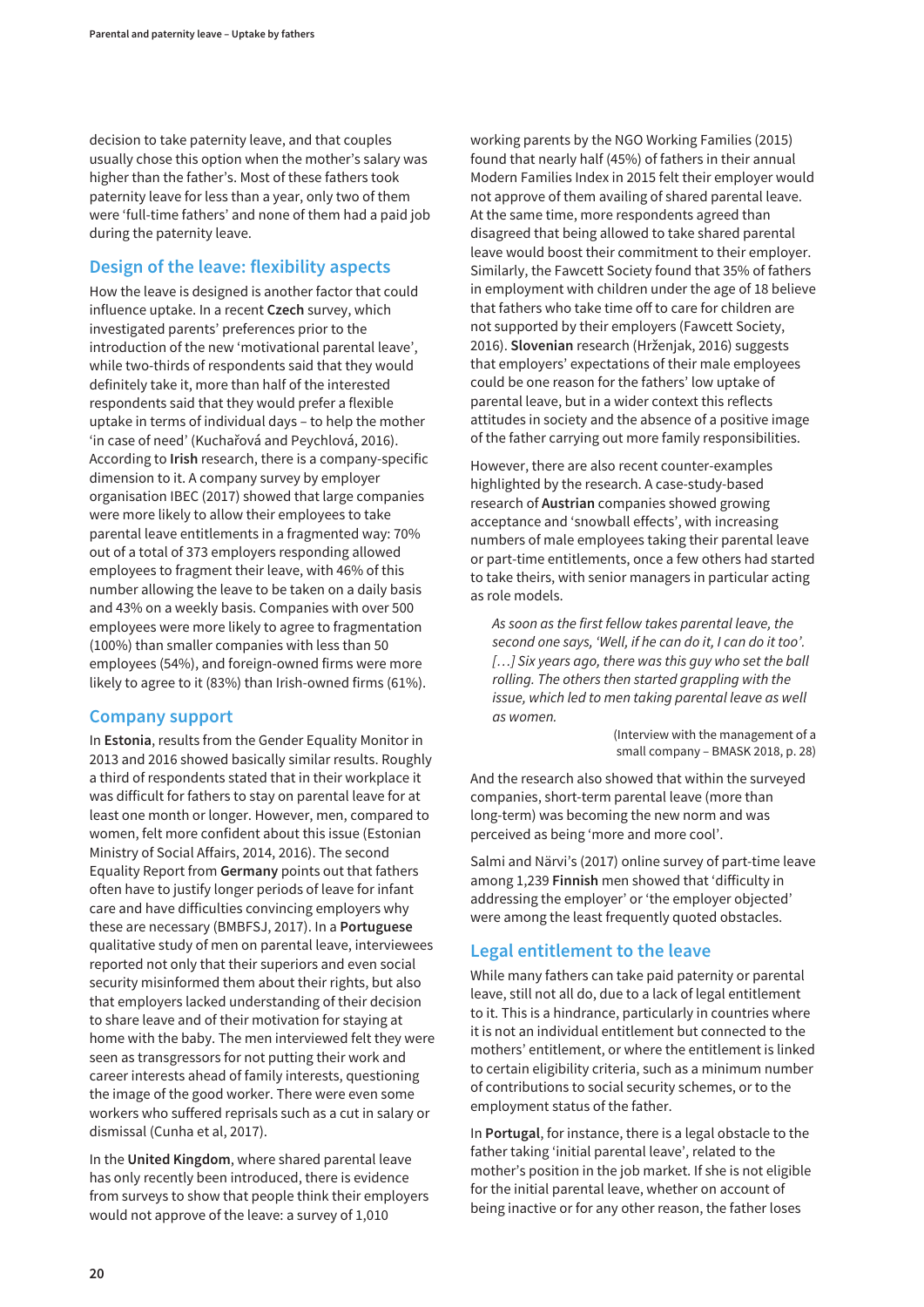decision to take paternity leave, and that couples usually chose this option when the mother's salary was higher than the father's. Most of these fathers took paternity leave for less than a year, only two of them were 'full-time fathers' and none of them had a paid job during the paternity leave.

#### **Design of the leave: flexibility aspects**

How the leave is designed is another factor that could influence uptake. In a recent **Czech** survey, which investigated parents' preferences prior to the introduction of the new 'motivational parental leave', while two-thirds of respondents said that they would definitely take it, more than half of the interested respondents said that they would prefer a flexible uptake in terms of individual days – to help the mother 'in case of need' (Kuchařová and Peychlová, 2016). According to **Irish** research, there is a company-specific dimension to it. A company survey by employer organisation IBEC (2017) showed that large companies were more likely to allow their employees to take parental leave entitlements in a fragmented way: 70% out of a total of 373 employers responding allowed employees to fragment their leave, with 46% of this number allowing the leave to be taken on a daily basis and 43% on a weekly basis. Companies with over 500 employees were more likely to agree to fragmentation (100%) than smaller companies with less than 50 employees (54%), and foreign-owned firms were more likely to agree to it (83%) than Irish-owned firms (61%).

#### **Company support**

In **Estonia**, results from the Gender Equality Monitor in 2013 and 2016 showed basically similar results. Roughly a third of respondents stated that in their workplace it was difficult for fathers to stay on parental leave for at least one month or longer. However, men, compared to women, felt more confident about this issue (Estonian Ministry of Social Affairs, 2014, 2016). The second Equality Report from **Germany** points out that fathers often have to justify longer periods of leave for infant care and have difficulties convincing employers why these are necessary (BMBFSJ, 2017). In a **Portuguese** qualitative study of men on parental leave, interviewees reported not only that their superiors and even social security misinformed them about their rights, but also that employers lacked understanding of their decision to share leave and of their motivation for staying at home with the baby. The men interviewed felt they were seen as transgressors for not putting their work and career interests ahead of family interests, questioning the image of the good worker. There were even some workers who suffered reprisals such as a cut in salary or dismissal (Cunha et al, 2017).

In the **United Kingdom**, where shared parental leave has only recently been introduced, there is evidence from surveys to show that people think their employers would not approve of the leave: a survey of 1,010

working parents by the NGO Working Families (2015) found that nearly half (45%) of fathers in their annual Modern Families Index in 2015 felt their employer would not approve of them availing of shared parental leave. At the same time, more respondents agreed than disagreed that being allowed to take shared parental leave would boost their commitment to their employer. Similarly, the Fawcett Society found that 35% of fathers in employment with children under the age of 18 believe that fathers who take time off to care for children are not supported by their employers (Fawcett Society, 2016). **Slovenian** research (Hrženjak, 2016) suggests that employers' expectations of their male employees could be one reason for the fathers' low uptake of parental leave, but in a wider context this reflects attitudes in society and the absence of a positive image of the father carrying out more family responsibilities.

However, there are also recent counter-examples highlighted by the research. A case-study-based research of **Austrian** companies showed growing acceptance and 'snowball effects', with increasing numbers of male employees taking their parental leave or part-time entitlements, once a few others had started to take theirs, with senior managers in particular acting as role models.

As soon as the first fellow takes parental leave, the second one says, 'Well, if he can do it, I can do it too'. [...] Six years ago, there was this guy who set the ball rolling. The others then started grappling with the issue, which led to men taking parental leave as well as women.

> (Interview with the management of a small company – BMASK 2018, p. 28)

And the research also showed that within the surveyed companies, short-term parental leave (more than long-term) was becoming the new norm and was perceived as being 'more and more cool'.

Salmi and Närvi's (2017) online survey of part-time leave among 1,239 **Finnish** men showed that 'difficulty in addressing the employer' or 'the employer objected' were among the least frequently quoted obstacles.

#### **Legal entitlement to the leave**

While many fathers can take paid paternity or parental leave, still not all do, due to a lack of legal entitlement to it. This is a hindrance, particularly in countries where it is not an individual entitlement but connected to the mothers' entitlement, or where the entitlement is linked to certain eligibility criteria, such as a minimum number of contributions to social security schemes, or to the employment status of the father.

In **Portugal**, for instance, there is a legal obstacle to the father taking 'initial parental leave', related to the mother's position in the job market. If she is not eligible for the initial parental leave, whether on account of being inactive or for any other reason, the father loses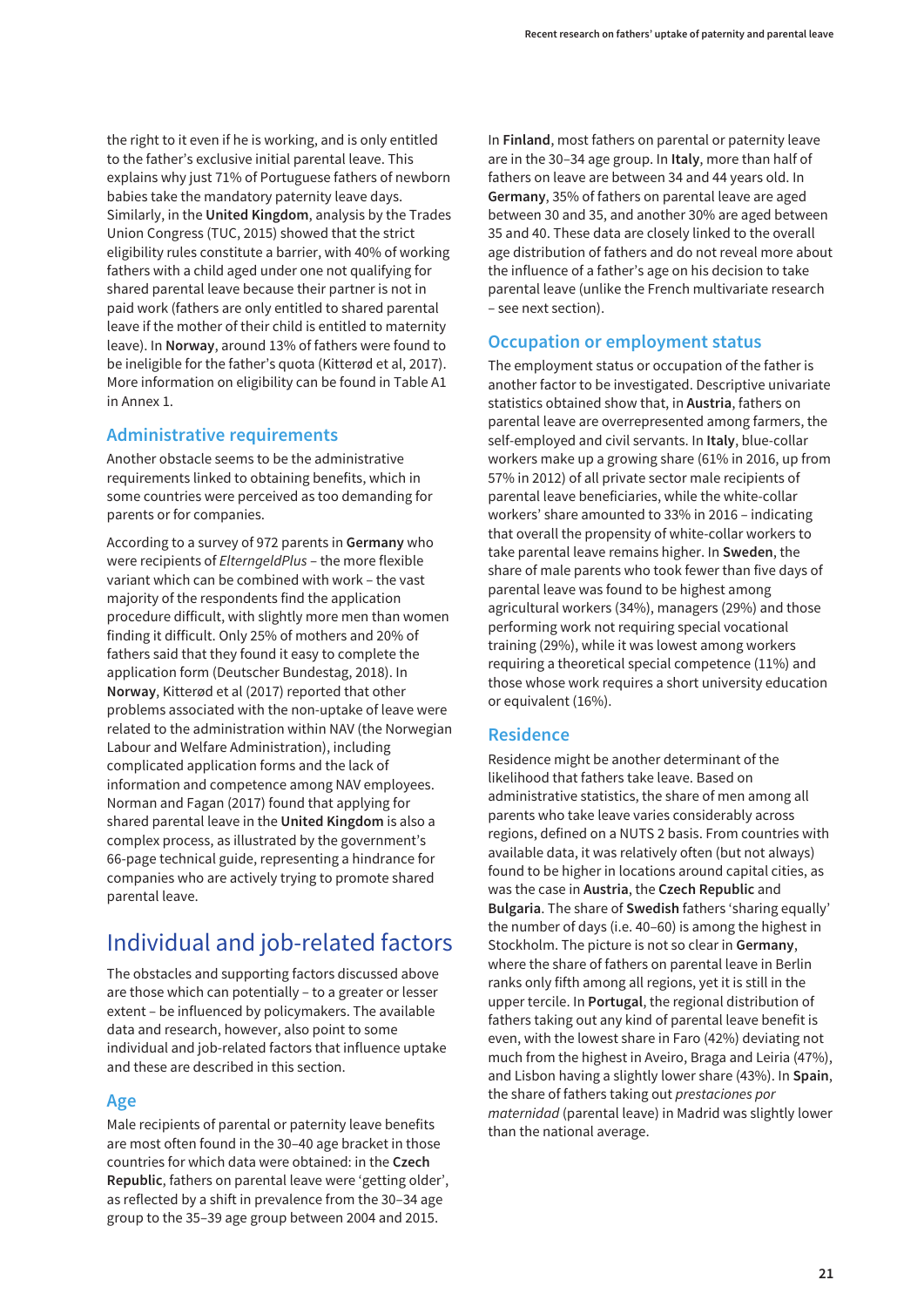<span id="page-26-0"></span>the right to it even if he is working, and is only entitled to the father's exclusive initial parental leave. This explains why just 71% of Portuguese fathers of newborn babies take the mandatory paternity leave days. Similarly, in the **United Kingdom**, analysis by the Trades Union Congress (TUC, 2015) showed that the strict eligibility rules constitute a barrier, with 40% of working fathers with a child aged under one not qualifying for shared parental leave because their partner is not in paid work (fathers are only entitled to shared parental leave if the mother of their child is entitled to maternity leave). In **Norway**, around 13% of fathers were found to be ineligible for the father's quota (Kitterød et al, 2017). More information on eligibility can be found in Table A1 in Annex 1.

#### **Administrative requirements**

Another obstacle seems to be the administrative requirements linked to obtaining benefits, which in some countries were perceived as too demanding for parents or for companies.

According to a survey of 972 parents in **Germany** who were recipients of ElterngeldPlus – the more flexible variant which can be combined with work – the vast majority of the respondents find the application procedure difficult, with slightly more men than women finding it difficult. Only 25% of mothers and 20% of fathers said that they found it easy to complete the application form (Deutscher Bundestag, 2018). In **Norway**, Kitterød et al (2017) reported that other problems associated with the non-uptake of leave were related to the administration within NAV (the Norwegian Labour and Welfare Administration), including complicated application forms and the lack of information and competence among NAV employees. Norman and Fagan (2017) found that applying for shared parental leave in the **United Kingdom** is also a complex process, as illustrated by the government's 66-page technical guide, representing a hindrance for companies who are actively trying to promote shared parental leave.

## Individual and job-related factors

The obstacles and supporting factors discussed above are those which can potentially – to a greater or lesser extent – be influenced by policymakers. The available data and research, however, also point to some individual and job-related factors that influence uptake and these are described in this section.

#### **Age**

Male recipients of parental or paternity leave benefits are most often found in the 30–40 age bracket in those countries for which data were obtained: in the **Czech Republic**, fathers on parental leave were 'getting older', as reflected by a shift in prevalence from the 30–34 age group to the 35–39 age group between 2004 and 2015.

In **Finland**, most fathers on parental or paternity leave are in the 30–34 age group. In **Italy**, more than half of fathers on leave are between 34 and 44 years old. In **Germany**, 35% of fathers on parental leave are aged between 30 and 35, and another 30% are aged between 35 and 40. These data are closely linked to the overall age distribution of fathers and do not reveal more about the influence of a father's age on his decision to take parental leave (unlike the French multivariate research – see next section).

#### **Occupation or employment status**

The employment status or occupation of the father is another factor to be investigated. Descriptive univariate statistics obtained show that, in **Austria**, fathers on parental leave are overrepresented among farmers, the self-employed and civil servants. In **Italy**, blue-collar workers make up a growing share (61% in 2016, up from 57% in 2012) of all private sector male recipients of parental leave beneficiaries, while the white-collar workers' share amounted to 33% in 2016 – indicating that overall the propensity of white-collar workers to take parental leave remains higher. In **Sweden**, the share of male parents who took fewer than five days of parental leave was found to be highest among agricultural workers (34%), managers (29%) and those performing work not requiring special vocational training (29%), while it was lowest among workers requiring a theoretical special competence (11%) and those whose work requires a short university education or equivalent (16%).

#### **Residence**

Residence might be another determinant of the likelihood that fathers take leave. Based on administrative statistics, the share of men among all parents who take leave varies considerably across regions, defined on a NUTS 2 basis. From countries with available data, it was relatively often (but not always) found to be higher in locations around capital cities, as was the case in **Austria**, the **Czech Republic** and **Bulgaria**. The share of **Swedish** fathers 'sharing equally' the number of days (i.e. 40–60) is among the highest in Stockholm. The picture is not so clear in **Germany**, where the share of fathers on parental leave in Berlin ranks only fifth among all regions, yet it is still in the upper tercile. In **Portugal**, the regional distribution of fathers taking out any kind of parental leave benefit is even, with the lowest share in Faro (42%) deviating not much from the highest in Aveiro, Braga and Leiria (47%), and Lisbon having a slightly lower share (43%). In **Spain**, the share of fathers taking out prestaciones por maternidad (parental leave) in Madrid was slightly lower than the national average.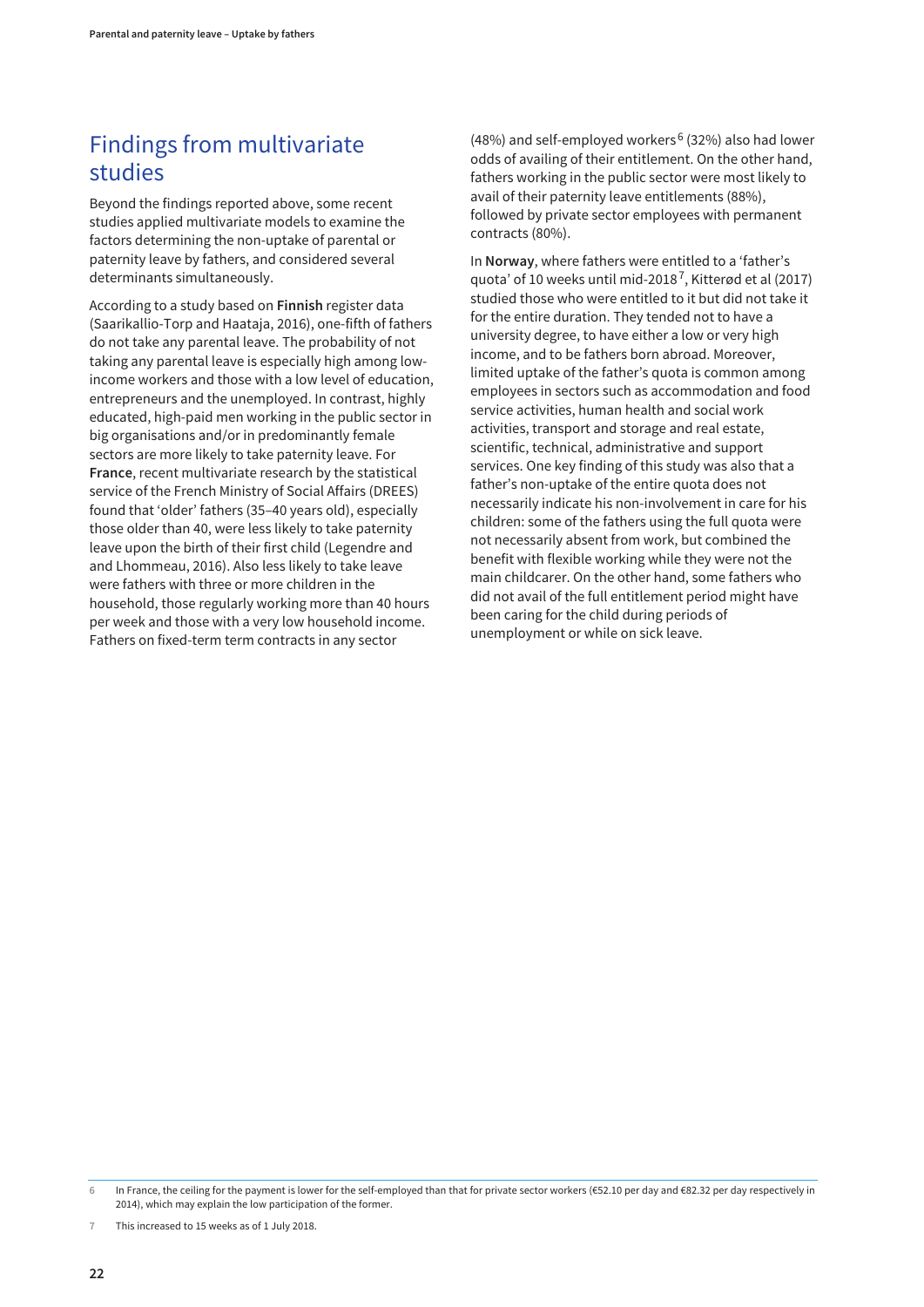## <span id="page-27-0"></span>Findings from multivariate studies

Beyond the findings reported above, some recent studies applied multivariate models to examine the factors determining the non-uptake of parental or paternity leave by fathers, and considered several determinants simultaneously.

According to a study based on **Finnish** register data (Saarikallio-Torp and Haataja, 2016), one-fifth of fathers do not take any parental leave. The probability of not taking any parental leave is especially high among lowincome workers and those with a low level of education, entrepreneurs and the unemployed. In contrast, highly educated, high-paid men working in the public sector in big organisations and/or in predominantly female sectors are more likely to take paternity leave. For **France**, recent multivariate research by the statistical service of the French Ministry of Social Affairs (DREES) found that 'older' fathers (35–40 years old), especially those older than 40, were less likely to take paternity leave upon the birth of their first child (Legendre and and Lhommeau, 2016). Also less likely to take leave were fathers with three or more children in the household, those regularly working more than 40 hours per week and those with a very low household income. Fathers on fixed-term term contracts in any sector

(48%) and self-employed workers<sup>6</sup> (32%) also had lower odds of availing of their entitlement. On the other hand, fathers working in the public sector were most likely to avail of their paternity leave entitlements (88%), followed by private sector employees with permanent contracts (80%).

In **Norway**, where fathers were entitled to a 'father's quota' of 10 weeks until mid-2018<sup>7</sup>, Kitterød et al (2017) studied those who were entitled to it but did not take it for the entire duration. They tended not to have a university degree, to have either a low or very high income, and to be fathers born abroad. Moreover, limited uptake of the father's quota is common among employees in sectors such as accommodation and food service activities, human health and social work activities, transport and storage and real estate, scientific, technical, administrative and support services. One key finding of this study was also that a father's non-uptake of the entire quota does not necessarily indicate his non-involvement in care for his children: some of the fathers using the full quota were not necessarily absent from work, but combined the benefit with flexible working while they were not the main childcarer. On the other hand, some fathers who did not avail of the full entitlement period might have been caring for the child during periods of unemployment or while on sick leave.

**7** This increased to 15 weeks as of 1 July 2018.

**<sup>6</sup>** In France, the ceiling for the payment is lower for the self-employed than that for private sector workers (€52.10 per day and €82.32 per day respectively in 2014), which may explain the low participation of the former.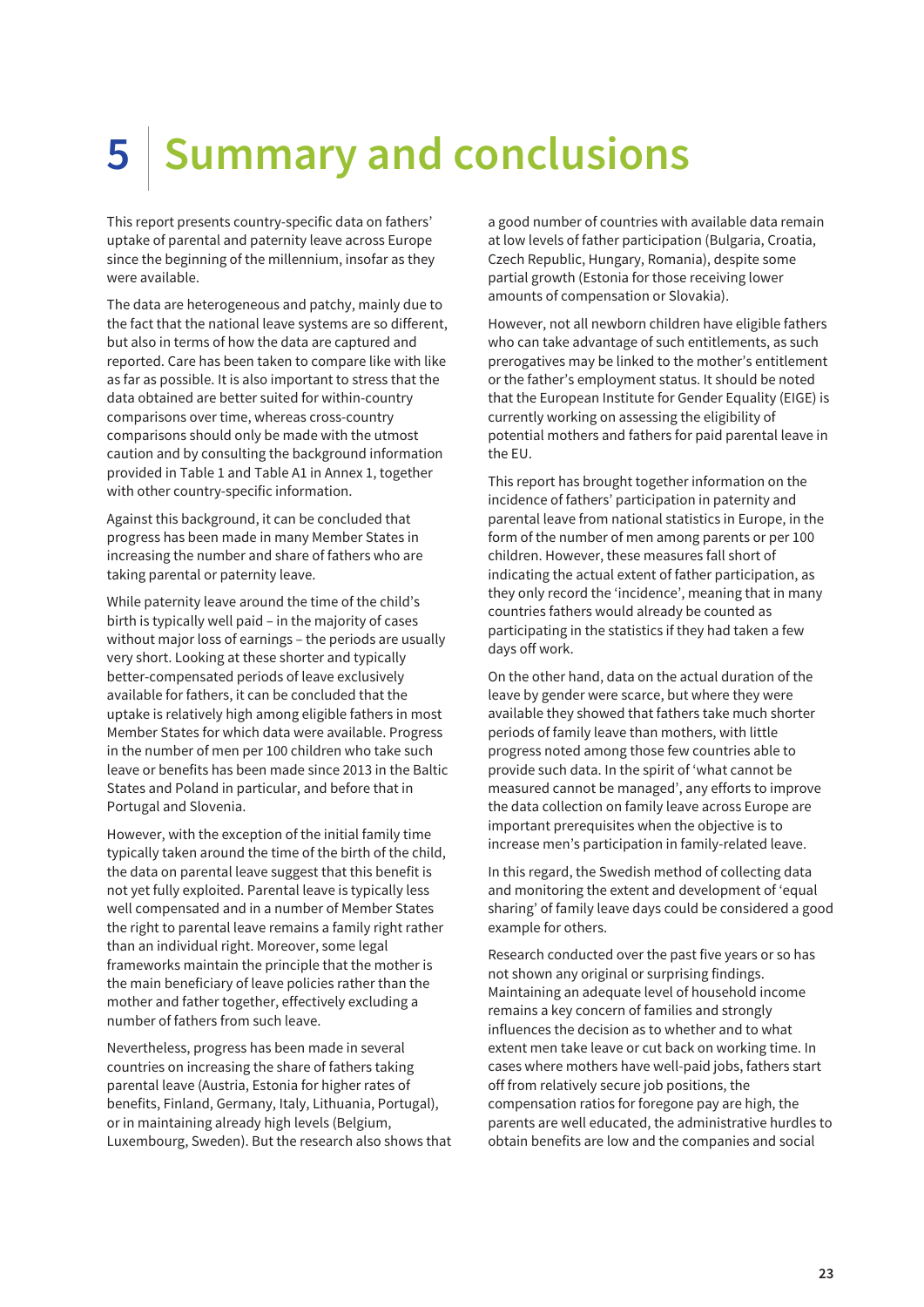# <span id="page-28-0"></span>**5 Summary and conclusions**

This report presents country-specific data on fathers' uptake of parental and paternity leave across Europe since the beginning of the millennium, insofar as they were available.

The data are heterogeneous and patchy, mainly due to the fact that the national leave systems are so different, but also in terms of how the data are captured and reported. Care has been taken to compare like with like as far as possible. It is also important to stress that the data obtained are better suited for within-country comparisons over time, whereas cross-country comparisons should only be made with the utmost caution and by consulting the background information provided in Table 1 and Table A1 in Annex 1, together with other country-specific information.

Against this background, it can be concluded that progress has been made in many Member States in increasing the number and share of fathers who are taking parental or paternity leave.

While paternity leave around the time of the child's birth is typically well paid – in the majority of cases without major loss of earnings – the periods are usually very short. Looking at these shorter and typically better-compensated periods of leave exclusively available for fathers, it can be concluded that the uptake is relatively high among eligible fathers in most Member States for which data were available. Progress in the number of men per 100 children who take such leave or benefits has been made since 2013 in the Baltic States and Poland in particular, and before that in Portugal and Slovenia.

However, with the exception of the initial family time typically taken around the time of the birth of the child, the data on parental leave suggest that this benefit is not yet fully exploited. Parental leave is typically less well compensated and in a number of Member States the right to parental leave remains a family right rather than an individual right. Moreover, some legal frameworks maintain the principle that the mother is the main beneficiary of leave policies rather than the mother and father together, effectively excluding a number of fathers from such leave.

Nevertheless, progress has been made in several countries on increasing the share of fathers taking parental leave (Austria, Estonia for higher rates of benefits, Finland, Germany, Italy, Lithuania, Portugal), or in maintaining already high levels (Belgium, Luxembourg, Sweden). But the research also shows that a good number of countries with available data remain at low levels of father participation (Bulgaria, Croatia, Czech Republic, Hungary, Romania), despite some partial growth (Estonia for those receiving lower amounts of compensation or Slovakia).

However, not all newborn children have eligible fathers who can take advantage of such entitlements, as such prerogatives may be linked to the mother's entitlement or the father's employment status. It should be noted that the European Institute for Gender Equality (EIGE) is currently working on assessing the eligibility of potential mothers and fathers for paid parental leave in the EU.

This report has brought together information on the incidence of fathers' participation in paternity and parental leave from national statistics in Europe, in the form of the number of men among parents or per 100 children. However, these measures fall short of indicating the actual extent of father participation, as they only record the 'incidence', meaning that in many countries fathers would already be counted as participating in the statistics if they had taken a few days off work.

On the other hand, data on the actual duration of the leave by gender were scarce, but where they were available they showed that fathers take much shorter periods of family leave than mothers, with little progress noted among those few countries able to provide such data. In the spirit of 'what cannot be measured cannot be managed', any efforts to improve the data collection on family leave across Europe are important prerequisites when the objective is to increase men's participation in family-related leave.

In this regard, the Swedish method of collecting data and monitoring the extent and development of 'equal sharing' of family leave days could be considered a good example for others.

Research conducted over the past five years or so has not shown any original or surprising findings. Maintaining an adequate level of household income remains a key concern of families and strongly influences the decision as to whether and to what extent men take leave or cut back on working time. In cases where mothers have well-paid jobs, fathers start off from relatively secure job positions, the compensation ratios for foregone pay are high, the parents are well educated, the administrative hurdles to obtain benefits are low and the companies and social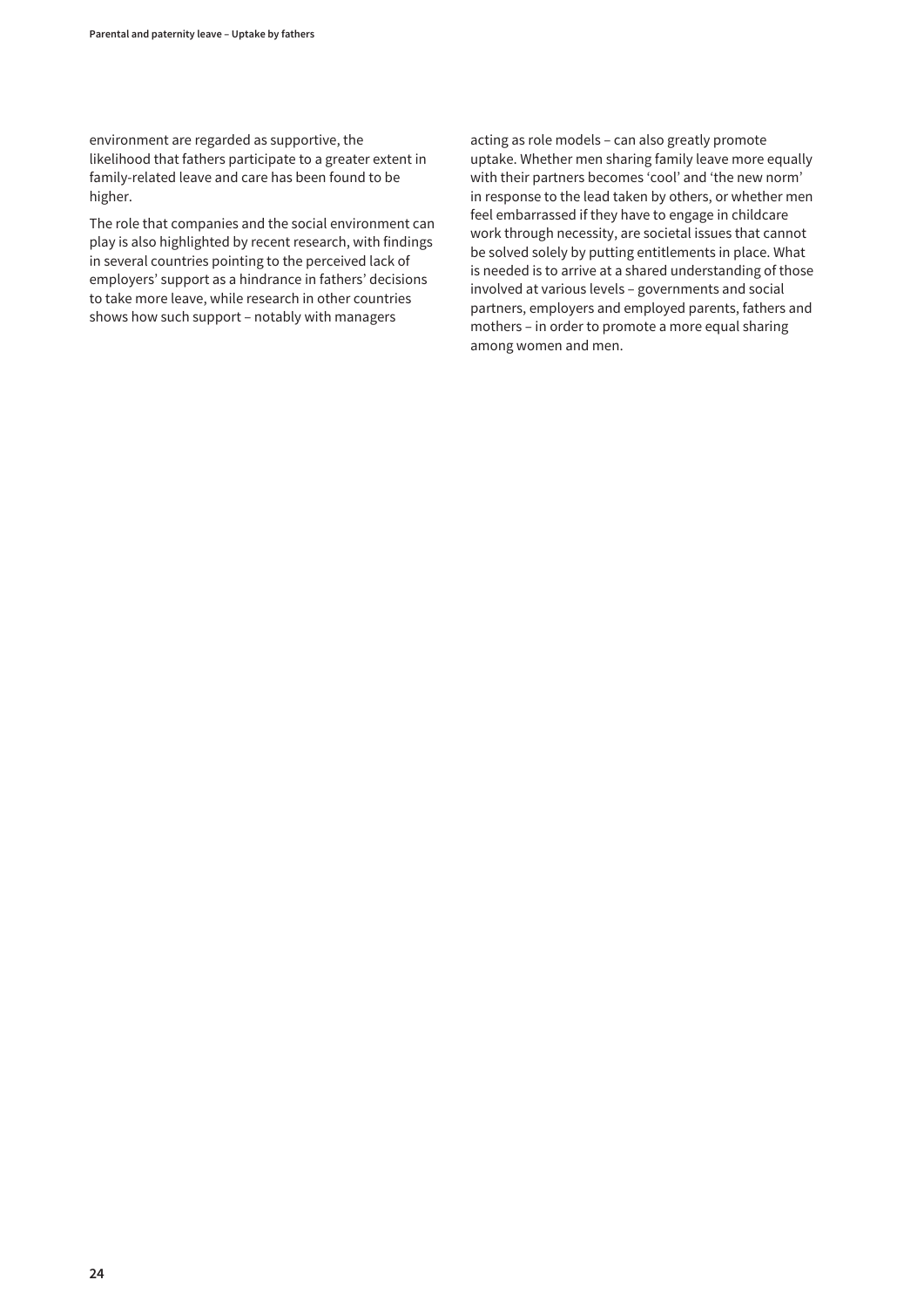environment are regarded as supportive, the likelihood that fathers participate to a greater extent in family-related leave and care has been found to be higher.

The role that companies and the social environment can play is also highlighted by recent research, with findings in several countries pointing to the perceived lack of employers' support as a hindrance in fathers' decisions to take more leave, while research in other countries shows how such support – notably with managers

acting as role models – can also greatly promote uptake. Whether men sharing family leave more equally with their partners becomes 'cool' and 'the new norm' in response to the lead taken by others, or whether men feel embarrassed if they have to engage in childcare work through necessity, are societal issues that cannot be solved solely by putting entitlements in place. What is needed is to arrive at a shared understanding of those involved at various levels – governments and social partners, employers and employed parents, fathers and mothers – in order to promote a more equal sharing among women and men.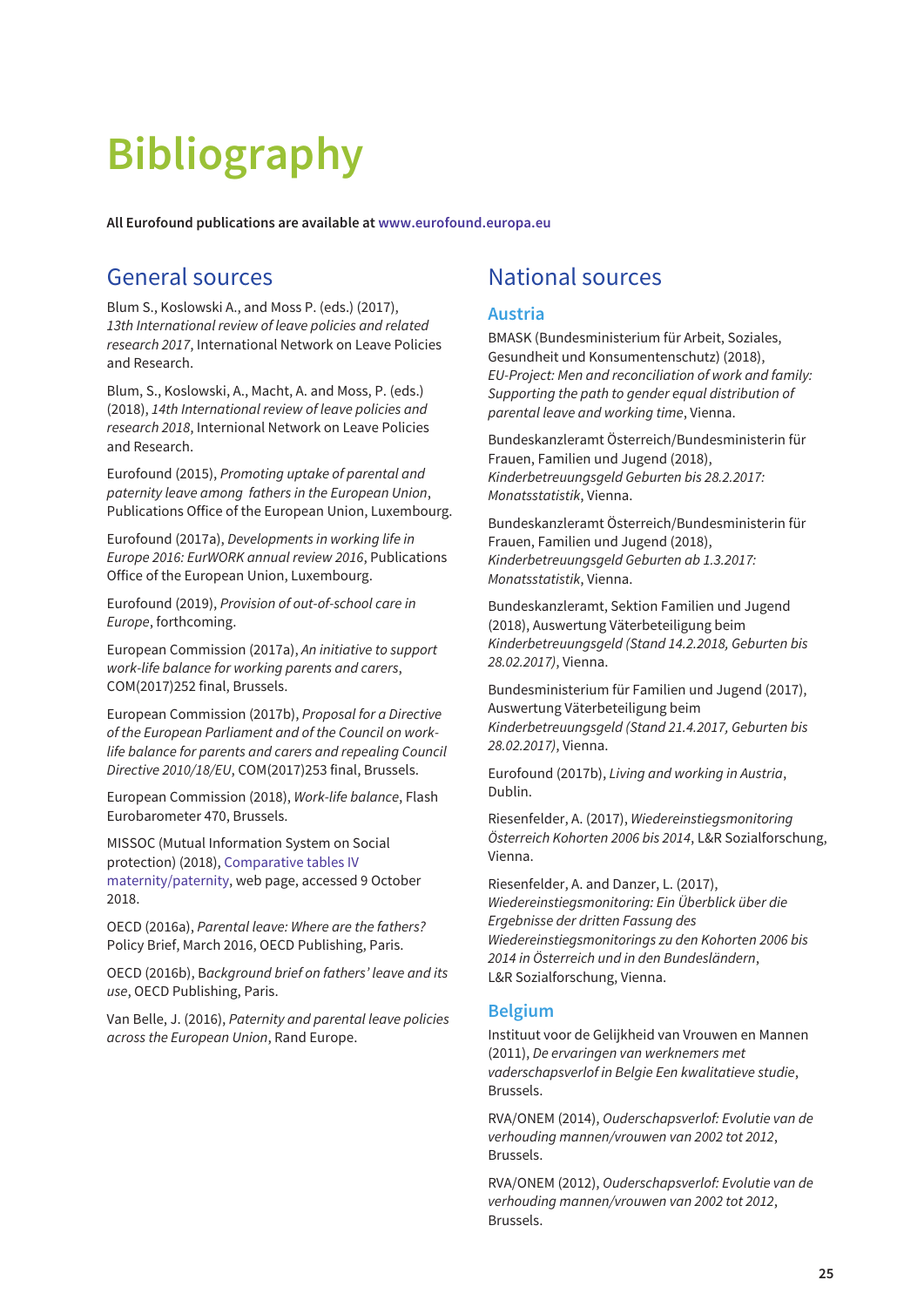# <span id="page-30-0"></span>**Bibliography**

**All Eurofound publications are available at [www.eurofound.europa.eu](http://www.eurofound.europa.eu)**

## General sources

Blum S., Koslowski A., and Moss P. (eds.) (2017), 13th International review of leave policies and related research 2017, International Network on Leave Policies and Research.

Blum, S., Koslowski, A., Macht, A. and Moss, P. (eds.) (2018), 14th International review of leave policies and research 2018, Internional Network on Leave Policies and Research.

Eurofound (2015), Promoting uptake of parental and paternity leave among fathers in the European Union, Publications Office of the European Union, Luxembourg.

Eurofound (2017a), Developments in working life in Europe 2016: EurWORK annual review 2016, Publications Office of the European Union, Luxembourg.

Eurofound (2019), Provision of out-of-school care in Europe, forthcoming.

European Commission (2017a), An initiative to support work-life balance for working parents and carers, COM(2017)252 final, Brussels.

European Commission (2017b), Proposal for a Directive of the European Parliament and of the Council on worklife balance for parents and carers and repealing Council Directive 2010/18/EU, COM(2017)253 final, Brussels.

European Commission (2018), Work-life balance, Flash Eurobarometer 470, Brussels.

MISSOC (Mutual Information System on Social protection) (2018), Comparative tables IV [maternity/paternity, web page, accessed 9 October](https://www.missoc.org/missoc-database/comparative-tables/) 2018.

OECD (2016a), Parental leave: Where are the fathers? Policy Brief, March 2016, OECD Publishing, Paris.

OECD (2016b), Background brief on fathers' leave and its use, OECD Publishing, Paris.

Van Belle, J. (2016), Paternity and parental leave policies across the European Union, Rand Europe.

## National sources

#### **Austria**

BMASK (Bundesministerium für Arbeit, Soziales, Gesundheit und Konsumentenschutz) (2018), EU-Project: Men and reconciliation of work and family: Supporting the path to gender equal distribution of parental leave and working time, Vienna.

Bundeskanzleramt Österreich/Bundesministerin für Frauen, Familien und Jugend (2018), Kinderbetreuungsgeld Geburten bis 28.2.2017: Monatsstatistik, Vienna.

Bundeskanzleramt Österreich/Bundesministerin für Frauen, Familien und Jugend (2018), Kinderbetreuungsgeld Geburten ab 1.3.2017: Monatsstatistik, Vienna.

Bundeskanzleramt, Sektion Familien und Jugend (2018), Auswertung Väterbeteiligung beim Kinderbetreuungsgeld (Stand 14.2.2018, Geburten bis 28.02.2017), Vienna.

Bundesministerium für Familien und Jugend (2017), Auswertung Väterbeteiligung beim Kinderbetreuungsgeld (Stand 21.4.2017, Geburten bis 28.02.2017), Vienna.

Eurofound (2017b), Living and working in Austria, Dublin.

Riesenfelder, A. (2017), Wiedereinstiegsmonitoring Österreich Kohorten 2006 bis 2014, L&R Sozialforschung, Vienna.

Riesenfelder, A. and Danzer, L. (2017), Wiedereinstiegsmonitoring: Ein Überblick über die Ergebnisse der dritten Fassung des Wiedereinstiegsmonitorings zu den Kohorten 2006 bis 2014 in Österreich und in den Bundesländern, L&R Sozialforschung, Vienna.

#### **Belgium**

Instituut voor de Gelijkheid van Vrouwen en Mannen (2011), De ervaringen van werknemers met vaderschapsverlof in Belgie Een kwalitatieve studie, Brussels.

RVA/ONEM (2014), Ouderschapsverlof: Evolutie van de verhouding mannen/vrouwen van 2002 tot 2012, Brussels.

RVA/ONEM (2012), Ouderschapsverlof: Evolutie van de verhouding mannen/vrouwen van 2002 tot 2012, Brussels.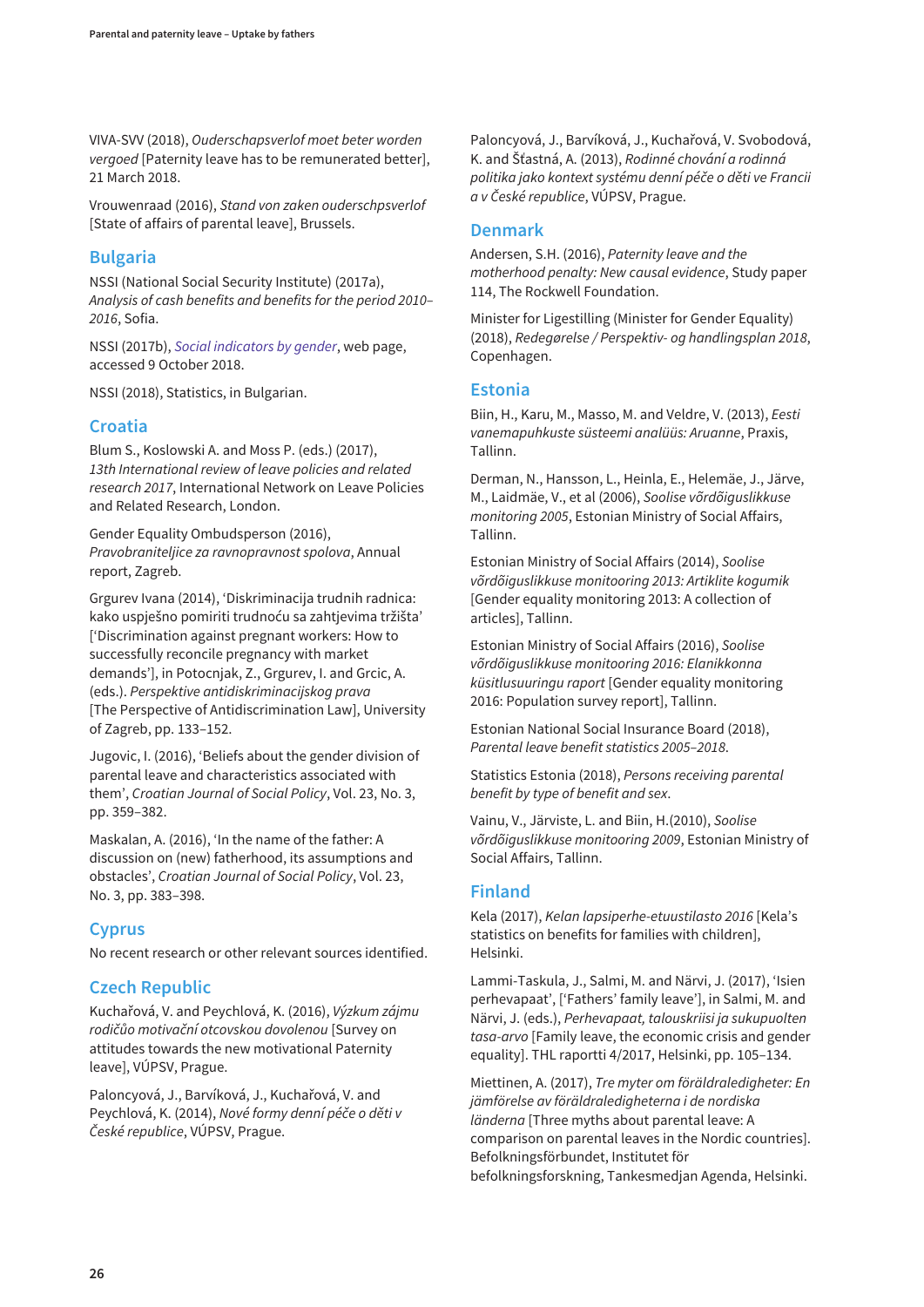VIVA-SVV (2018), Ouderschapsverlof moet beter worden vergoed [Paternity leave has to be remunerated better], 21 March 2018.

Vrouwenraad (2016), Stand von zaken ouderschpsverlof [State of affairs of parental leave], Brussels.

#### **Bulgaria**

NSSI (National Social Security Institute) (2017a), Analysis of cash benefits and benefits for the period 2010– 2016, Sofia.

NSSI (2017b), [Social indicators by gender](http://www.nssi.bg/en/abouten/statistics/1430-indgender), web page, accessed 9 October 2018.

NSSI (2018), Statistics, in Bulgarian.

#### **Croatia**

Blum S., Koslowski A. and Moss P. (eds.) (2017), 13th International review of leave policies and related research 2017, International Network on Leave Policies and Related Research, London.

Gender Equality Ombudsperson (2016), Pravobraniteljice za ravnopravnost spolova, Annual report, Zagreb.

Grgurev Ivana (2014), 'Diskriminacija trudnih radnica: kako uspješno pomiriti trudnoću sa zahtjevima tržišta' ['Discrimination against pregnant workers: How to successfully reconcile pregnancy with market demands'], in Potocnjak, Z., Grgurev, I. and Grcic, A. (eds.). Perspektive antidiskriminacijskog prava [The Perspective of Antidiscrimination Law], University of Zagreb, pp. 133–152.

Jugovic, I. (2016), 'Beliefs about the gender division of parental leave and characteristics associated with them', Croatian Journal of Social Policy, Vol. 23, No. 3, pp. 359–382.

Maskalan, A. (2016), 'In the name of the father: A discussion on (new) fatherhood, its assumptions and obstacles', Croatian Journal of Social Policy, Vol. 23, No. 3, pp. 383–398.

#### **Cyprus**

No recent research or other relevant sources identified.

#### **Czech Republic**

Kuchařová, V. and Peychlová, K. (2016), Výzkum zájmu rodičůo motivační otcovskou dovolenou [Survey on attitudes towards the new motivational Paternity leave], VÚPSV, Prague.

Paloncyová, J., Barvíková, J., Kuchařová, V. and Peychlová, K. (2014), Nové formy denní péče o děti v České republice, VÚPSV, Prague.

Paloncyová, J., Barvíková, J., Kuchařová, V. Svobodová, K. and Šťastná, A. (2013), Rodinné chování a rodinná politika jako kontext systému denní péče o děti ve Francii a v České republice, VÚPSV, Prague.

#### **Denmark**

Andersen, S.H. (2016), Paternity leave and the motherhood penalty: New causal evidence, Study paper 114, The Rockwell Foundation.

Minister for Ligestilling (Minister for Gender Equality) (2018), Redegørelse / Perspektiv- og handlingsplan 2018, Copenhagen.

#### **Estonia**

Biin, H., Karu, M., Masso, M. and Veldre, V. (2013), Eesti vanemapuhkuste süsteemi analüüs: Aruanne, Praxis, Tallinn.

Derman, N., Hansson, L., Heinla, E., Helemäe, J., Järve, M., Laidmäe, V., et al (2006), Soolise võrdõiguslikkuse monitoring 2005, Estonian Ministry of Social Affairs, Tallinn.

Estonian Ministry of Social Affairs (2014), Soolise võrdõiguslikkuse monitooring 2013: Artiklite kogumik [Gender equality monitoring 2013: A collection of articles], Tallinn.

Estonian Ministry of Social Affairs (2016), Soolise võrdõiguslikkuse monitooring 2016: Elanikkonna küsitlusuuringu raport [Gender equality monitoring 2016: Population survey report], Tallinn.

Estonian National Social Insurance Board (2018), Parental leave benefit statistics 2005–2018.

Statistics Estonia (2018), Persons receiving parental benefit by type of benefit and sex.

Vainu, V., Järviste, L. and Biin, H.(2010), Soolise võrdõiguslikkuse monitooring 2009, Estonian Ministry of Social Affairs, Tallinn.

#### **Finland**

Kela (2017), Kelan lapsiperhe-etuustilasto 2016 [Kela's statistics on benefits for families with children], Helsinki.

Lammi-Taskula, J., Salmi, M. and Närvi, J. (2017), 'Isien perhevapaat', ['Fathers' family leave'], in Salmi, M. and Närvi, J. (eds.), Perhevapaat, talouskriisi ja sukupuolten tasa-arvo [Family leave, the economic crisis and gender equality]. THL raportti 4/2017, Helsinki, pp. 105–134.

Miettinen, A. (2017), Tre myter om föräldraledigheter: En jämförelse av föräldraledigheterna i de nordiska länderna [Three myths about parental leave: A comparison on parental leaves in the Nordic countries]. Befolkningsförbundet, Institutet för befolkningsforskning, Tankesmedjan Agenda, Helsinki.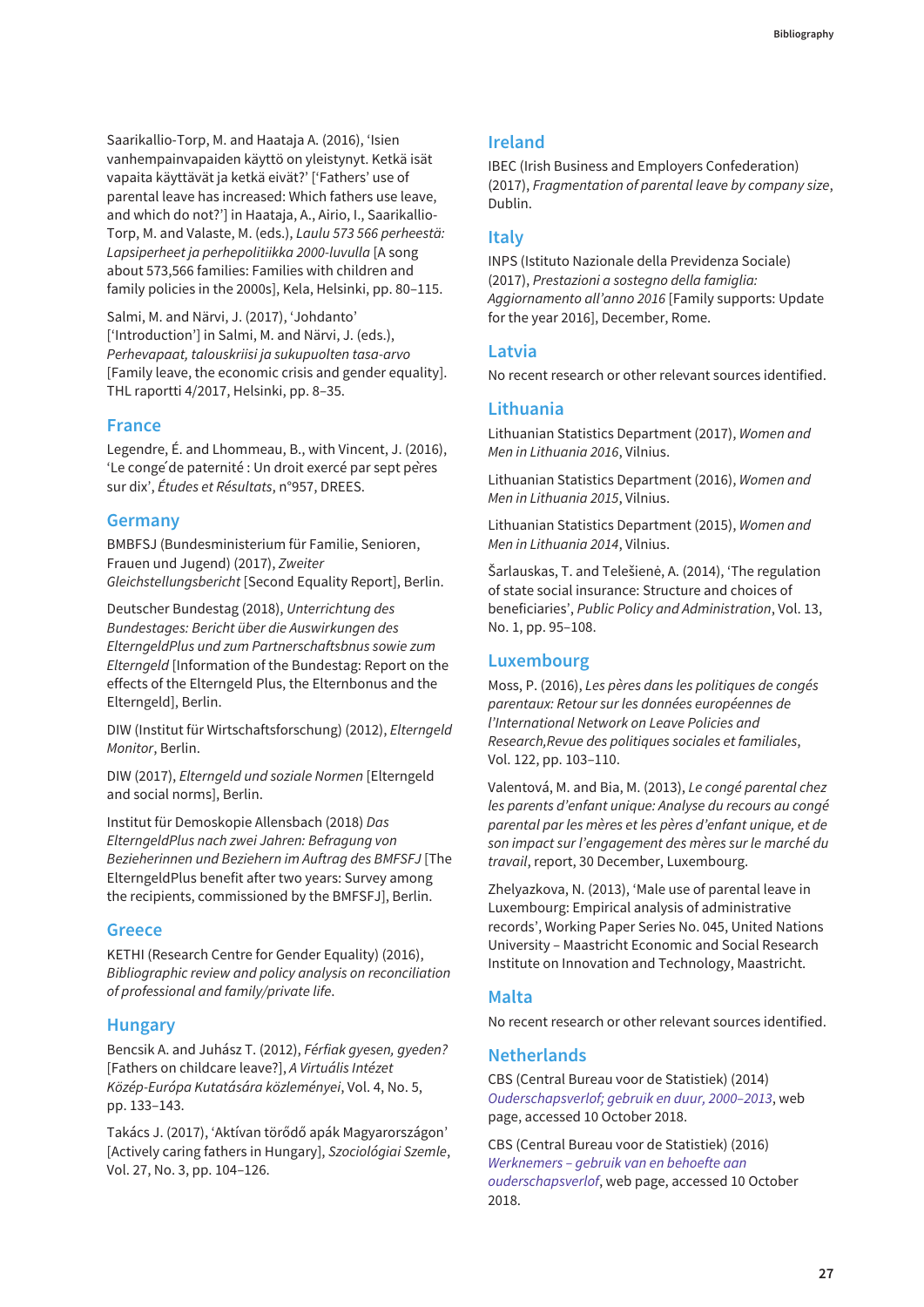Saarikallio-Torp, M. and Haataja A. (2016), 'Isien vanhempainvapaiden käyttö on yleistynyt. Ketkä isät vapaita käyttävät ja ketkä eivät?' ['Fathers' use of parental leave has increased: Which fathers use leave, and which do not?'] in Haataja, A., Airio, I., Saarikallio-Torp, M. and Valaste, M. (eds.), Laulu 573 566 perheestä: Lapsiperheet ja perhepolitiikka 2000-luvulla [A song about 573,566 families: Families with children and family policies in the 2000s], Kela, Helsinki, pp. 80–115.

Salmi, M. and Närvi, J. (2017), 'Johdanto' ['Introduction'] in Salmi, M. and Närvi, J. (eds.), Perhevapaat, talouskriisi ja sukupuolten tasa-arvo [Family leave, the economic crisis and gender equality]. THL raportti 4/2017, Helsinki, pp. 8–35.

#### **France**

Legendre, É. and Lhommeau, B., with Vincent, J. (2016), 'Le congé de paternité : Un droit exercé par sept pères sur dix', Études et Résultats, n°957, DREES.

#### **Germany**

BMBFSJ (Bundesministerium für Familie, Senioren, Frauen und Jugend) (2017), Zweiter Gleichstellungsbericht [Second Equality Report], Berlin.

Deutscher Bundestag (2018), Unterrichtung des Bundestages: Bericht über die Auswirkungen des ElterngeldPlus und zum Partnerschaftsbnus sowie zum Elterngeld [Information of the Bundestag: Report on the effects of the Elterngeld Plus, the Elternbonus and the Elterngeld], Berlin.

DIW (Institut für Wirtschaftsforschung) (2012), Elterngeld Monitor, Berlin.

DIW (2017), Elterngeld und soziale Normen [Elterngeld and social norms], Berlin.

Institut für Demoskopie Allensbach (2018) Das ElterngeldPlus nach zwei Jahren: Befragung von Bezieherinnen und Beziehern im Auftrag des BMFSFJ [The ElterngeldPlus benefit after two years: Survey among the recipients, commissioned by the BMFSFJ], Berlin.

#### **Greece**

KETHI (Research Centre for Gender Equality) (2016), Bibliographic review and policy analysis on reconciliation of professional and family/private life.

#### **Hungary**

Bencsik A. and Juhász T. (2012), Férfiak gyesen, gyeden? [Fathers on childcare leave?], A Virtuális Intézet Közép-Európa Kutatására közleményei, Vol. 4, No. 5, pp. 133–143.

Takács J. (2017), 'Aktívan törődő apák Magyarországon' [Actively caring fathers in Hungary], Szociológiai Szemle, Vol. 27, No. 3, pp. 104–126.

#### **Ireland**

IBEC (Irish Business and Employers Confederation) (2017), Fragmentation of parental leave by company size, Dublin.

#### **Italy**

INPS (Istituto Nazionale della Previdenza Sociale) (2017), Prestazioni a sostegno della famiglia: Aggiornamento all'anno 2016 [Family supports: Update for the year 2016], December, Rome.

#### **Latvia**

No recent research or other relevant sources identified.

#### **Lithuania**

Lithuanian Statistics Department (2017), Women and Men in Lithuania 2016, Vilnius.

Lithuanian Statistics Department (2016), Women and Men in Lithuania 2015, Vilnius.

Lithuanian Statistics Department (2015), Women and Men in Lithuania 2014, Vilnius.

Šarlauskas, T. and Telešienė, A. (2014), 'The regulation of state social insurance: Structure and choices of beneficiaries', Public Policy and Administration, Vol. 13, No. 1, pp. 95–108.

#### **Luxembourg**

Moss, P. (2016), Les pères dans les politiques de congés parentaux: Retour sur les données européennes de l'International Network on Leave Policies and Research,Revue des politiques sociales et familiales, Vol. 122, pp. 103–110.

Valentová, M. and Bia, M. (2013), Le congé parental chez les parents d'enfant unique: Analyse du recours au congé parental par les mères et les pères d'enfant unique, et de son impact sur l'engagement des mères sur le marché du travail, report, 30 December, Luxembourg.

Zhelyazkova, N. (2013), 'Male use of parental leave in Luxembourg: Empirical analysis of administrative records', Working Paper Series No. 045, United Nations University – Maastricht Economic and Social Research Institute on Innovation and Technology, Maastricht.

#### **Malta**

No recent research or other relevant sources identified.

#### **Netherlands**

CBS (Central Bureau voor de Statistiek) (2014) [Ouderschapsverlof; gebruik en duur, 2000–2013](https://statline.cbs.nl/StatWeb/publication/?VW=T&DM=SLNL&PA=72022ned&LA), web page, accessed 10 October 2018.

CBS (Central Bureau voor de Statistiek) (2016) [Werknemers – gebruik van en behoefte aan](https://www.cbs.nl/nl-nl/maatwerk/2016/32/werknemers-gebruik-van-en-behoefte-aan-ouderschapsverlof) ouderschapsverlof, web page, accessed 10 October 2018.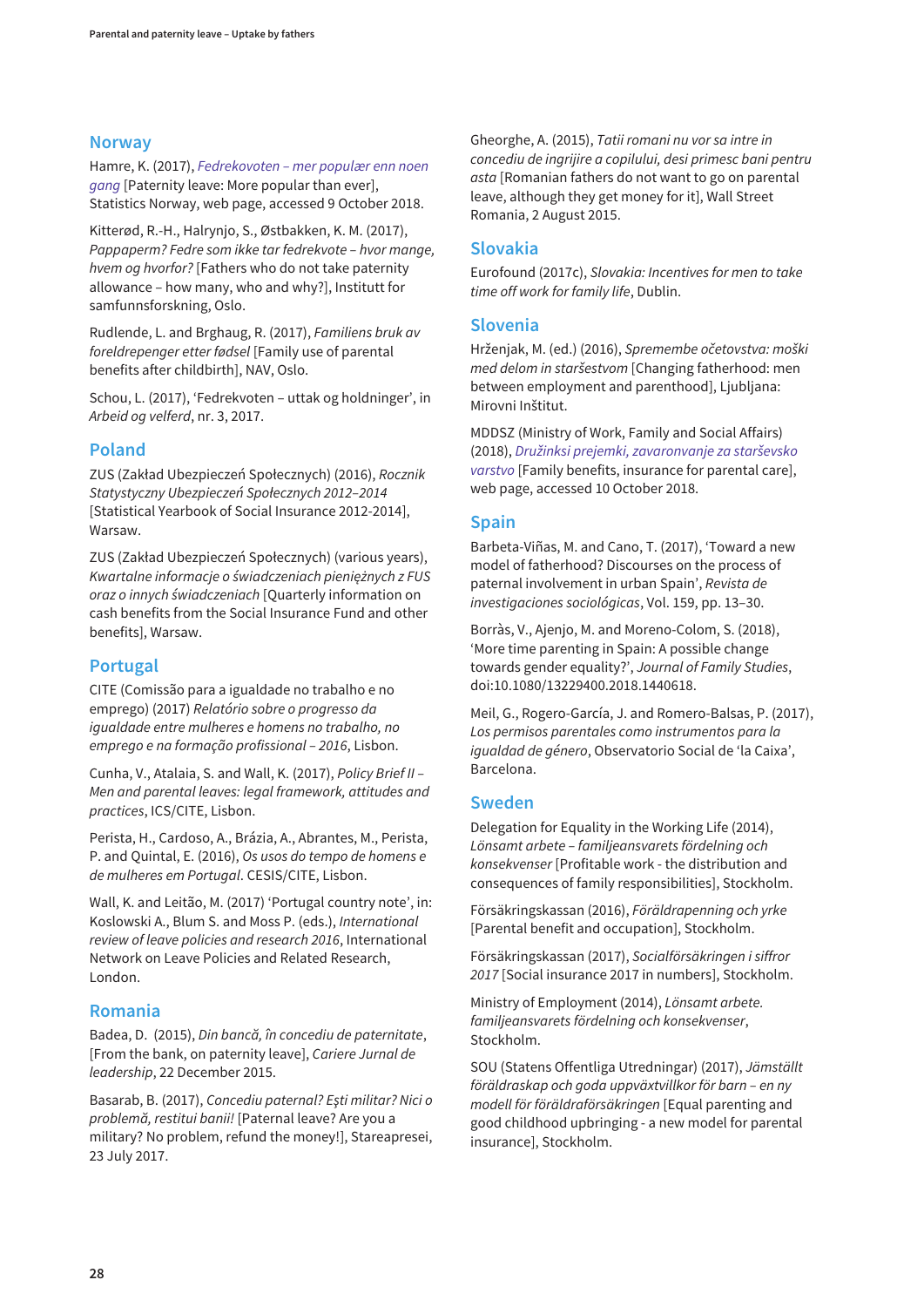#### **Norway**

Hamre, K. (2017), Fedrekovoten – mer populær enn noen gang [Paternity leave: More popular than ever], [Statistics Norway, web page, accessed 9 October 2018.](https://www.ssb.no/befolkning/artikler-og-publikasjoner/fedrekvoten-mer-populaer-enn-noen-gang--298200?tabell=298321)

Kitterød, R.-H., Halrynjo, S., Østbakken, K. M. (2017), Pappaperm? Fedre som ikke tar fedrekvote – hvor mange, hvem og hvorfor? [Fathers who do not take paternity allowance – how many, who and why?], Institutt for samfunnsforskning, Oslo.

Rudlende, L. and Brghaug, R. (2017), Familiens bruk av foreldrepenger etter fødsel [Family use of parental benefits after childbirth], NAV, Oslo.

Schou, L. (2017), 'Fedrekvoten – uttak og holdninger', in Arbeid og velferd, nr. 3, 2017.

#### **Poland**

ZUS (Zakład Ubezpieczeń Społecznych) (2016), Rocznik Statystyczny Ubezpieczeń Społecznych 2012–2014 [Statistical Yearbook of Social Insurance 2012-2014], Warsaw.

ZUS (Zakład Ubezpieczeń Społecznych) (various years), Kwartalne informacje o świadczeniach pieniężnych z FUS oraz o innych świadczeniach [Quarterly information on cash benefits from the Social Insurance Fund and other benefits], Warsaw.

#### **Portugal**

CITE (Comissão para a igualdade no trabalho e no emprego) (2017) Relatório sobre o progresso da igualdade entre mulheres e homens no trabalho, no emprego e na formação profissional – 2016, Lisbon.

Cunha, V., Atalaia, S. and Wall, K. (2017), Policy Brief II – Men and parental leaves: legal framework, attitudes and practices, ICS/CITE, Lisbon.

Perista, H., Cardoso, A., Brázia, A., Abrantes, M., Perista, P. and Quintal, E. (2016), Os usos do tempo de homens e de mulheres em Portugal. CESIS/CITE, Lisbon.

Wall, K. and Leitão, M. (2017) 'Portugal country note', in: Koslowski A., Blum S. and Moss P. (eds.), International review of leave policies and research 2016, International Network on Leave Policies and Related Research, London.

#### **Romania**

Badea, D. (2015), Din bancă, în concediu de paternitate, [From the bank, on paternity leave], Cariere Jurnal de leadership, 22 December 2015.

Basarab, B. (2017), Concediu paternal? Eşti militar? Nici o problemă, restitui banii! [Paternal leave? Are you a military? No problem, refund the money!], Stareapresei, 23 July 2017.

Gheorghe, A. (2015), Tatii romani nu vor sa intre in concediu de ingrijire a copilului, desi primesc bani pentru asta [Romanian fathers do not want to go on parental leave, although they get money for it], Wall Street Romania, 2 August 2015.

#### **Slovakia**

Eurofound (2017c), Slovakia: Incentives for men to take time off work for family life, Dublin.

#### **Slovenia**

Hrženjak, M. (ed.) (2016), Spremembe očetovstva: moški med delom in staršestvom [Changing fatherhood: men between employment and parenthood], Ljubljana: Mirovni Inštitut.

[MDDSZ \(Ministry of Work, Family and Social Affairs\)](http://www.mddsz.gov.si/si/uveljavljanje_pravic/statistika/druz_prejemki_zavarovanje_sv/) (2018), Družinksi prejemki, zavaronvanje za starševsko varstvo [Family benefits, insurance for parental care], web page, accessed 10 October 2018.

#### **Spain**

Barbeta-Viñas, M. and Cano, T. (2017), 'Toward a new model of fatherhood? Discourses on the process of paternal involvement in urban Spain', Revista de investigaciones sociológicas, Vol. 159, pp. 13–30.

Borràs, V., Ajenjo, M. and Moreno-Colom, S. (2018), 'More time parenting in Spain: A possible change towards gender equality?', Journal of Family Studies, doi:10.1080/13229400.2018.1440618.

Meil, G., Rogero-García, J. and Romero-Balsas, P. (2017), Los permisos parentales como instrumentos para la igualdad de género, Observatorio Social de 'la Caixa', Barcelona.

#### **Sweden**

Delegation for Equality in the Working Life (2014), Lönsamt arbete – familjeansvarets fördelning och konsekvenser [Profitable work - the distribution and consequences of family responsibilities], Stockholm.

Försäkringskassan (2016), Föräldrapenning och yrke [Parental benefit and occupation], Stockholm.

Försäkringskassan (2017), Socialförsäkringen i siffror 2017 [Social insurance 2017 in numbers], Stockholm.

Ministry of Employment (2014), Lönsamt arbete. familjeansvarets fördelning och konsekvenser, Stockholm.

SOU (Statens Offentliga Utredningar) (2017), Jämställt föräldraskap och goda uppväxtvillkor för barn – en ny modell för föräldraförsäkringen [Equal parenting and good childhood upbringing - a new model for parental insurance], Stockholm.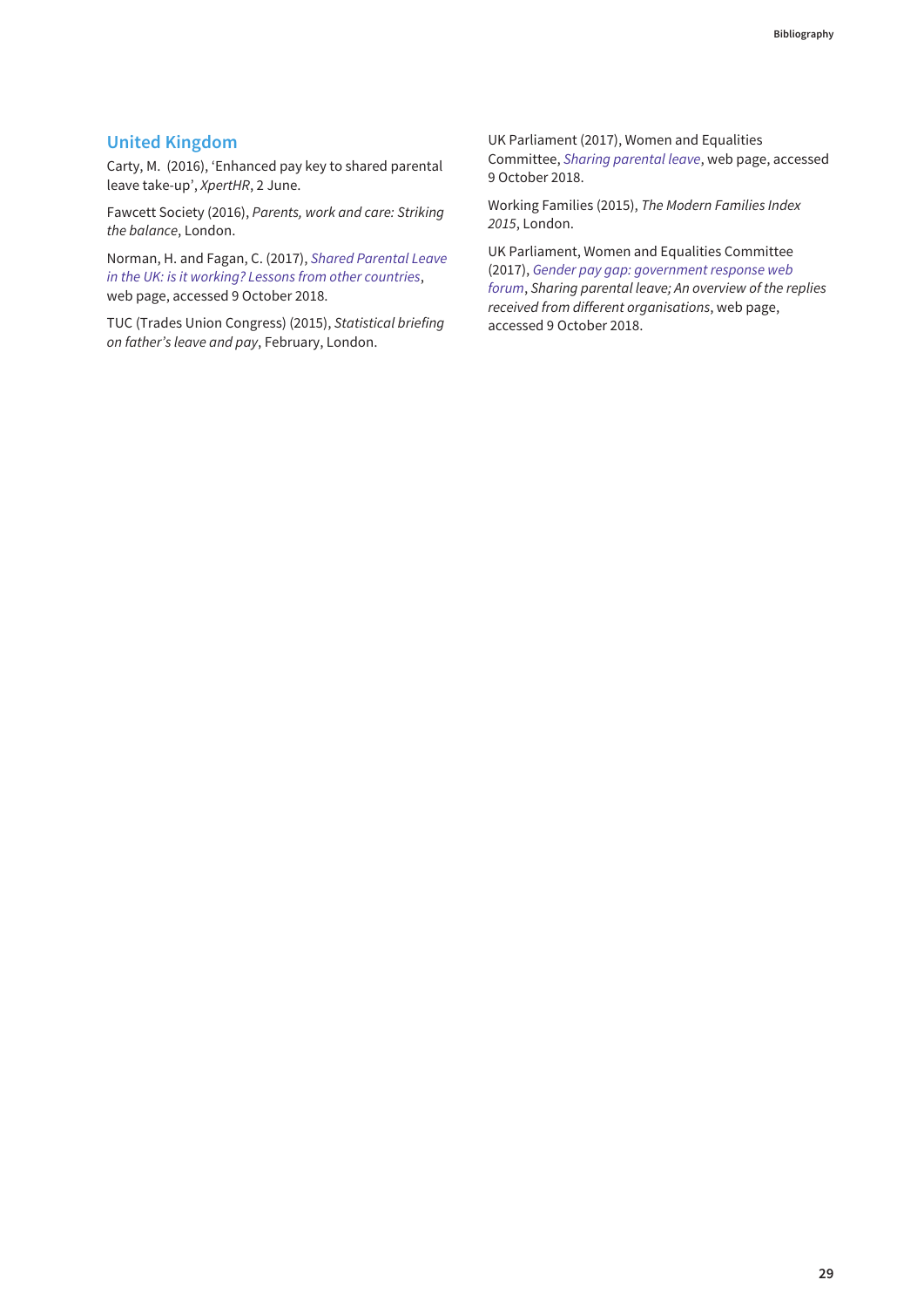#### **United Kingdom**

Carty, M. (2016), 'Enhanced pay key to shared parental leave take-up', XpertHR, 2 June.

Fawcett Society (2016), Parents, work and care: Striking the balance, London.

Norman, H. and Fagan, C. (2017), Shared Parental Leave [in the UK: is it working? Lessons from other countries](https://www.workingfamilies.org.uk/workflex-blog/shared-parental-leave-in-the-uk-is-it-working-lessons-from-other-countries/), web page, accessed 9 October 2018.

TUC (Trades Union Congress) (2015), Statistical briefing on father's leave and pay, February, London.

[UK Parliament \(2017\), Women and Equalities](https://www.parliament.uk/business/committees/committees-a-z/commons-select/women-and-equalities-committee/gender-pay-gap-evidence-check-forum/sharing-parental-leave/) Committee, Sharing parental leave, web page, accessed 9 October 2018.

Working Families (2015), The Modern Families Index 2015, London.

[UK Parliament, Women and Equalities Committee](https://www.parliament.uk/business/committees/committees-a-z/commons-select/women-and-equalities-committee/gender-pay-gap-evidence-check-forum/sharing-parental-leave/) (2017), Gender pay gap: government response web forum, Sharing parental leave; An overview of the replies received from different organisations, web page, accessed 9 October 2018.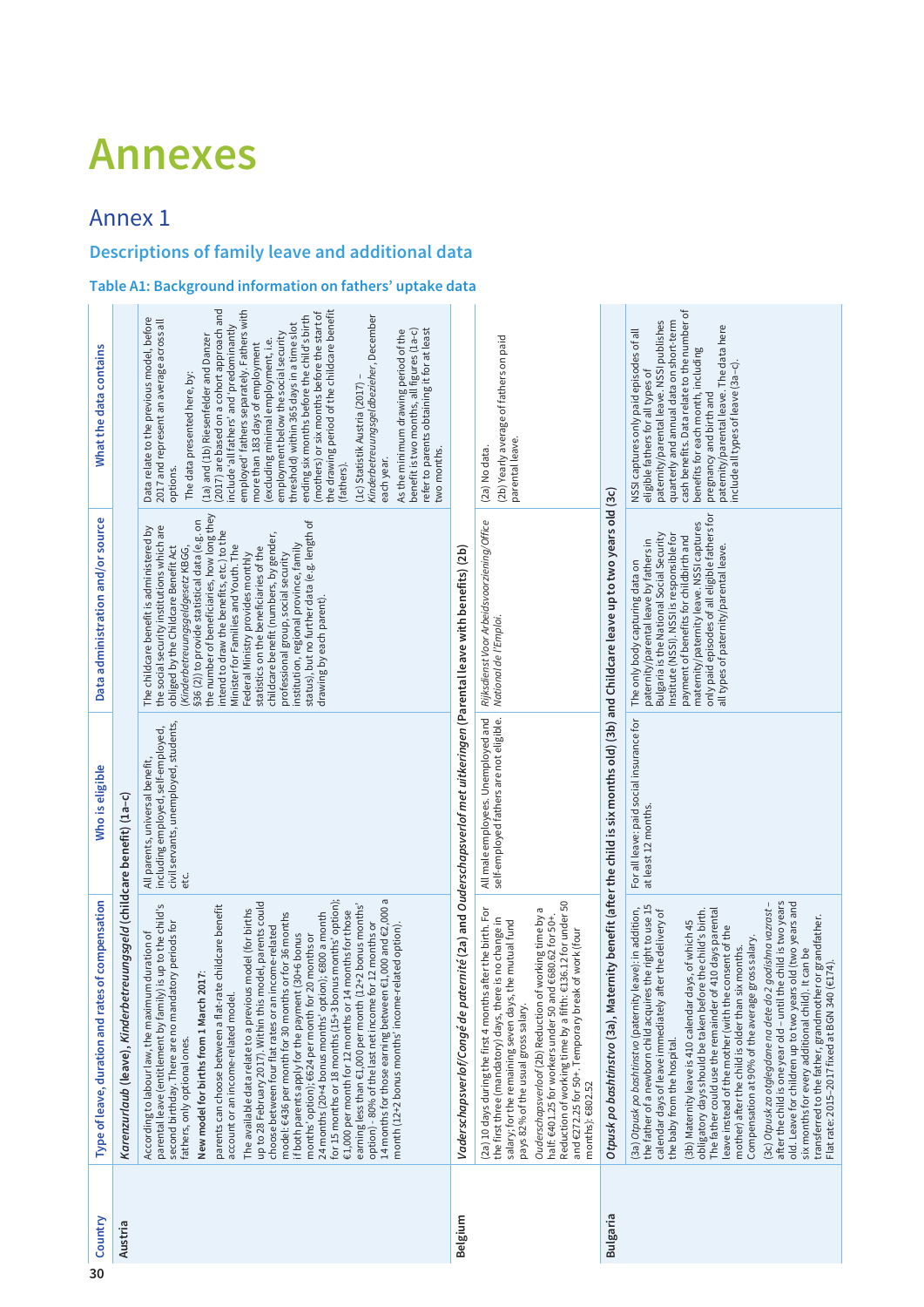## <span id="page-35-0"></span>**Annexes**

## Annex 1

## **Descriptions of family leave and additional data**

#### **Table A1: Background information on fathers' uptake data**

| 30 | Country         | Type of leave, duration and rates of compensation                                                                                                                                                                                                                                                                                                                                                                                                                                                                                                                                                                                                                                                                                                                                                                                                                                                                                                                                                                                                                                                                                                  | Who is eligible                                                                                                         | Data administration and/or source                                                                                                                                                                                                                                                                                                                                                                                                                                                                                                                                                                                                             | What the data contains                                                                                                                                                                                                                                                                                                                                                                                                                                                                                                                                                                                                                                                                                                                                                                                                                                                                 |
|----|-----------------|----------------------------------------------------------------------------------------------------------------------------------------------------------------------------------------------------------------------------------------------------------------------------------------------------------------------------------------------------------------------------------------------------------------------------------------------------------------------------------------------------------------------------------------------------------------------------------------------------------------------------------------------------------------------------------------------------------------------------------------------------------------------------------------------------------------------------------------------------------------------------------------------------------------------------------------------------------------------------------------------------------------------------------------------------------------------------------------------------------------------------------------------------|-------------------------------------------------------------------------------------------------------------------------|-----------------------------------------------------------------------------------------------------------------------------------------------------------------------------------------------------------------------------------------------------------------------------------------------------------------------------------------------------------------------------------------------------------------------------------------------------------------------------------------------------------------------------------------------------------------------------------------------------------------------------------------------|----------------------------------------------------------------------------------------------------------------------------------------------------------------------------------------------------------------------------------------------------------------------------------------------------------------------------------------------------------------------------------------------------------------------------------------------------------------------------------------------------------------------------------------------------------------------------------------------------------------------------------------------------------------------------------------------------------------------------------------------------------------------------------------------------------------------------------------------------------------------------------------|
|    | Austria         | Karenzurlaub (leave), Kinderbetreuungsgeld (childcare benefit) (1a-c)                                                                                                                                                                                                                                                                                                                                                                                                                                                                                                                                                                                                                                                                                                                                                                                                                                                                                                                                                                                                                                                                              |                                                                                                                         |                                                                                                                                                                                                                                                                                                                                                                                                                                                                                                                                                                                                                                               |                                                                                                                                                                                                                                                                                                                                                                                                                                                                                                                                                                                                                                                                                                                                                                                                                                                                                        |
|    |                 | for 15 months or 18 months (15+3 bonus months' option);<br>14 months for those earning between $\epsilon$ 1,000 and $\epsilon$ 2,000 a<br>up to 28 February 2017). Within this model, parents could<br>earning less than €1,000 per month (12+2 bonus months'<br>parental leave (entitlement by family) is up to the child's<br>parents can choose between a flat-rate childcare benefit<br>The available data relate to a previous model (for births<br>€1,000 per month for 12 months or 14 months for those<br>model: €436 per month for 30 months or for 36 months<br>24 months (20+4 bonus months' option); €800 a month<br>option) - 80% of the last net income for 12 months or<br>atory periods for<br>month (12+2 bonus months' income-related option).<br>income-related<br>According to labour law, the maximum duration of<br>if both parents apply for the payment (30+6 bonus<br>months' option); €624 per month for 20 months or<br>2017:<br>account or an income-related model<br>second birthday. There are no mand:<br>choose between four flat rates or an<br>New model for births from 1 March<br>fathers, only optional ones. | civil servants, unemployed, students,<br>All parents, universal benefit,<br>including employed, self-employed,<br>et c. | the number of beneficiaries, how long they<br>status), but no further data (e.g. length of<br>§36 (2)) to provide statistical data (e.g. on<br>the social security institutions which are<br>The childcare benefit is administered by<br>intend to draw the benefits, etc.) to the<br>childcare benefit (numbers, by gender,<br>institution, regional province, family<br>(Kinderbetreuungsgeldgesetz KBGG,<br>obliged by the Childcare Benefit Act<br>Minister for Families and Youth. The<br>statistics on the beneficiaries of the<br>professional group, social security<br>Federal Ministry provides monthly<br>drawing by each parent). | (2017) are based on a cohort approach and<br>employed' fathers separately. Fathers with<br>the drawing period of the childcare benefit<br>(mothers) or six months before the start of<br>ending six months before the child's birth<br>Kinderbetreuungsgeldbezieher, December<br>Data relate to the previous model, before<br>2017 and represent an average across all<br>threshold) within 365 days in a time slot<br>include 'all fathers' and 'predominantly<br>refer to parents obtaining it for at least<br>benefit is two months, all figures (1a-c)<br>As the minimum drawing period of the<br>employment below the social security<br>(1a) and (1b) Riesenfelder and Danzer<br>(excluding minimal employment, i.e.<br>more than 183 days of employment<br>The data presented here, by:<br>(1c) Statistik Austria (2017)<br>two months.<br>each year.<br>(fathers).<br>options. |
|    | Belgium         | Vaderschapsverlof/Congé de paternité (2a) and Ouderschapsverlof met uitkeringen (Parental leave with benefits) (2b)                                                                                                                                                                                                                                                                                                                                                                                                                                                                                                                                                                                                                                                                                                                                                                                                                                                                                                                                                                                                                                |                                                                                                                         |                                                                                                                                                                                                                                                                                                                                                                                                                                                                                                                                                                                                                                               |                                                                                                                                                                                                                                                                                                                                                                                                                                                                                                                                                                                                                                                                                                                                                                                                                                                                                        |
|    |                 | Reduction of working time by a fifth: €136.12 for under 50<br><i>Ouderschapsverloof</i> (2b) Reduction of working time by a<br>half: <del>6</del> 401.25 for workers under 50 and <del>6</del> 680.62 for 50+.<br>(2a) 10 days during the first 4 months after the birth. For<br>e is no change in<br>salary; for the remaining seven days, the mutual fund<br>and €272.25 for 50+. Temporary break of work (four<br>the first three (mandatory) days, then<br>pays 82% of the usual gross salary.<br>months): $6802.52$                                                                                                                                                                                                                                                                                                                                                                                                                                                                                                                                                                                                                           | All male employees. Unemployed and<br>self-employed fathers are not eligible.                                           | Rijksdienst Voor Arbeidsvoorziening/Office<br>National de l'Emploi.                                                                                                                                                                                                                                                                                                                                                                                                                                                                                                                                                                           | (2b) Yearly average of fathers on paid<br>parental leave.<br>(2a) No data.                                                                                                                                                                                                                                                                                                                                                                                                                                                                                                                                                                                                                                                                                                                                                                                                             |
|    | <b>Bulgaria</b> | Otpusk po bashtinstvo (3a), Maternity benefit (after the child is six months old) (3b) and Childcare leave up to two years old (3c)                                                                                                                                                                                                                                                                                                                                                                                                                                                                                                                                                                                                                                                                                                                                                                                                                                                                                                                                                                                                                |                                                                                                                         |                                                                                                                                                                                                                                                                                                                                                                                                                                                                                                                                                                                                                                               |                                                                                                                                                                                                                                                                                                                                                                                                                                                                                                                                                                                                                                                                                                                                                                                                                                                                                        |
|    |                 | after the child is one year old - until the child is two years<br>old. Leave for children up to two years old (two years and<br>2 godishna vazrast-<br>the father of a newborn child acquires the right to use 15<br>calendar days of leave immediately after the delivery of<br>(3a) Otpusk po bashtinstvo (paternity leave): in addition,<br>The father could use the remainder of 410 days parental<br>obligatory days should be taken before the child's birth.<br>transferred to the father, grandmother or grandfather.<br>Flat rate: 2015–2017 fixed at BGN 340 (€174).<br>(3b) Maternity leave is 410 calendar days, of which 45<br>leave instead of the mother (with the consent of the<br>gross salary.<br>mother) after the child is older than six months.<br>six months for every additional child). It can be<br>Compensation at 90% of the average<br>(3c) Otpusk za otglegdane na dete do<br>the baby from the hospital.                                                                                                                                                                                                           | For all leave: paid social insurance for<br>at least 12 months.                                                         | only paid episodes of all eligible fathers for<br>maternity/paternity leave. NSSI captures<br>Institute (NSSI). NSSI is responsible for<br>Bulgaria is the National Social Security<br>payment of benefits for childbirth and<br>paternity/parental leave by fathers in<br>all types of paternity/parental leave.<br>The only body capturing data on                                                                                                                                                                                                                                                                                          | cash benefits. Data relate to the number of<br>quarterly and annual data on short-term<br>paternity/parental leave. NSSI publishes<br>paternity/parental leave. The data here<br>NSSI captures only paid episodes of all<br>benefits for each month, including<br>include all types of leave (3a-c)<br>eligible fathers for all types of<br>pregnancy and birth and                                                                                                                                                                                                                                                                                                                                                                                                                                                                                                                    |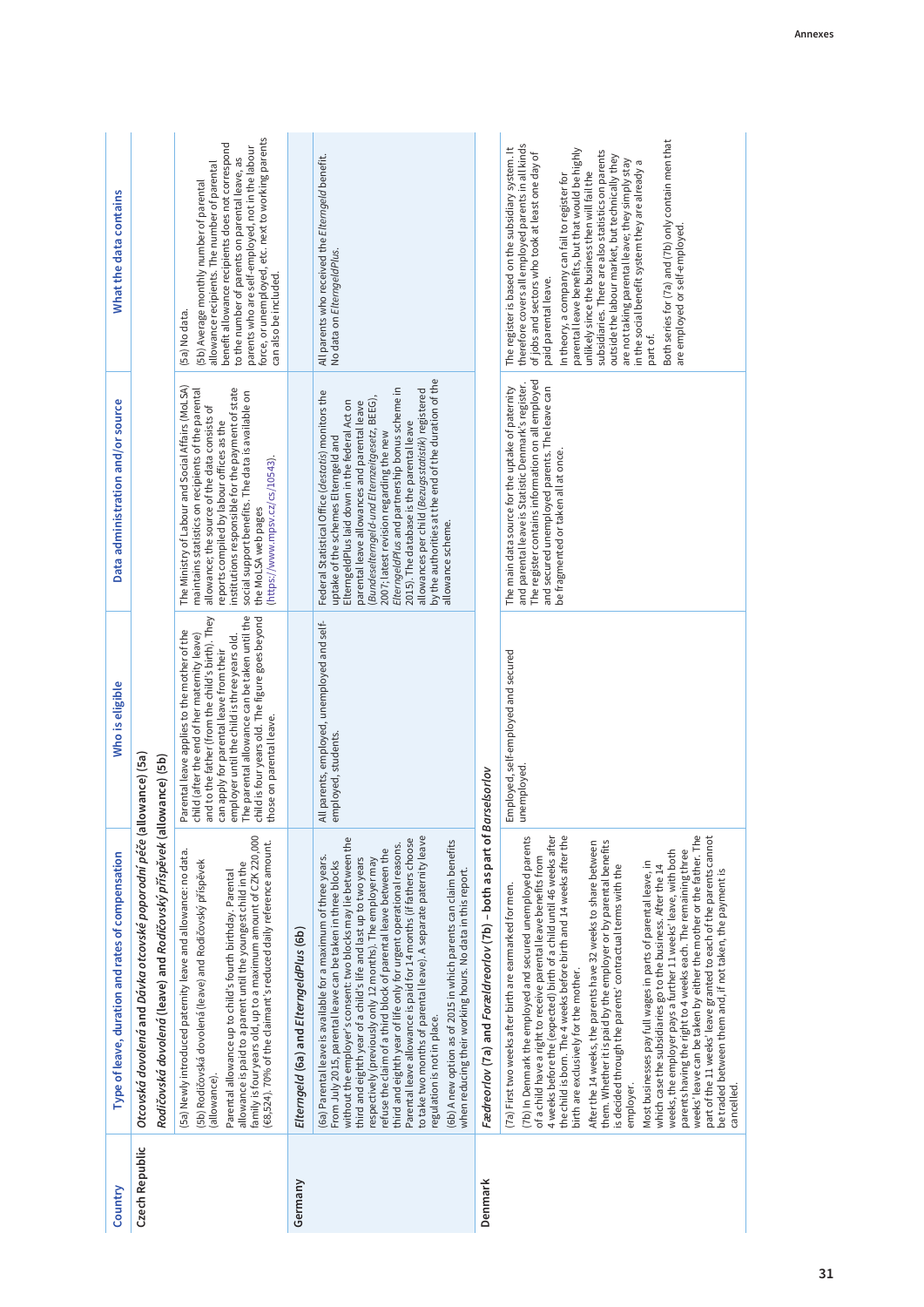| Country        | Type of leave, duration and rates of compensation                                                                                                                                                                                                                                                                                                                                                                                                                                                                                                                                                                                                                                                                                                                                                                                                                                                                                                                                                                                                                                       | Who is eligible                                                                                                                                                                                                                                                                                                                                                            | Data administration and/or source                                                                                                                                                                                                                                                                                                                                                                                                                                                                                          | What the data contains                                                                                                                                                                                                                                                                                                                                                                                                                                                                                                                                                                                                                                          |
|----------------|-----------------------------------------------------------------------------------------------------------------------------------------------------------------------------------------------------------------------------------------------------------------------------------------------------------------------------------------------------------------------------------------------------------------------------------------------------------------------------------------------------------------------------------------------------------------------------------------------------------------------------------------------------------------------------------------------------------------------------------------------------------------------------------------------------------------------------------------------------------------------------------------------------------------------------------------------------------------------------------------------------------------------------------------------------------------------------------------|----------------------------------------------------------------------------------------------------------------------------------------------------------------------------------------------------------------------------------------------------------------------------------------------------------------------------------------------------------------------------|----------------------------------------------------------------------------------------------------------------------------------------------------------------------------------------------------------------------------------------------------------------------------------------------------------------------------------------------------------------------------------------------------------------------------------------------------------------------------------------------------------------------------|-----------------------------------------------------------------------------------------------------------------------------------------------------------------------------------------------------------------------------------------------------------------------------------------------------------------------------------------------------------------------------------------------------------------------------------------------------------------------------------------------------------------------------------------------------------------------------------------------------------------------------------------------------------------|
| Czech Republic | Otcovská dovolená and Dávka otcovské poporodní péče (allowance) (5a)<br>Rodičovská dovolená (leave) and Rodičovský příspěvek (all                                                                                                                                                                                                                                                                                                                                                                                                                                                                                                                                                                                                                                                                                                                                                                                                                                                                                                                                                       | lowance) (5b)                                                                                                                                                                                                                                                                                                                                                              |                                                                                                                                                                                                                                                                                                                                                                                                                                                                                                                            |                                                                                                                                                                                                                                                                                                                                                                                                                                                                                                                                                                                                                                                                 |
|                | family is four years old, up to a maximum amount of CZK 220,000<br>(£8,524). 70% of the claimant's reduced daily reference amount.<br>(5a) Newly introduced paternity leave and allowance: no data.<br>(5b) Rodičovská dovolená (leave) and Rodičovský příspěvek<br>allowance is paid to a parent until the youngest child in the<br>Parental allowance up to child's fourth birthday. Parental<br>(allowance).                                                                                                                                                                                                                                                                                                                                                                                                                                                                                                                                                                                                                                                                         | The parental allowance can be taken until the<br>and to the father (from the child's birth). They<br>child is four years old. The figure goes beyond<br>Parental leave applies to the mother of the<br>child (after the end of her maternity leave)<br>employer until the child is three years old.<br>can apply for parental leave from their<br>those on parental leave. | The Ministry of Labour and Social Affairs (MoLSA)<br>institutions responsible for the payment of state<br>maintains statistics on recipients of the parental<br>social support benefits. The data is available on<br>allowance; the source of the data consists of<br>reports compiled by labour offices as the<br>(https://www.mpsv.cz/cs/10543).<br>the MoLSA web pages                                                                                                                                                  | force, or unemployed, etc. next to working parents<br>benefit allowance recipients does not correspond<br>parents who are self-employed, not in the labour<br>to the number of parents on parental leave, as<br>allowance recipients. The number of parental<br>(5b) Average monthly number of parental<br>can also be included.<br>(5a) No data.                                                                                                                                                                                                                                                                                                               |
| Germany        | Elterngeld (6a) and ElterngeldPlus (6b)                                                                                                                                                                                                                                                                                                                                                                                                                                                                                                                                                                                                                                                                                                                                                                                                                                                                                                                                                                                                                                                 |                                                                                                                                                                                                                                                                                                                                                                            |                                                                                                                                                                                                                                                                                                                                                                                                                                                                                                                            |                                                                                                                                                                                                                                                                                                                                                                                                                                                                                                                                                                                                                                                                 |
|                | without the employer's consent: two blocks may lie between the<br>to take two months of parental leave). A separate paternity leave<br>Parental leave allowance is paid for 14 months (if fathers choose<br>(6b) A new option as of 2015 in which parents can claim benefits<br>third and eighth year of life only for urgent operational reasons.<br>refuse the claim of a third block of parental leave between the<br>(6a) Parental leave is available for a maximum of three years.<br>third and eighth year of a child's life and last up to two years<br>respectively (previously only 12 months). The employer may<br>From July 2015, parental leave can be taken in three blocks<br>when reducing their working hours. No data in this report.<br>regulation is not in place.                                                                                                                                                                                                                                                                                                   | All parents, employed, unemployed and self-<br>employed, students.                                                                                                                                                                                                                                                                                                         | by the authorities at the end of the duration of the<br>ElterngeldPlus and partnership bonus scheme in<br>allowances per child (Bezugsstatistik) registered<br>Federal Statistical Office (destatis) monitors the<br>(Bundeselterngeld-und Elternzeitgesetz, BEEG),<br>ElterngeldPlus laid down in the federal Act on<br>parental leave allowances and parental leave<br>2015). The database is the parental leave<br>2007; latest revision regarding the new<br>uptake of the schemes Elterngeld and<br>allowance scheme. | All parents who received the Elterngeld benefit.<br>No data on ElterngeldPlus.                                                                                                                                                                                                                                                                                                                                                                                                                                                                                                                                                                                  |
| Denmark        | Fædreorlov (7a) and Forældreorlov (7b) - both as part of Barselsorlov                                                                                                                                                                                                                                                                                                                                                                                                                                                                                                                                                                                                                                                                                                                                                                                                                                                                                                                                                                                                                   |                                                                                                                                                                                                                                                                                                                                                                            |                                                                                                                                                                                                                                                                                                                                                                                                                                                                                                                            |                                                                                                                                                                                                                                                                                                                                                                                                                                                                                                                                                                                                                                                                 |
|                | weeks' leave can be taken by either the mother or the father. The<br>4 weeks before the (expected) birth of a child until 46 weeks after<br>the child is born. The 4 weeks before birth and 14 weeks after the<br>part of the 11 weeks' leave granted to each of the parents cannot<br>(7b) In Denmark the employed and secured unemployed parents<br>them. Whether it is paid by the employer or by parental benefits<br>After the 14 weeks, the parents have 32 weeks to share between<br>weeks, the employer pays a further 11 weeks' leave, with both<br>parents having the right to 4 weeks each. The remaining three<br>of a child have a right to receive parental leave benefits from<br>Most businesses pay full wages in parts of parental leave, in<br>is decided through the parents' contractual terms with the<br>which case the subsidiaries go to the business. After the 14<br>be traded between them and, if not taken, the payment is<br>(7a) First two weeks after birth are earmarked for men.<br>birth are exclusively for the mother.<br>employer.<br>cancelled. | Employed, self-employed and secured<br>unemployed.                                                                                                                                                                                                                                                                                                                         | The register contains information on all employed<br>and parental leave is Statistic Denmark's register.<br>The main data source for the uptake of paternity<br>and secured unemployed parents. The leave can<br>be fragmented or taken all at once.                                                                                                                                                                                                                                                                       | Both series for (7a) and (7b) only contain men that<br>therefore covers all employed parents in all kinds<br>The register is based on the subsidiary system. It<br>parental leave benefits, but that would be highly<br>subsidiaries. There are also statistics on parents<br>of jobs and sectors who took at least one day of<br>outside the labour market, but technically they<br>are not taking parental leave; they simply stay<br>in the social benefit system they are already a<br>unlikely since the business then will fail the<br>In theory, a company can fail to register for<br>are employed or self-employed<br>paid parental leave.<br>part of. |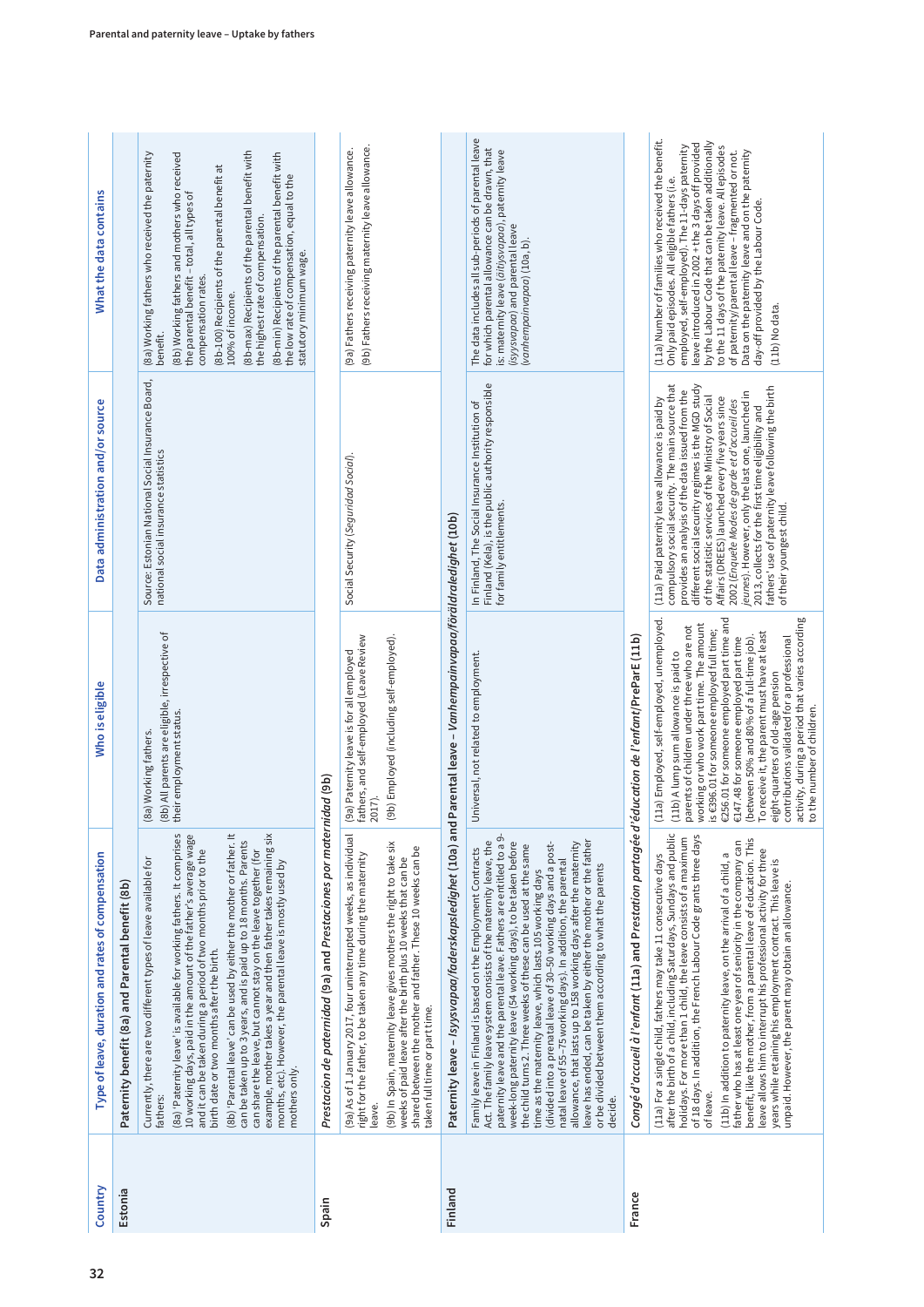| Country | Type of leave, duration and rates of compensation                                                                                                                                                                                                                                                                                                                                                                                                                                                                                                                                                                                                                                                                                                                | Who is eligible                                                                                                                                                                                                                                                                                                                                                                                                                                                                                                                                                                        | Data administration and/or source                                                                                                                                                                                                                                                                                                                                                                                                                                                                                                                                   | What the data contains                                                                                                                                                                                                                                                                                                                                                                                                                                                                      |
|---------|------------------------------------------------------------------------------------------------------------------------------------------------------------------------------------------------------------------------------------------------------------------------------------------------------------------------------------------------------------------------------------------------------------------------------------------------------------------------------------------------------------------------------------------------------------------------------------------------------------------------------------------------------------------------------------------------------------------------------------------------------------------|----------------------------------------------------------------------------------------------------------------------------------------------------------------------------------------------------------------------------------------------------------------------------------------------------------------------------------------------------------------------------------------------------------------------------------------------------------------------------------------------------------------------------------------------------------------------------------------|---------------------------------------------------------------------------------------------------------------------------------------------------------------------------------------------------------------------------------------------------------------------------------------------------------------------------------------------------------------------------------------------------------------------------------------------------------------------------------------------------------------------------------------------------------------------|---------------------------------------------------------------------------------------------------------------------------------------------------------------------------------------------------------------------------------------------------------------------------------------------------------------------------------------------------------------------------------------------------------------------------------------------------------------------------------------------|
| Estonia | Paternity benefit (8a) and Parental benefit (8b)                                                                                                                                                                                                                                                                                                                                                                                                                                                                                                                                                                                                                                                                                                                 |                                                                                                                                                                                                                                                                                                                                                                                                                                                                                                                                                                                        |                                                                                                                                                                                                                                                                                                                                                                                                                                                                                                                                                                     |                                                                                                                                                                                                                                                                                                                                                                                                                                                                                             |
|         | example, mother takes a year and then father takes remaining six<br>(8a) 'Paternity leave' is available for working fathers. It comprises<br>10 working days, paid in the amount of the father's average wage<br>(8b) 'Parental leave' can be used by either the mother or father. It<br>can be taken up to 3 years, and is paid up to 18 months. Parents<br>can share the leave, but cannot stay on the leave together (for<br>and it can be taken during a period of two months prior to the<br>Currently, there are two different types of leave available for<br>months, etc). However, the parental leave is mostly used by<br>birth date or two months after the birth.<br>mothers only.<br>fathers:                                                       | (8b) All parents are eligible, irrespective of<br>their employment status.<br>(8a) Working fathers.                                                                                                                                                                                                                                                                                                                                                                                                                                                                                    | Source: Estonian National Social Insurance Board,<br>national social insurance statistics                                                                                                                                                                                                                                                                                                                                                                                                                                                                           | (8b-max) Recipients of the parental benefit with<br>(8a) Working fathers who received the paternity<br>(8b) Working fathers and mothers who received<br>(8b-min) Recipients of the parental benefit with<br>(8b-100) Recipients of the parental benefit at<br>the low rate of compensation, equal to the<br>the parental benefit - total, all types of<br>the highest rate of compensation<br>statutory minimum wage.<br>compensation rates.<br>100% of income.<br>benefit.                 |
| Spain   | Prestacion de paternidad (9a) and Prestaciones por maternidad (9b)                                                                                                                                                                                                                                                                                                                                                                                                                                                                                                                                                                                                                                                                                               |                                                                                                                                                                                                                                                                                                                                                                                                                                                                                                                                                                                        |                                                                                                                                                                                                                                                                                                                                                                                                                                                                                                                                                                     |                                                                                                                                                                                                                                                                                                                                                                                                                                                                                             |
|         | (9a) As of 1 January 2017, four uninterrupted weeks, as individual<br>(9b) In Spain, maternity leave gives mothers the right to take six<br>shared between the mother and father. These 10 weeks can be<br>right for the father, to be taken any time during the maternity<br>weeks of paid leave after the birth plus 10 weeks that can be<br>taken full time or part time.<br>leave.                                                                                                                                                                                                                                                                                                                                                                           | fathers, and self-employed (Leave Review<br>(9b) Employed (including self-employed).<br>(9a) Paternity leave is for all employed<br>2017).                                                                                                                                                                                                                                                                                                                                                                                                                                             | Social Security (Seguridad Social).                                                                                                                                                                                                                                                                                                                                                                                                                                                                                                                                 | (9b) Fathers receiving maternity leave allowance.<br>(9a) Fathers receiving paternity leave allowance.                                                                                                                                                                                                                                                                                                                                                                                      |
| Finland | Paternity leave - /syysvapaa/faderskapsledighet (10a) an                                                                                                                                                                                                                                                                                                                                                                                                                                                                                                                                                                                                                                                                                                         | d Parental leave - Vanhempainvapaa/föräldraledighet (10b)                                                                                                                                                                                                                                                                                                                                                                                                                                                                                                                              |                                                                                                                                                                                                                                                                                                                                                                                                                                                                                                                                                                     |                                                                                                                                                                                                                                                                                                                                                                                                                                                                                             |
|         | paternity leave and the parental leave. Fathers are entitled to a 9-<br>leave has ended, can be taken by either the mother or the father<br>Act. The family leave system consists of the maternity leave, the<br>week-long paternity leave (54 working days), to be taken before<br>(divided into a prenatal leave of 30-50 working days and a post-<br>allowance, that lasts up to 158 working days after the maternity<br>the child turns 2. Three weeks of these can be used at the same<br>Family leave in Finland is based on the Employment Contracts<br>natal leave of 55-75 working days). In addition, the parental<br>or be divided between them according to what the parents<br>time as the maternity leave, which lasts 105 working days<br>decide. | Universal, not related to employment.                                                                                                                                                                                                                                                                                                                                                                                                                                                                                                                                                  | Finland (Kela), is the public authority responsible<br>In Finland, The Social Insurance Institution of<br>for family entitlements.                                                                                                                                                                                                                                                                                                                                                                                                                                  | The data includes all sub-periods of parental leave<br>for which parental allowance can be drawn, that<br>is: maternity leave (äitiysvapaa), paternity leave<br>(isyysvapaa) and parental leave<br>(vanhempainvapaa) (10a, b).                                                                                                                                                                                                                                                              |
| France  | Congé d'accueil à l'enfant (11a) and Prestation partagée d                                                                                                                                                                                                                                                                                                                                                                                                                                                                                                                                                                                                                                                                                                       | 'éducation de l'enfant/PreParE (11b)                                                                                                                                                                                                                                                                                                                                                                                                                                                                                                                                                   |                                                                                                                                                                                                                                                                                                                                                                                                                                                                                                                                                                     |                                                                                                                                                                                                                                                                                                                                                                                                                                                                                             |
|         | after the birth of a child, including Saturdays, Sundays and public<br>of 18 days. In addition, the French Labour Code grants three days<br>holidays. For more than 1 child, the leave consists of a maximum<br>benefit, like the mother, from a parental leave of education. This<br>father who has at least one year of seniority in the company can<br>leave allows him to interrupt his professional activity for three<br>(11a) For a single child, fathers may take 11 consecutive days<br>(11b) In addition to paternity leave, on the arrival of a child, a<br>years while retaining his employment contract. This leave is<br>unpaid. However, the parent may obtain an allowance.<br>of leave.                                                         | €256.01 for someone employed part time and<br>activity, during a period that varies according<br>(11a) Employed, self-employed, unemployed.<br>working or who work part time. The amount<br>parents of children under three who are not<br>is £396.01 for someone employed full time;<br>To receive it, the parent must have at least<br>(between 50% and 80% of a full-time job).<br>€147.48 for someone employed part time<br>contributions validated for a professional<br>(11b) A lump sum allowance is paid to<br>eight-quarters of old-age pension<br>to the number of children. | compulsory social security. The main source that<br>different social security regimes is the MGD study<br>fathers' use of patemity leave following the birth<br>provides an analysis of the data issued from the<br>jeunes). However, only the last one, launched in<br>of the statistic services of the Ministry of Social<br>Affairs (DREES) launched every five years since<br>(11a) Paid paternity leave allowance is paid by<br>2002 (Enquete Modes de garde et d'accueil des<br>2013, collects for the first time eligibility and<br>of their youngest child. | (11a) Number of families who received the benefit.<br>by the Labour Code that can be taken additionally<br>leave introduced in 2002 + the 3 days off provided<br>employed, self-employed). The 11-days paternity<br>to the 11 days of the paternity leave. All episodes<br>of paternity/parental leave - fragmented or not.<br>Data on the paternity leave and on the paternity<br>Only paid episodes. All eligible fathers (i.e.<br>day-off provided by the Labour Code.<br>(11b) No data. |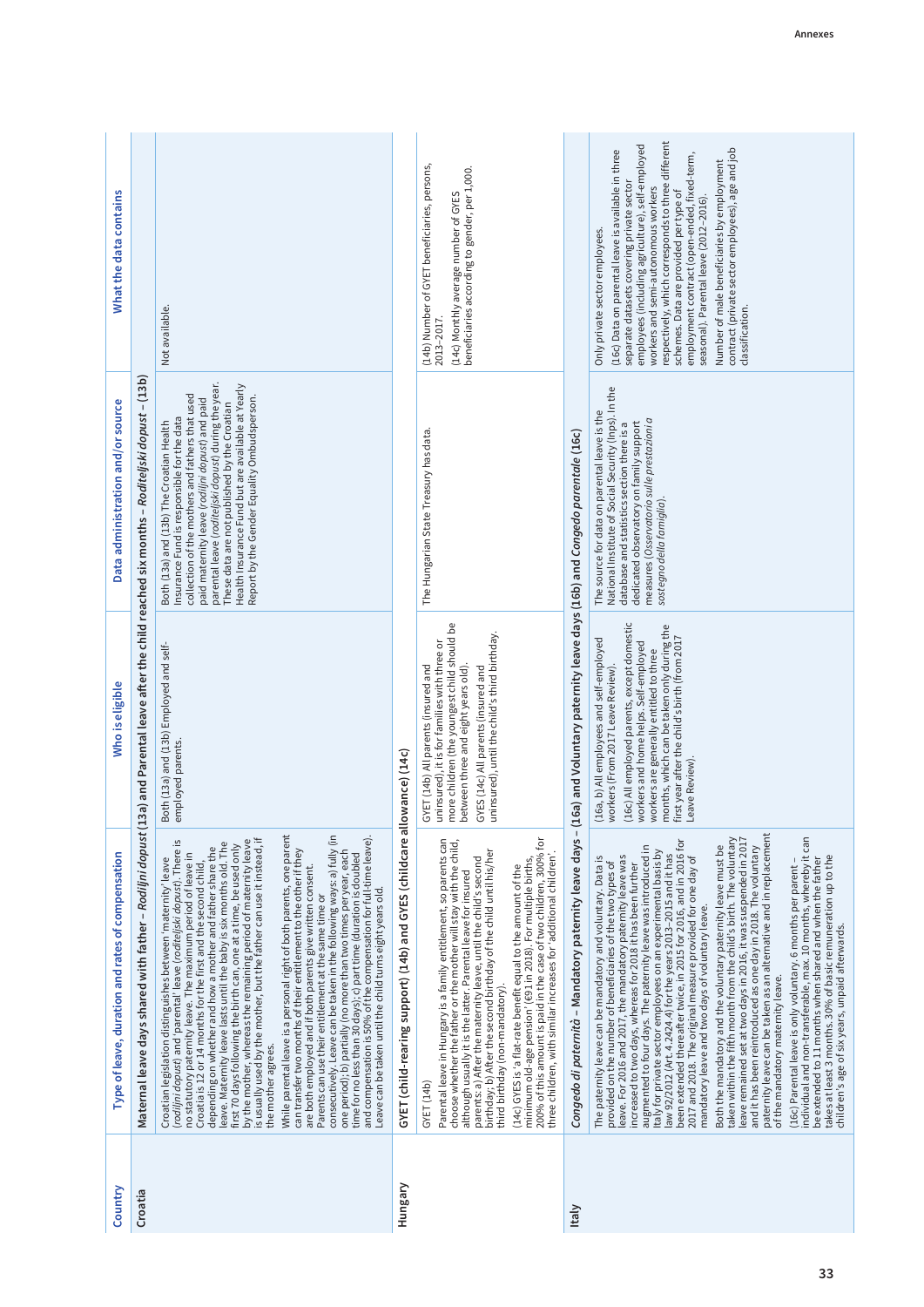| Country      | Type of leave, duration and rates of compensation                                                                                                                                                                                                                                                                                                                                                                                                                                                                                                                                                                                                                                                                                                                                                                                                                                                                                                                                                                                                                                                                                                                                                                                                                                                                                                              | Who is eligible                                                                                                                                                                                                                                                                                                                   | Data administration and/or source                                                                                                                                                                                                                                                                                                                                                                        | What the data contains                                                                                                                                                                                                                                                                                                                                                                                                                                                                                                                      |
|--------------|----------------------------------------------------------------------------------------------------------------------------------------------------------------------------------------------------------------------------------------------------------------------------------------------------------------------------------------------------------------------------------------------------------------------------------------------------------------------------------------------------------------------------------------------------------------------------------------------------------------------------------------------------------------------------------------------------------------------------------------------------------------------------------------------------------------------------------------------------------------------------------------------------------------------------------------------------------------------------------------------------------------------------------------------------------------------------------------------------------------------------------------------------------------------------------------------------------------------------------------------------------------------------------------------------------------------------------------------------------------|-----------------------------------------------------------------------------------------------------------------------------------------------------------------------------------------------------------------------------------------------------------------------------------------------------------------------------------|----------------------------------------------------------------------------------------------------------------------------------------------------------------------------------------------------------------------------------------------------------------------------------------------------------------------------------------------------------------------------------------------------------|---------------------------------------------------------------------------------------------------------------------------------------------------------------------------------------------------------------------------------------------------------------------------------------------------------------------------------------------------------------------------------------------------------------------------------------------------------------------------------------------------------------------------------------------|
| Croatia      | Maternal leave days shared with father - Rodiljni dopust (1                                                                                                                                                                                                                                                                                                                                                                                                                                                                                                                                                                                                                                                                                                                                                                                                                                                                                                                                                                                                                                                                                                                                                                                                                                                                                                    |                                                                                                                                                                                                                                                                                                                                   | 3a) and Parental leave after the child reached six months - Roditeljski dopust - (13b)                                                                                                                                                                                                                                                                                                                   |                                                                                                                                                                                                                                                                                                                                                                                                                                                                                                                                             |
|              | While parental leave is a personal right of both parents, one parent<br>consecutively. Leave can be taken in the following ways: a) fully (in<br>and compensation is 50% of the compensation for full-time leave).<br>is usually used by the mother, but the father can use it instead, if<br>(rodiljni dopust) and 'parental' leave (roditeljski dopust). There is<br>by the mother, whereas the remaining period of maternity leave<br>leave. Maternity leave lasts until the baby is six months old. The<br>first 70 days following the birth can, one at a time, be used only<br>depending on whether and how a mother and father share the<br>can transfer two months of their entitlement to the other if they<br>one period); b) partially (no more than two times per year, each<br>time for no less than 30 days); c) part time (duration is doubled<br>no statutory paternity leave. The maximum period of leave in<br>Croatian legislation distinguishes between 'maternity' leave<br>Croatia is 12 or 14 months for the first and the second child,<br>are both employed and if both parents give written consent.<br>Leave can be taken until the child turns eight years old.<br>Parents can use their entitlement at the same time or<br>the mother agrees.                                                                                     | Both (13a) and (13b) Employed and self-<br>employed parents.                                                                                                                                                                                                                                                                      | parental leave (roditeljski dopust) during the year.<br>Health Insurance Fund but are available at Yearly<br>collection of the mothers and fathers that used<br>Report by the Gender Equality Ombudsperson.<br>paid maternity leave (rodilini dopust) and paid<br>These data are not published by the Croatian<br>Insurance Fund is responsible for the data<br>Both (13a) and (13b) The Croatian Health | Not available.                                                                                                                                                                                                                                                                                                                                                                                                                                                                                                                              |
| Hungary      | GYET (child-rearing support) (14b) and GYES (childcare all                                                                                                                                                                                                                                                                                                                                                                                                                                                                                                                                                                                                                                                                                                                                                                                                                                                                                                                                                                                                                                                                                                                                                                                                                                                                                                     | owance) (14c)                                                                                                                                                                                                                                                                                                                     |                                                                                                                                                                                                                                                                                                                                                                                                          |                                                                                                                                                                                                                                                                                                                                                                                                                                                                                                                                             |
|              | 200% of this amount is paid in the case of two children, 300% for<br>Parental leave in Hungary is a family entitlement, so parents can<br>choose whether the father or the mother will stay with the child,<br>birthday; b) After the second birthday of the child until his/her<br>three children, with similar increases for 'additional children'.<br>minimum old-age pension' (691 in 2018). For multiple births,<br>parents: a) After the maternity leave, until the child's second<br>(14c) GYES is 'a flat-rate benefit equal to the amount of the<br>although usually it is the latter. Parental leave for insured<br>third birthday (non-mandatory).<br>GYET (14b)                                                                                                                                                                                                                                                                                                                                                                                                                                                                                                                                                                                                                                                                                    | more children (the youngest child should be<br>uninsured), until the child's third birthday.<br>uninsured), it is for families with three or<br>GYET (14b) All parents (insured and<br>between three and eight years old).<br>GYES (14c) All parents (insured and                                                                 | The Hungarian State Treasury has data.                                                                                                                                                                                                                                                                                                                                                                   | (14b) Number of GYET beneficiaries, persons,<br>beneficiaries according to gender, per 1,000.<br>(14c) Monthly average number of GYES<br>2013-2017.                                                                                                                                                                                                                                                                                                                                                                                         |
| <b>Italy</b> | Congedo di paternità - Mandatory paternity leave days - (1                                                                                                                                                                                                                                                                                                                                                                                                                                                                                                                                                                                                                                                                                                                                                                                                                                                                                                                                                                                                                                                                                                                                                                                                                                                                                                     | (16c) and Voluntary paternity leave days (16b) and Congedo parentale (16c).                                                                                                                                                                                                                                                       |                                                                                                                                                                                                                                                                                                                                                                                                          |                                                                                                                                                                                                                                                                                                                                                                                                                                                                                                                                             |
|              | paternity leave can be taken as an alternative and in replacement<br>individual and non-transferable, max. 10 months, whereby it can<br>taken within the fifth month from the child's birth. The voluntary<br>leave remained set at two days in 2016, it was suspended in 2017<br>been extended thereafter twice, in 2015 for 2016, and in 2016 for<br>Both the mandatory and the voluntary paternity leave must be<br>augmented to four days. The paternity leave was introduced in<br>and it has been reintroduced as one day in 2018. The voluntary<br>Italy for private sector employees on an experimental basis by<br>law 92/2012 (Art. 4.2424.4) for the years 2013-2015 and it has<br>2017 and 2018. The original measure provided for one day of<br>takes at least 3 months. 30% of basic remuneration up to the<br>leave. For 2016 and 2017, the mandatory paternity leave was<br>increased to two days, whereas for 2018 it has been further<br>The paternity leave can be mandatory and voluntary. Data is<br>be extended to 11 months when shared and when the father<br>(16c) Parental leave is only voluntary. 6 months per parent -<br>provided on the number of beneficiaries of the two types of<br>mandatory leave and two days of voluntary leave.<br>children's age of six years, unpaid afterwards.<br>of the mandatory maternity leave. | (16c) All employed parents, except domestic<br>months, which can be taken only during the<br>first year after the child's birth (from 2017<br>(16a, b) All employees and self-employed<br>workers and home helps. Self-employed<br>workers are generally entitled to three<br>workers (From 2017 Leave Review).<br>Leave Review). | National Institute of Social Security (Inps). In the<br>The source for data on parental leave is the<br>measures (Osservatorio sulle prestazioni a<br>dedicated observatory on family support<br>database and statistics section there is a<br>sostegno della famiglia).                                                                                                                                 | respectively, which corresponds to three different<br>employees (including agriculture), self-employed<br>contract (private sector employees), age and job<br>(16c) Data on parental leave is available in three<br>employment contract (open-ended, fixed-term,<br>Number of male beneficiaries by employment<br>separate datasets covering private sector<br>workers and semi-autonomous workers<br>schemes. Data are provided per type of<br>seasonal). Parental leave (2012-2016).<br>Only private sector employees.<br>classification. |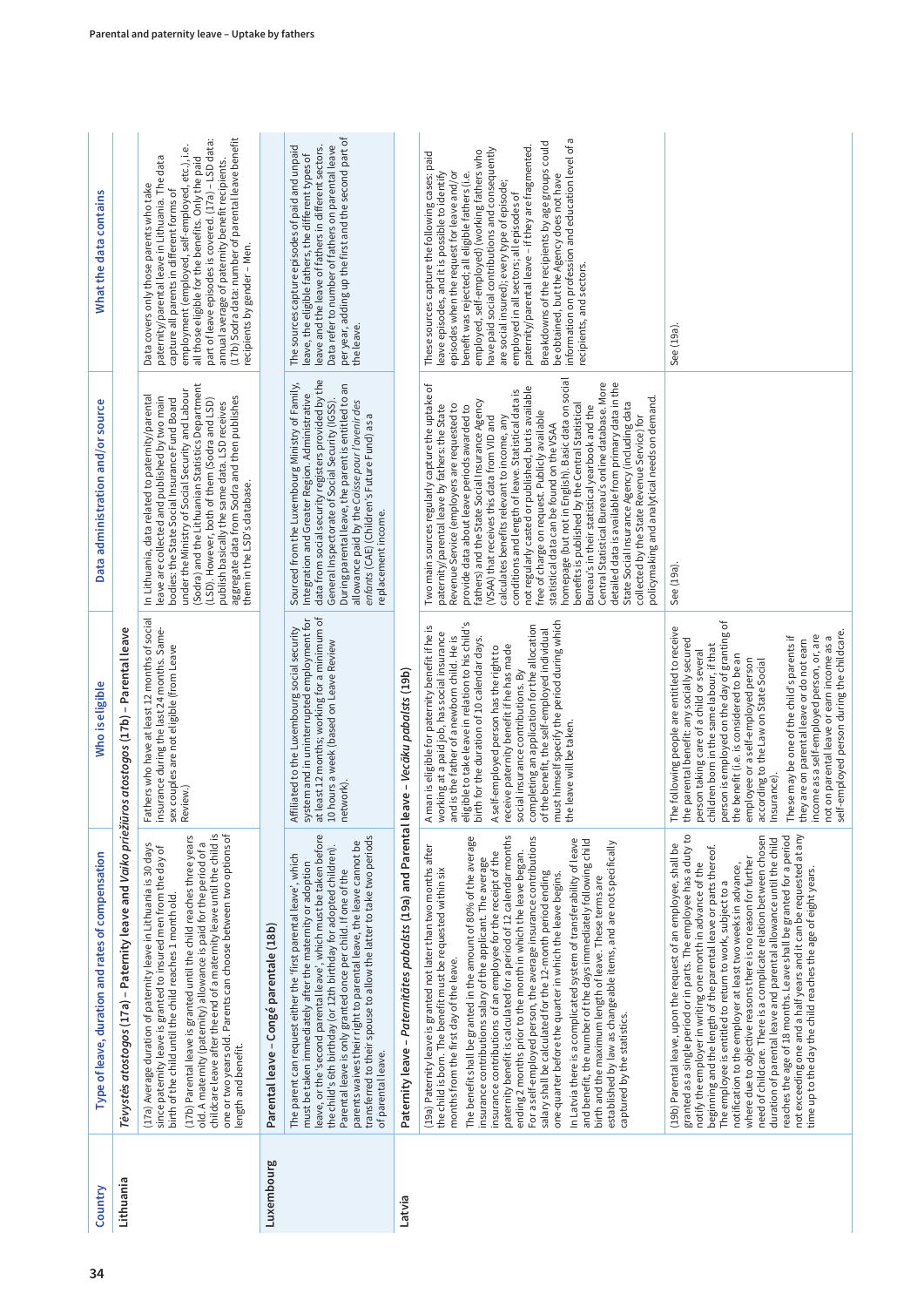| Country    | Type of leave, duration and rates of compensation                                                                                                                                                                                                                                                                                                                                                                                                                                                                                                                                                                                                                                                                                                                                                                                                                                                                                                                                                                         | Who is eligible                                                                                                                                                                                                                                                                                                                                                                                                                                                                                                                                                                                                 | Data administration and/or source                                                                                                                                                                                                                                                                                                                                                                                                                                                                                                                                                                                                                                                                                                                                                                                                                                                                                                                                                      | What the data contains                                                                                                                                                                                                                                                                                                                                                                                                                                                                                                                                                                                                                      |
|------------|---------------------------------------------------------------------------------------------------------------------------------------------------------------------------------------------------------------------------------------------------------------------------------------------------------------------------------------------------------------------------------------------------------------------------------------------------------------------------------------------------------------------------------------------------------------------------------------------------------------------------------------------------------------------------------------------------------------------------------------------------------------------------------------------------------------------------------------------------------------------------------------------------------------------------------------------------------------------------------------------------------------------------|-----------------------------------------------------------------------------------------------------------------------------------------------------------------------------------------------------------------------------------------------------------------------------------------------------------------------------------------------------------------------------------------------------------------------------------------------------------------------------------------------------------------------------------------------------------------------------------------------------------------|----------------------------------------------------------------------------------------------------------------------------------------------------------------------------------------------------------------------------------------------------------------------------------------------------------------------------------------------------------------------------------------------------------------------------------------------------------------------------------------------------------------------------------------------------------------------------------------------------------------------------------------------------------------------------------------------------------------------------------------------------------------------------------------------------------------------------------------------------------------------------------------------------------------------------------------------------------------------------------------|---------------------------------------------------------------------------------------------------------------------------------------------------------------------------------------------------------------------------------------------------------------------------------------------------------------------------------------------------------------------------------------------------------------------------------------------------------------------------------------------------------------------------------------------------------------------------------------------------------------------------------------------|
| Lithuania  | Tėvystės atostogos (17a) – Paternity leave and Vaiko prieži                                                                                                                                                                                                                                                                                                                                                                                                                                                                                                                                                                                                                                                                                                                                                                                                                                                                                                                                                               | iūros atostogos (17b) - Parental leave                                                                                                                                                                                                                                                                                                                                                                                                                                                                                                                                                                          |                                                                                                                                                                                                                                                                                                                                                                                                                                                                                                                                                                                                                                                                                                                                                                                                                                                                                                                                                                                        |                                                                                                                                                                                                                                                                                                                                                                                                                                                                                                                                                                                                                                             |
|            | childcare leave after the end of a maternity leave until the child is<br>one or two years old. Parents can choose between two options of<br>(17b) Parental leave is granted until the child reaches three years<br>(17a) Average duration of paternity leave in Lithuania is 30 days<br>old. A maternity (paternity) allowance is paid for the period of a<br>since paternity leave is granted to insured men from the day of<br>birth of the child until the child reaches 1 month old.<br>length and benefit.                                                                                                                                                                                                                                                                                                                                                                                                                                                                                                           | Fathers who have at least 12 months of social<br>insurance during the last 24 months. Same-<br>sex couples are not eligible (from Leave<br>Review.)                                                                                                                                                                                                                                                                                                                                                                                                                                                             | (Sodra) and the Lithuanian Statistics Department<br>under the Ministry of Social Security and Labour<br>In Lithuania, data related to paternity/parental<br>aggregate data from Sodra and then publishes<br>leave are collected and published by two main<br>bodies: the State Social Insurance Fund Board<br>(LSD). However, both of them (Sodra and LSD)<br>publish basically the same data. LSD receives<br>them in the LSD's database.                                                                                                                                                                                                                                                                                                                                                                                                                                                                                                                                             | (17b) Sodra data: number of parental leave benefit<br>part of leave episodes is covered. (17a) - LSD data:<br>employment (employed, self-employed, etc.), i.e.<br>paternity/parental leave in Lithuania. The data<br>all those eligible for the benefits. Only the paid<br>annual average of paternity benefit recipients.<br>Data covers only those parents who take<br>capture all parents in different forms of<br>recipients by gender - Men.                                                                                                                                                                                           |
| Luxembourg | Parental leave - Congé parentale (18b)                                                                                                                                                                                                                                                                                                                                                                                                                                                                                                                                                                                                                                                                                                                                                                                                                                                                                                                                                                                    |                                                                                                                                                                                                                                                                                                                                                                                                                                                                                                                                                                                                                 |                                                                                                                                                                                                                                                                                                                                                                                                                                                                                                                                                                                                                                                                                                                                                                                                                                                                                                                                                                                        |                                                                                                                                                                                                                                                                                                                                                                                                                                                                                                                                                                                                                                             |
|            | leave, or the 'second parental leave', which must be taken before<br>transferred to their spouse to allow the latter to take two periods<br>parents waives their right to parental leave, the leave cannot be<br>the child's 6th birthday (or 12th birthday for adopted children).<br>The parent can request either the 'first parental leave', which<br>must be taken immediately after the maternity or adoption<br>Parental leave is only granted once per child. If one of the<br>of parental leave.                                                                                                                                                                                                                                                                                                                                                                                                                                                                                                                  | at least 12 months; working for a minimum of<br>Affiliated to the Luxembourg social security<br>system and in uninterrupted employment for<br>10 hours a week (based on Leave Review<br>network).                                                                                                                                                                                                                                                                                                                                                                                                               | data from social security registers provided by the<br>Sourced from the Luxembourg Ministry of Family,<br>During parental leave, the parent is entitled to an<br>Integration and Greater Region. Administrative<br>allowance paid by the Caisse pour l'avenir des<br>General Inspectorate of Social Security (IGSS)<br>enfants (CAE) (Children's Future Fund) as a<br>replacement income.                                                                                                                                                                                                                                                                                                                                                                                                                                                                                                                                                                                              | per year, adding up the first and the second part of<br>The sources capture episodes of paid and unpaid<br>leave and the leave of fathers in different sectors.<br>Data refer to number of fathers on parental leave<br>leave, the eligible fathers, the different types of<br>the leave                                                                                                                                                                                                                                                                                                                                                    |
| Latvia     | Paternity leave - Paternitātes pabalsts (19a) and Parental leave - Vecāku pabalsts (19b)                                                                                                                                                                                                                                                                                                                                                                                                                                                                                                                                                                                                                                                                                                                                                                                                                                                                                                                                  |                                                                                                                                                                                                                                                                                                                                                                                                                                                                                                                                                                                                                 |                                                                                                                                                                                                                                                                                                                                                                                                                                                                                                                                                                                                                                                                                                                                                                                                                                                                                                                                                                                        |                                                                                                                                                                                                                                                                                                                                                                                                                                                                                                                                                                                                                                             |
|            | paternity benefit is calculated for a period of 12 calendar months<br>The benefit shall be granted in the amount of 80% of the average<br>For a self-employed person, the average insurance contributions<br>In Latvia there is a complicated system of transferability of leave<br>and benefit, the number of the days immediately following child<br>established by law as changeable items, and are not specifically<br>(19a) Paternity leave is granted not later than two months after<br>ending 2 months prior to the month in which the leave began.<br>insurance contributions of an employee for the receipt of the<br>insurance contributions salary of the applicant. The average<br>the child is born. The benefit must be requested within six<br>salary shall be calculated for the 12-month period ending<br>one-quarter before the quarter in which the leave begins.<br>birth and the maximum length of leave. These terms are<br>months from the first day of the leave.<br>captured by the statistics. | must himself specify the period during which<br>eligible to take leave in relation to his child's<br>completing an application for the allocation<br>A man is eligible for paternity benefit if he is<br>working at a paid job, has social insurance<br>of the benefit, the self-employed individual<br>and is the father of a newborn child. He is<br>birth for the duration of 10 calendar days.<br>receive paternity benefit if he has made<br>A self-employed person has the right to<br>social insurance contributions. By<br>the leave will be taken.                                                     | homepage (but not in English). Basic data on social<br>benefits is published by the Central Statistical<br>Central Statistical Bureau's online database. More<br>detailed data is available from primary data in the<br>Two main sources regularly capture the uptake of<br>not regularly casted or published, but is available<br>conditions and length of leave. Statistical data is<br>policymaking and analytical needs on demand.<br>fathers) and the State Social Insurance Agency<br>State Social Insurance Agency (including data<br>paternity/parental leave by fathers: the State<br>Revenue Service (employers are requested to<br>Bureau's in their statistical yearbook and the<br>provide data about leave periods awarded to<br>free of charge on request. Publicly available<br>(VSAA) that receives this data from VID and<br>calculates benefits relevant to income, any<br>collected by the State Revenue Service) for<br>statistical data can be found on the VSAA | information on profession and education level of a<br>Breakdowns of the recipients by age groups could<br>paternity/parental leave - if they are fragmented.<br>have paid social contributions and consequently<br>employed, self-employed) (working fathers who<br>These sources capture the following cases: paid<br>episodes when the request for leave and/or<br>leave episodes, and it is possible to identify<br>benefit was rejected; all eligible fathers (i.e.<br>be obtained, but the Agency does not have<br>are social insured); every type of episode;<br>employed in all sectors; all episodes of<br>recipients, and sectors. |
|            | granted as a single period or in parts. The employee has a duty to<br>not exceeding one and a half years and it can be requested at any<br>need of childcare. There is a complicate relation between chosen<br>reaches the age of 18 months. Leave shall be granted for a period<br>duration of parental leave and parental allowance until the child<br>(19b) Parental leave, upon the request of an employee, shall be<br>beginning and the length of the parental leave or parts thereof.<br>where due to objective reasons there is no reason for further<br>notification to the employer at least two weeks in advance,<br>notify the employer in writing one month in advance of the<br>time up to the day the child reaches the age of eight years.<br>The employee is entitled to return to work, subject to a                                                                                                                                                                                                    | person is employed on the day of granting of<br>The following people are entitled to receive<br>self-employed person during the childcare.<br>income as a self-employed person, or, are<br>not on parental leave or earn income as a<br>These may be one of the child's parents if<br>the parental benefit: any socially secured<br>they are on parental leave or do not earn<br>children born in the same labour, if that<br>person taking care of a child or several<br>the benefit (i.e. is considered to be an<br>employee or a self-employed person<br>according to the Law on State Social<br>Insurance). | See (19a)                                                                                                                                                                                                                                                                                                                                                                                                                                                                                                                                                                                                                                                                                                                                                                                                                                                                                                                                                                              | See (19a).                                                                                                                                                                                                                                                                                                                                                                                                                                                                                                                                                                                                                                  |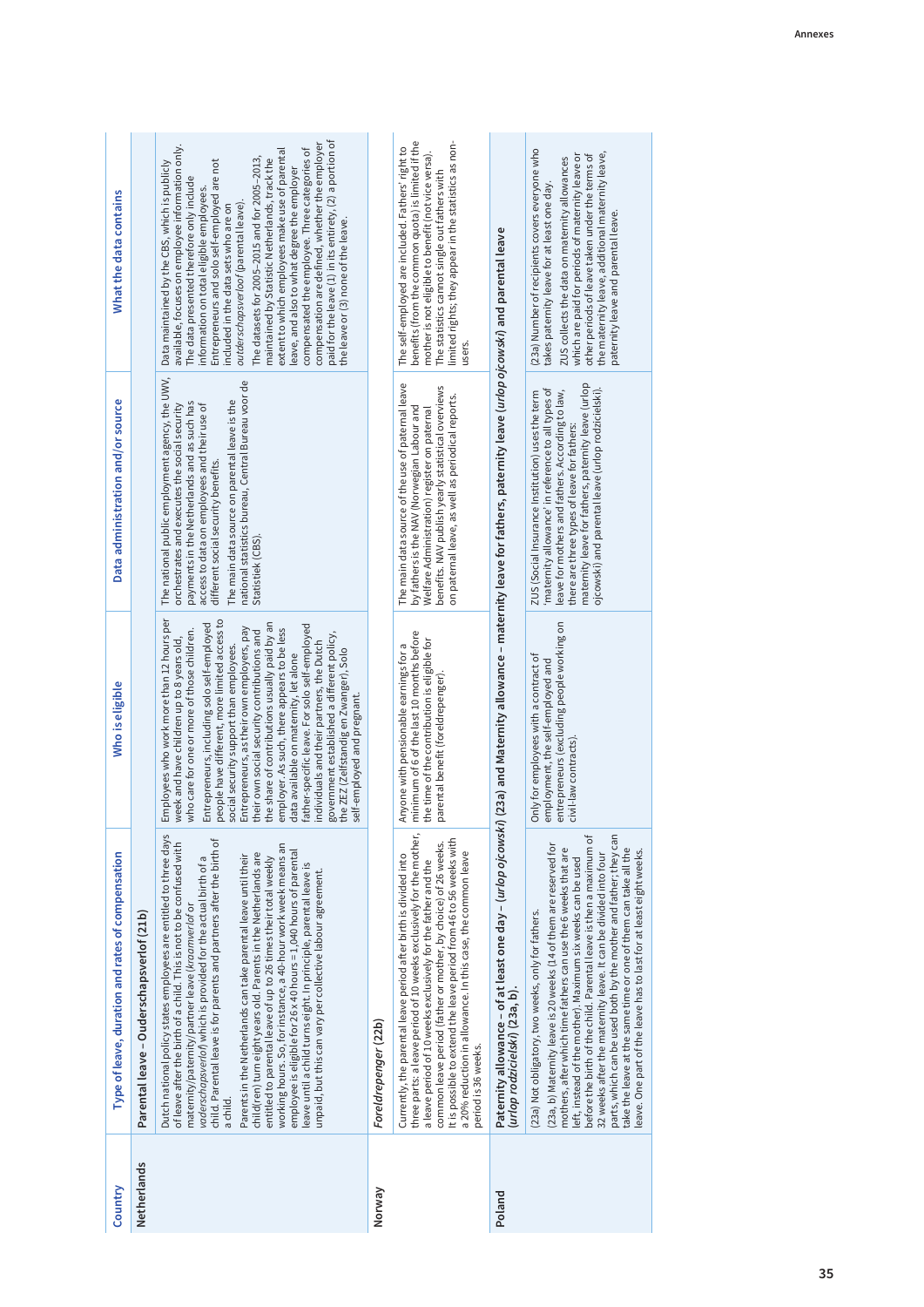| Country     | Type of leave, duration and rates of compensation                                                                                                                                                                                                                                                                                                                                                                                                                                                                                                                                                                                                                                                                                                                                                                                     | Who is eligible                                                                                                                                                                                                                                                                                                                                                                                                                                                                                                                                                                                                                                                                                                                              | Data administration and/or source                                                                                                                                                                                                                                                                                                                                  | What the data contains                                                                                                                                                                                                                                                                                                                                                                                                                                                                                                                                                                                                                                                                                                               |
|-------------|---------------------------------------------------------------------------------------------------------------------------------------------------------------------------------------------------------------------------------------------------------------------------------------------------------------------------------------------------------------------------------------------------------------------------------------------------------------------------------------------------------------------------------------------------------------------------------------------------------------------------------------------------------------------------------------------------------------------------------------------------------------------------------------------------------------------------------------|----------------------------------------------------------------------------------------------------------------------------------------------------------------------------------------------------------------------------------------------------------------------------------------------------------------------------------------------------------------------------------------------------------------------------------------------------------------------------------------------------------------------------------------------------------------------------------------------------------------------------------------------------------------------------------------------------------------------------------------------|--------------------------------------------------------------------------------------------------------------------------------------------------------------------------------------------------------------------------------------------------------------------------------------------------------------------------------------------------------------------|--------------------------------------------------------------------------------------------------------------------------------------------------------------------------------------------------------------------------------------------------------------------------------------------------------------------------------------------------------------------------------------------------------------------------------------------------------------------------------------------------------------------------------------------------------------------------------------------------------------------------------------------------------------------------------------------------------------------------------------|
| Netherlands | Parental leave - Ouderschapsverlof (21b)                                                                                                                                                                                                                                                                                                                                                                                                                                                                                                                                                                                                                                                                                                                                                                                              |                                                                                                                                                                                                                                                                                                                                                                                                                                                                                                                                                                                                                                                                                                                                              |                                                                                                                                                                                                                                                                                                                                                                    |                                                                                                                                                                                                                                                                                                                                                                                                                                                                                                                                                                                                                                                                                                                                      |
|             | Dutch national policy states employees are entitled to three days<br>child. Parental leave is for parents and partners after the birth of<br>of leave after the birth of a child. This is not to be confused with<br>working hours. So, for instance, a 40-hour work week means an<br>employee is eligible for 26 x 40 hours = $1,040$ hours of parental<br>child(ren) turn eight years old. Parents in the Netherlands are<br>Parents in the Netherlands can take parental leave until their<br>entitled to parental leave of up to 26 times their total weekly<br>vaderschapsverlof) which is provided for the actual birth of a<br>leave until a child turns eight. In principle, parental leave is<br>unpaid, but this can vary per collective labour agreement.<br>maternity/paternity/partner leave (kraamverlof or<br>a child. | Employees who work more than 12 hours per<br>people have different, more limited access to<br>the share of contributions usually paid by an<br>Entrepreneurs, including solo self-employed<br>father-specific leave. For solo self-employed<br>Entrepreneurs, as their own employers, pay<br>employer. As such, there appears to be less<br>who care for one or more of those children.<br>their own social security contributions and<br>government established a different policy,<br>week and have children up to 8 years old,<br>individuals and their partners, the Dutch<br>social security support than employees.<br>the ZEZ (Zelfstandig en Zwanger), Solo<br>data available on maternity, let alone<br>self-employed and pregnant. | The national public employment agency, the UWV,<br>national statistics bureau, Central Bureau voor de<br>The main data source on parental leave is the<br>payments in the Netherlands and as such has<br>access to data on employees and their use of<br>orchestrates and executes the social security<br>different social security benefits.<br>Statistiek (CBS). | paid for the leave (1) in its entirety, (2) a portion of<br>compensation are defined, whether the employer<br>available, focuses on employee information only.<br>compensated the employee. Three categories of<br>extent to which employees make use of parental<br>The datasets for 2005-2015 and for 2005-2013,<br>maintained by Statistic Netherlands, track the<br>Entrepreneurs and solo self-employed are not<br>Data maintained by the CBS, which is publicly<br>leave, and also to what degree the employer<br>The data presented therefore only include<br>information on total eligible employees.<br>outderschapsverloof (parental leave)<br>included in the data sets who are on<br>the leave or (3) none of the leave. |
| Norway      | Foreldrepenger (22b)                                                                                                                                                                                                                                                                                                                                                                                                                                                                                                                                                                                                                                                                                                                                                                                                                  |                                                                                                                                                                                                                                                                                                                                                                                                                                                                                                                                                                                                                                                                                                                                              |                                                                                                                                                                                                                                                                                                                                                                    |                                                                                                                                                                                                                                                                                                                                                                                                                                                                                                                                                                                                                                                                                                                                      |
|             | three parts: a leave period of 10 weeks exclusively for the mother,<br>It is possible to extend the leave period from 46 to 56 weeks with<br>common leave period (father or mother, by choice) of 26 weeks.<br>a 20% reduction in allowance. In this case, the common leave<br>Currently, the parental leave period after birth is divided into<br>a leave period of 10 weeks exclusively for the father and the<br>period is 36 weeks.                                                                                                                                                                                                                                                                                                                                                                                               | minimum of 6 of the last 10 months before<br>the time of the contribution is eligible for<br>Anyone with pensionable earnings for a<br>parental benefit (foreldrepenger).                                                                                                                                                                                                                                                                                                                                                                                                                                                                                                                                                                    | The main data source of the use of paternal leave<br>benefits. NAV publish yearly statistical overviews<br>on paternal leave, as well as periodical reports.<br>by fathers is the NAV (Norwegian Labour and<br>Welfare Administration) register on paternal                                                                                                        | benefits (from the common quota) is limited if the<br>limited rights; they appear in the statistics as non-<br>The self-employed are included. Fathers' right to<br>mother is not eligible to benefit (not vice versa).<br>The statistics cannot single out fathers with<br>users.                                                                                                                                                                                                                                                                                                                                                                                                                                                   |
| Poland      | Paternity allowance – of at least one day – ( <i>urlop ojcowski</i> ) (23a) and Maternity allowance – maternity leave for fathers, paternity leave ( <i>urlop ojcowski</i> ) and parental leave<br>(urlop rodzicielski) (23a, b).                                                                                                                                                                                                                                                                                                                                                                                                                                                                                                                                                                                                     |                                                                                                                                                                                                                                                                                                                                                                                                                                                                                                                                                                                                                                                                                                                                              |                                                                                                                                                                                                                                                                                                                                                                    |                                                                                                                                                                                                                                                                                                                                                                                                                                                                                                                                                                                                                                                                                                                                      |
|             | parts, which can be used both by the mother and father; they can<br>before the birth of the child. Parental leave is then a maximum of<br>(23a, b) Maternity leave is 20 weeks (14 of them are reserved for<br>take the leave at the same time or one of them can take all the<br>mothers, after which time fathers can use the 6 weeks that are<br>eave. One part of the leave has to last for at least eight weeks.<br>32 weeks after the maternity leave. It can be divided into four<br>left, instead of the mother). Maximum six weeks can be used<br>(23a) Not obligatory, two weeks, only for fathers.                                                                                                                                                                                                                         | entrepreneurs (excluding people working on<br>Only for employees with a contract of<br>employment, the self-employed and<br>civil-law contracts)                                                                                                                                                                                                                                                                                                                                                                                                                                                                                                                                                                                             | maternity leave for fathers, paternity leave (urlop<br>ojcowski) and parental leave (urlop rodzicielski).<br>'maternity allowance' in reference to all types of<br>leave for mothers and fathers. According to law,<br>ZUS (Social Insurance Institution) uses the term<br>there are three types of leave for fathers:                                             | (23a) Number of recipients covers everyone who<br>the maternity leave, additional maternity leave,<br>which are paid for periods of maternity leave or<br>other periods of leave taken under the terms of<br>ZUS collects the data on maternity allowances<br>takes paternity leave for at least one day.<br>paternity leave and parental leave.                                                                                                                                                                                                                                                                                                                                                                                     |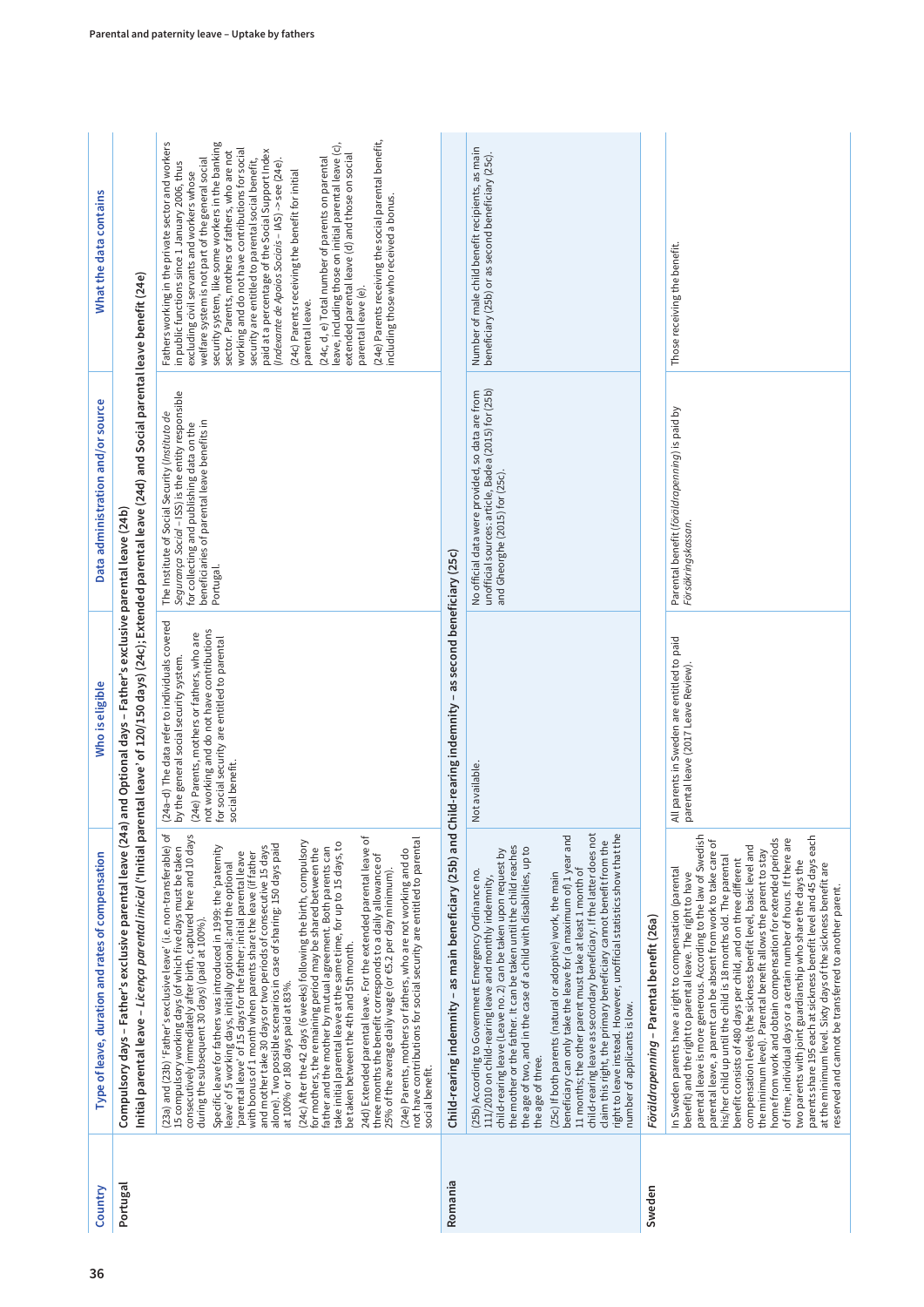| Country  | Type of leave, duration and rates of compensation                                                                                                                                                                                                                                                                                                                                                                                                                                                                                                                                                                                                                                                                                                                                                                                                                                                                                                                                                                                                                                                                                                                                                                                                                                                                                                                                                 | Who is eligible                                                                                                                                                                                                                                       | Data administration and/or source                                                                                                                                                                            | What the data contains                                                                                                                                                                                                                                                                                                                                                                                                                                                                                                                                                                                                                                                                                                                                                                                                                                                                        |
|----------|---------------------------------------------------------------------------------------------------------------------------------------------------------------------------------------------------------------------------------------------------------------------------------------------------------------------------------------------------------------------------------------------------------------------------------------------------------------------------------------------------------------------------------------------------------------------------------------------------------------------------------------------------------------------------------------------------------------------------------------------------------------------------------------------------------------------------------------------------------------------------------------------------------------------------------------------------------------------------------------------------------------------------------------------------------------------------------------------------------------------------------------------------------------------------------------------------------------------------------------------------------------------------------------------------------------------------------------------------------------------------------------------------|-------------------------------------------------------------------------------------------------------------------------------------------------------------------------------------------------------------------------------------------------------|--------------------------------------------------------------------------------------------------------------------------------------------------------------------------------------------------------------|-----------------------------------------------------------------------------------------------------------------------------------------------------------------------------------------------------------------------------------------------------------------------------------------------------------------------------------------------------------------------------------------------------------------------------------------------------------------------------------------------------------------------------------------------------------------------------------------------------------------------------------------------------------------------------------------------------------------------------------------------------------------------------------------------------------------------------------------------------------------------------------------------|
| Portugal | Initial parental leave -Licença parental inicial ('Initial parental leave' of 120/150 days) (24c); Extended parental leave (24d) and Social parental leave benefit (24e)<br>Compulsory days - Father's exclusive parental leave (24a)                                                                                                                                                                                                                                                                                                                                                                                                                                                                                                                                                                                                                                                                                                                                                                                                                                                                                                                                                                                                                                                                                                                                                             | and Optional days - Father's exclusive parental leave (24b)                                                                                                                                                                                           |                                                                                                                                                                                                              |                                                                                                                                                                                                                                                                                                                                                                                                                                                                                                                                                                                                                                                                                                                                                                                                                                                                                               |
|          | (23a) and (23b) 'Father's exclusive leave' (i.e. non-transferable) of<br>consecutively immediately after birth, captured here and 10 days<br>24d) Extended parental leave. For the extended parental leave of<br>(24e) Parents, mothers or fathers, who are not working and do<br>not have contributions for social security are entitled to parental<br>(24c) After the 42 days (6 weeks) following the birth, compulsory<br>for mothers, the remaining period may be shared between the<br>take initial parental leave at the same time, for up to 15 days, to<br>alone). Two possible scenarios in case of sharing: 150 days paid<br>Specific leave for fathers was introduced in 1999: the 'paternity<br>and mother take 30 days or two periods of consecutive 15 days<br>father and the mother by mutual agreement. Both parents can<br>15 compulsory working days (of which five days must be taken<br>with bonus of 1 month when parents share the leave (if father<br>parental leave' of 15 days for the father; initial parental leave<br>three months the benefit corresponds to a daily allowance of<br>leave' of 5 working days, initially optional; and the optional<br>25% of the average daily wage (or €5.2 per day minimum).<br>during the subsequent 30 days) (paid at 100%).<br>be taken between the 4th and 5th month.<br>at 100% or 180 days paid at 83%.<br>social benefit. | (24a-d) The data refer to individuals covered<br>not working and do not have contributions<br>(24e) Parents, mothers or fathers, who are<br>for social security are entitled to parental<br>by the general social security system.<br>social benefit. | Segurança Social - ISS) is the entity responsible<br>The Institute of Social Security (Instituto de<br>beneficiaries of parental leave benefits in<br>for collecting and publishing data on the<br>Portugal. | (24e) Parents receiving the social parental benefit,<br>Fathers working in the private sector and workers<br>in public functions since 1 January 2006, thus<br>security system, like some workers in the banking<br>leave, including those on initial parental leave (c),<br>working and do not have contributions for social<br>paid at a percentage of the Social Support Index<br>sector. Parents, mothers or fathers, who are not<br>extended parental leave (d) and those on social<br>(24c, d, e) Total number of parents on parental<br>welfare system is not part of the general social<br>security are entitled to parental social benefit,<br>(Indexante de Apoios Sociais - IAS) -> see (24e).<br>excluding civil servants and workers whose<br>(24c) Parents receiving the benefit for initial<br>including those who received a bonus.<br>parental leave (e).<br>parental leave. |
| Romania  | Child-rearing indemnity – as main beneficiary (25b) and Child-rearing indemnity – as second beneficiary (25c)                                                                                                                                                                                                                                                                                                                                                                                                                                                                                                                                                                                                                                                                                                                                                                                                                                                                                                                                                                                                                                                                                                                                                                                                                                                                                     |                                                                                                                                                                                                                                                       |                                                                                                                                                                                                              |                                                                                                                                                                                                                                                                                                                                                                                                                                                                                                                                                                                                                                                                                                                                                                                                                                                                                               |
|          | child-rearing leave as secondary beneficiary. If the latter does not<br>right to leave instead. However, unofficial statistics show that the<br>beneficiary can only take the leave for (a maximum of) 1 year and<br>claim this right, the primary beneficiary cannot benefit from the<br>the mother or the father. It can be taken until the child reaches<br>the age of two, and in the case of a child with disabilities, up to<br>child-rearing leave (Leave no. 2) can be taken upon request by<br>11 months; the other parent must take at least 1 month of<br>(25b) According to Government Emergency Ordinance no.<br>111/2010 on child-rearing leave and monthly indemnity,<br>(25c) If both parents (natural or adoptive) work, the main<br>number of applicants is low.<br>the age of three.                                                                                                                                                                                                                                                                                                                                                                                                                                                                                                                                                                                           | Not available.                                                                                                                                                                                                                                        | unofficial sources: article, Badea (2015) for (25b)<br>No official data were provided, so data are from<br>and Gheorghe (2015) for (25c).                                                                    | Number of male child benefit recipients, as main<br>beneficiary (25b) or as second beneficiary (25c).                                                                                                                                                                                                                                                                                                                                                                                                                                                                                                                                                                                                                                                                                                                                                                                         |
| Sweden   | Föräldrapenning - Parental benefit (26a)                                                                                                                                                                                                                                                                                                                                                                                                                                                                                                                                                                                                                                                                                                                                                                                                                                                                                                                                                                                                                                                                                                                                                                                                                                                                                                                                                          |                                                                                                                                                                                                                                                       |                                                                                                                                                                                                              |                                                                                                                                                                                                                                                                                                                                                                                                                                                                                                                                                                                                                                                                                                                                                                                                                                                                                               |
|          | parental leave is more generous. According to the law of Swedish<br>parents share 195 each at sickness benefit level and 45 days each<br>home from work and obtain compensation for extended periods<br>of time, individual days or a certain number of hours. If there are<br>parental leave, a parent can be absent from work to take care of<br>compensation levels (the sickness benefit level, basic level and<br>the minimum level). Parental benefit allows the parent to stay<br>his/her child up until the child is 18 months old. The parental<br>benefit consists of 480 days per child, and on three different<br>two parents with joint guardianship who share the days the<br>at the minimum level. Sixty days of the sickness benefit are<br>In Sweden parents have a right to compensation (parental<br>benefit) and the right to parental leave. The right to have<br>reserved and cannot be transferred to another parent.                                                                                                                                                                                                                                                                                                                                                                                                                                                      | All parents in Sweden are entitled to paid<br>parental leave (2017 Leave Review)                                                                                                                                                                      | Parental benefit (föräldrapenning) is paid by<br>Försäkringskassan.                                                                                                                                          | Those receiving the benefit.                                                                                                                                                                                                                                                                                                                                                                                                                                                                                                                                                                                                                                                                                                                                                                                                                                                                  |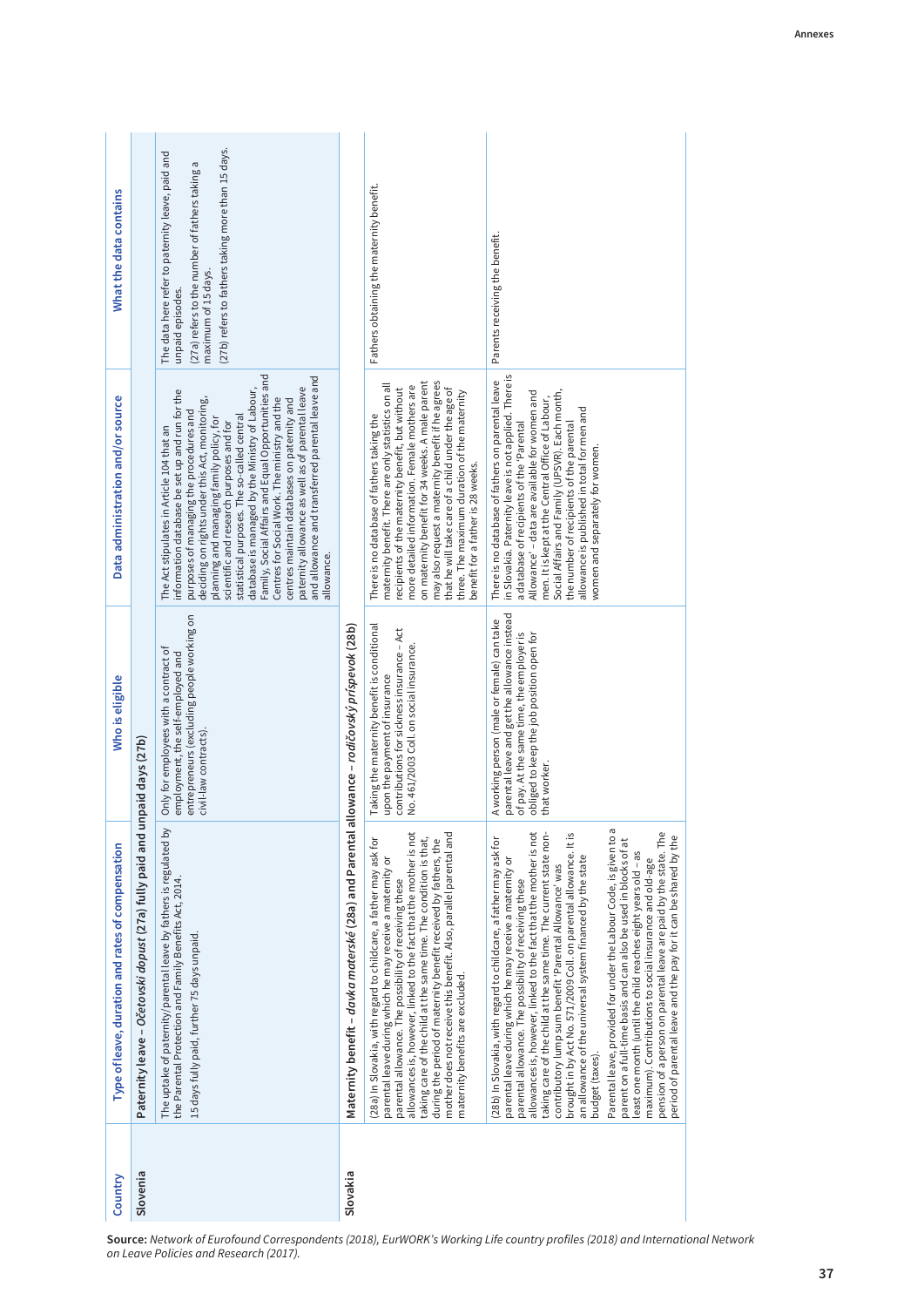| What the data contains                            |                                                           | (27b) refers to fathers taking more than 15 days.<br>The data here refer to paternity leave, paid and<br>(27a) refers to the number of fathers taking a<br>maximum of 15 days.<br>unpaid episodes.                                                                                                                                                                                                                                                                                                                                                                                                                                                            |                                                       | Fathers obtaining the maternity benefit.                                                                                                                                                                                                                                                                                                                                                                                                                                                                       | Parents receiving the benefit.                                                                                                                                                                                                                                                                                                                                                                                                                                                                                                                                                                                                                                                                                                                                                                                                                                                                                                                                 |
|---------------------------------------------------|-----------------------------------------------------------|---------------------------------------------------------------------------------------------------------------------------------------------------------------------------------------------------------------------------------------------------------------------------------------------------------------------------------------------------------------------------------------------------------------------------------------------------------------------------------------------------------------------------------------------------------------------------------------------------------------------------------------------------------------|-------------------------------------------------------|----------------------------------------------------------------------------------------------------------------------------------------------------------------------------------------------------------------------------------------------------------------------------------------------------------------------------------------------------------------------------------------------------------------------------------------------------------------------------------------------------------------|----------------------------------------------------------------------------------------------------------------------------------------------------------------------------------------------------------------------------------------------------------------------------------------------------------------------------------------------------------------------------------------------------------------------------------------------------------------------------------------------------------------------------------------------------------------------------------------------------------------------------------------------------------------------------------------------------------------------------------------------------------------------------------------------------------------------------------------------------------------------------------------------------------------------------------------------------------------|
| Data administration and/or source                 |                                                           | Family, Social Affairs and Equal Opportunities and<br>and allowance and transferred parental leave and<br>database is managed by the Ministry of Labour,<br>paternity allowance as well as of parental leave<br>information database be set up and run for the<br>deciding on rights under this Act, monitoring,<br>Centres for Social Work. The ministry and the<br>centres maintain databases on paternity and<br>purposes of managing the procedures and<br>statistical purposes. The so-called central<br>planning and managing family policy, for<br>scientific and research purposes and for<br>The Act stipulates in Article 104 that an<br>allowance. |                                                       | may also request a maternity benefit if he agrees<br>on maternity benefit for 34 weeks. A male parent<br>maternity benefit. There are only statistics on all<br>more detailed information. Female mothers are<br>that he will take care of a child under the age of<br>recipients of the maternity benefit, but without<br>three. The maximum duration of the maternity<br>There is no database of fathers taking the<br>benefit for a father is 28 weeks.                                                     | in Slovakia. Paternity leave is not applied. There is<br>There is no database of fathers on parental leave<br>Allowance' - data are available for women and<br>Social Affairs and Family (UPSVR). Each month,<br>men. It is kept at the Central Office of Labour,<br>allowance is published in total for men and<br>a database of recipients of the 'Parental<br>the number of recipients of the parental<br>women and separately for women.                                                                                                                                                                                                                                                                                                                                                                                                                                                                                                                   |
| Who is eligible                                   | mpaid days (27b)                                          | entrepreneurs (excluding people working on<br>Only for employees with a contract of<br>employment, the self-employed and<br>civil-law contracts).                                                                                                                                                                                                                                                                                                                                                                                                                                                                                                             | allowance – rodičovský príspevok (28b)                | Taking the maternity benefit is conditional<br>contributions for sickness insurance - Act<br>No. 461/2003 Coll. on social insurance.<br>upon the payment of insurance                                                                                                                                                                                                                                                                                                                                          | parental leave and get the allowance instead<br>A working person (male or female) can take<br>of pay. At the same time, the employer is<br>obliged to keep the job position open for<br>that worker.                                                                                                                                                                                                                                                                                                                                                                                                                                                                                                                                                                                                                                                                                                                                                           |
| Type of leave, duration and rates of compensation | Paternity leave - Očetovski dopust (27a) fully paid and u | The uptake of paternity/parental leave by fathers is regulated by<br>the Parental Protection and Family Benefits Act, 2014.<br>15 days fully paid, further 75 days unpaid                                                                                                                                                                                                                                                                                                                                                                                                                                                                                     | Maternity benefit – davka materské (28a) and Parental | allowances is, however, linked to the fact that the mother is not<br>mother does not receive this benefit. Also, parallel parental and<br>taking care of the child at the same time. The condition is that,<br>(28a) In Slovakia, with regard to childcare, a father may ask for<br>during the period of maternity benefit received by fathers, the<br>parental leave during which he may receive a maternity or<br>parental allowance. The possibility of receiving these<br>maternity benefits are excluded. | Parental leave, provided for under the Labour Code, is given to a<br>allowances is, however, linked to the fact that the mother is not<br>pension of a person on parental leave are paid by the state. The<br>taking care of the child at the same time. The current state non-<br>brought in by Act No. 571/2009 Coll. on parental allowance. It is<br>period of parental leave and the pay for it can be shared by the<br>28b) In Slovakia, with regard to childcare, a father may ask for<br>parent on a full-time basis and can also be used in blocks of at<br>least one month (until the child reaches eight years old - as<br>an allowance of the universal system financed by the state<br>parental leave during which he may receive a maternity or<br>maximum). Contributions to social insurance and old-age<br>contributory lump sum benefit 'Parental Allowance' was<br>parental allowance. The possibility of receiving these<br>budget (taxes). |
| Country                                           | Slovenia                                                  | on Leave Policies and Research (2017).                                                                                                                                                                                                                                                                                                                                                                                                                                                                                                                                                                                                                        | Slovakia                                              |                                                                                                                                                                                                                                                                                                                                                                                                                                                                                                                | Source: Network of Eurofound Correspondents (2018), EurWORK's Working Life country profiles (2018) and Internation                                                                                                                                                                                                                                                                                                                                                                                                                                                                                                                                                                                                                                                                                                                                                                                                                                             |

**Source:** Network of Eurofound Correspondents (2018), EurWORK's Working Life country profiles (2018) and International Network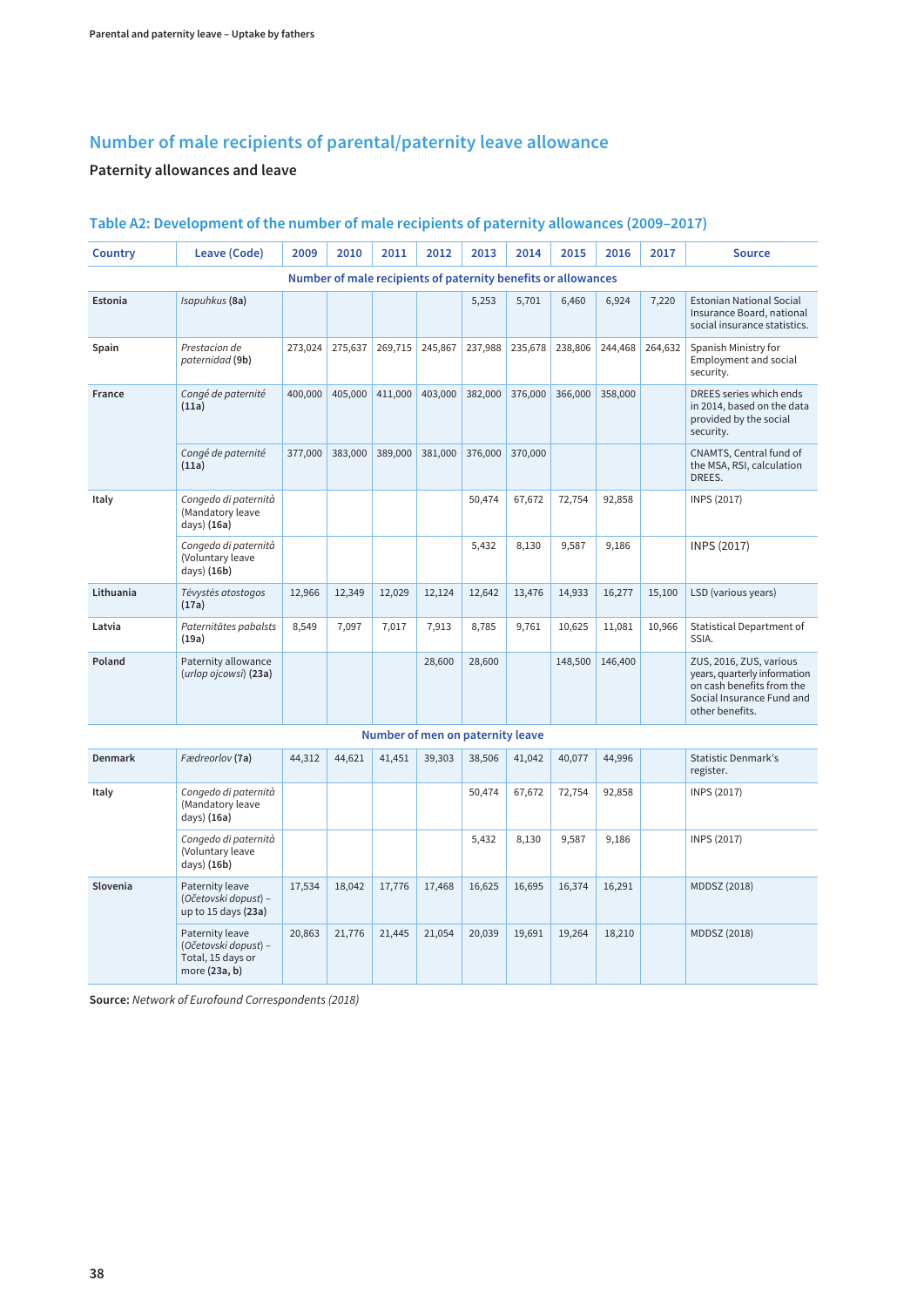### **Number of male recipients of parental/paternity leave allowance**

#### **Paternity allowances and leave**

| <b>Country</b> | Leave (Code)                                                                  | 2009    | 2010    | 2011                                                          | 2012    | 2013    | 2014    | 2015    | 2016    | 2017    | <b>Source</b>                                                                                                                        |
|----------------|-------------------------------------------------------------------------------|---------|---------|---------------------------------------------------------------|---------|---------|---------|---------|---------|---------|--------------------------------------------------------------------------------------------------------------------------------------|
|                |                                                                               |         |         | Number of male recipients of paternity benefits or allowances |         |         |         |         |         |         |                                                                                                                                      |
| Estonia        | Isapuhkus (8a)                                                                |         |         |                                                               |         | 5,253   | 5,701   | 6,460   | 6,924   | 7,220   | <b>Estonian National Social</b><br>Insurance Board, national<br>social insurance statistics.                                         |
| Spain          | Prestacion de<br>paternidad (9b)                                              | 273,024 | 275,637 | 269,715                                                       | 245,867 | 237,988 | 235,678 | 238,806 | 244,468 | 264,632 | Spanish Ministry for<br>Employment and social<br>security.                                                                           |
| France         | Congé de paternité<br>(11a)                                                   | 400,000 | 405,000 | 411,000                                                       | 403,000 | 382,000 | 376,000 | 366,000 | 358,000 |         | DREES series which ends<br>in 2014, based on the data<br>provided by the social<br>security.                                         |
|                | Congé de paternité<br>(11a)                                                   | 377,000 | 383,000 | 389,000                                                       | 381,000 | 376,000 | 370,000 |         |         |         | CNAMTS, Central fund of<br>the MSA, RSI, calculation<br>DREES.                                                                       |
| Italy          | Congedo di paternità<br>(Mandatory leave<br>days) (16a)                       |         |         |                                                               |         | 50,474  | 67,672  | 72,754  | 92,858  |         | INPS (2017)                                                                                                                          |
|                | Congedo di paternità<br>(Voluntary leave<br>days) (16b)                       |         |         |                                                               |         | 5,432   | 8,130   | 9,587   | 9,186   |         | INPS (2017)                                                                                                                          |
| Lithuania      | Tėvystės atostogos<br>(17a)                                                   | 12,966  | 12,349  | 12,029                                                        | 12,124  | 12,642  | 13,476  | 14,933  | 16,277  | 15,100  | LSD (various years)                                                                                                                  |
| Latvia         | Paternitātes pabalsts<br>(19a)                                                | 8,549   | 7,097   | 7,017                                                         | 7,913   | 8,785   | 9,761   | 10,625  | 11,081  | 10,966  | <b>Statistical Department of</b><br>SSIA.                                                                                            |
| Poland         | Paternity allowance<br>(urlop ojcowsi) (23a)                                  |         |         |                                                               | 28,600  | 28,600  |         | 148,500 | 146,400 |         | ZUS, 2016, ZUS, various<br>years, quarterly information<br>on cash benefits from the<br>Social Insurance Fund and<br>other benefits. |
|                |                                                                               |         |         | Number of men on paternity leave                              |         |         |         |         |         |         |                                                                                                                                      |
| <b>Denmark</b> | Fædreorlov (7a)                                                               | 44,312  | 44,621  | 41,451                                                        | 39,303  | 38,506  | 41,042  | 40,077  | 44,996  |         | <b>Statistic Denmark's</b><br>register.                                                                                              |
| Italy          | Congedo di paternità<br>(Mandatory leave<br>days) (16a)                       |         |         |                                                               |         | 50,474  | 67,672  | 72,754  | 92,858  |         | INPS (2017)                                                                                                                          |
|                | Congedo di paternità<br>(Voluntary leave<br>days) (16b)                       |         |         |                                                               |         | 5,432   | 8,130   | 9,587   | 9,186   |         | INPS (2017)                                                                                                                          |
| Slovenia       | Paternity leave<br>(Očetovski dopust) –<br>up to 15 days (23a)                | 17,534  | 18,042  | 17,776                                                        | 17,468  | 16,625  | 16,695  | 16,374  | 16,291  |         | MDDSZ (2018)                                                                                                                         |
|                | Paternity leave<br>(Očetovski dopust) -<br>Total, 15 days or<br>more (23a, b) | 20,863  | 21,776  | 21,445                                                        | 21,054  | 20,039  | 19,691  | 19,264  | 18,210  |         | MDDSZ (2018)                                                                                                                         |

#### **Table A2: Development of the number of male recipients of paternity allowances (2009–2017)**

**Source:** Network of Eurofound Correspondents (2018)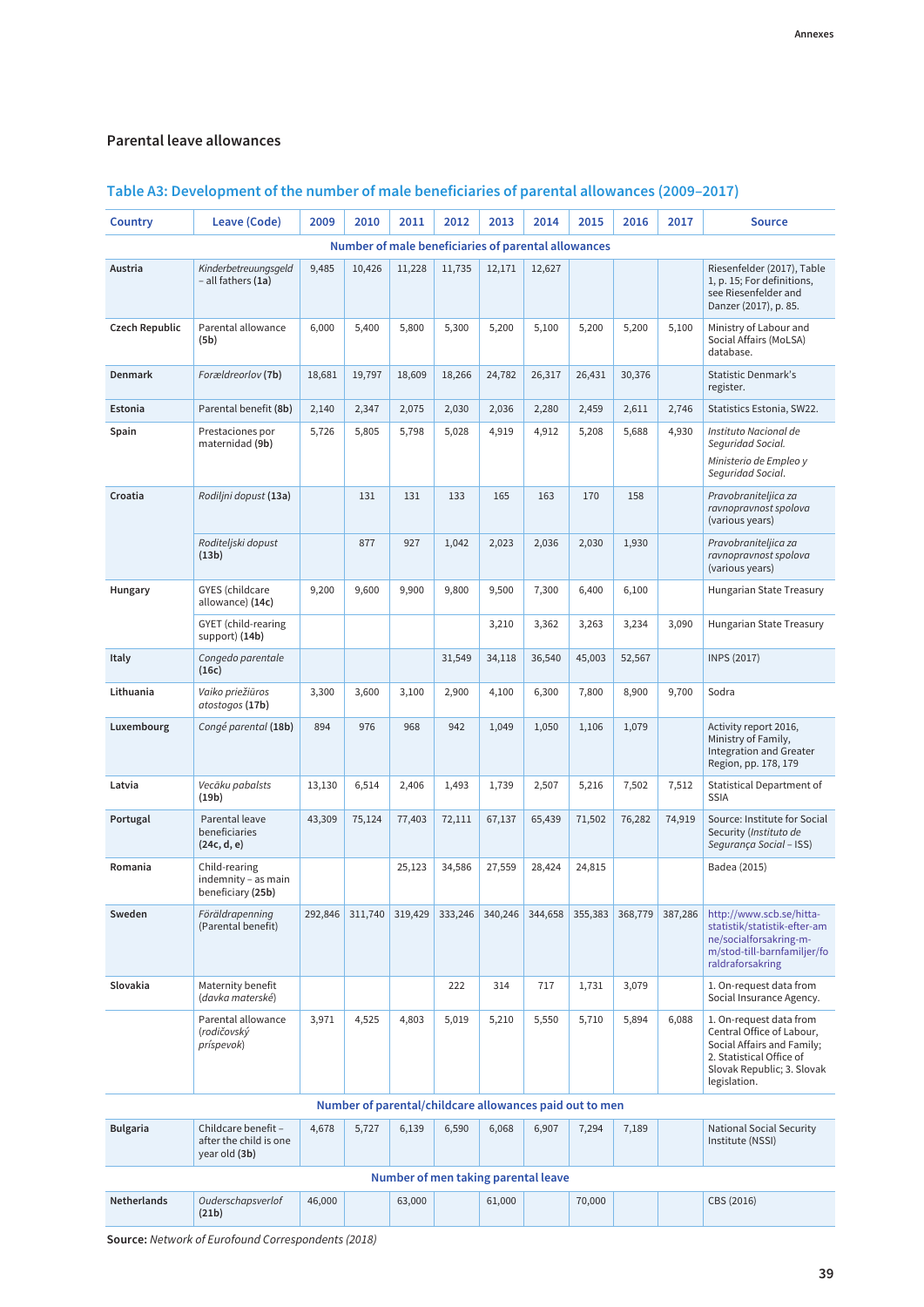#### **Parental leave allowances**

| Country            | Leave (Code)                                                   | 2009    | 2010    | 2011    | 2012    | 2013    | 2014                                                    | 2015    | 2016    | 2017    | <b>Source</b>                                                                                                                                                |
|--------------------|----------------------------------------------------------------|---------|---------|---------|---------|---------|---------------------------------------------------------|---------|---------|---------|--------------------------------------------------------------------------------------------------------------------------------------------------------------|
|                    |                                                                |         |         |         |         |         | Number of male beneficiaries of parental allowances     |         |         |         |                                                                                                                                                              |
| Austria            | Kinderbetreuungsgeld<br>- all fathers (1a)                     | 9,485   | 10,426  | 11,228  | 11,735  | 12,171  | 12,627                                                  |         |         |         | Riesenfelder (2017), Table<br>1, p. 15; For definitions,<br>see Riesenfelder and<br>Danzer (2017), p. 85.                                                    |
| Czech Republic     | Parental allowance<br>(5b)                                     | 6,000   | 5,400   | 5,800   | 5,300   | 5,200   | 5,100                                                   | 5,200   | 5,200   | 5,100   | Ministry of Labour and<br>Social Affairs (MoLSA)<br>database.                                                                                                |
| <b>Denmark</b>     | Forældreorlov (7b)                                             | 18,681  | 19,797  | 18,609  | 18,266  | 24,782  | 26,317                                                  | 26,431  | 30,376  |         | <b>Statistic Denmark's</b><br>register.                                                                                                                      |
| Estonia            | Parental benefit (8b)                                          | 2,140   | 2,347   | 2,075   | 2,030   | 2,036   | 2,280                                                   | 2,459   | 2,611   | 2,746   | Statistics Estonia, SW22.                                                                                                                                    |
| Spain              | Prestaciones por<br>maternidad (9b)                            | 5,726   | 5,805   | 5,798   | 5,028   | 4,919   | 4,912                                                   | 5,208   | 5,688   | 4,930   | Instituto Nacional de<br>Seguridad Social.<br>Ministerio de Empleo y<br>Sequridad Social.                                                                    |
| Croatia            | Rodiljni dopust (13a)                                          |         | 131     | 131     | 133     | 165     | 163                                                     | 170     | 158     |         | Pravobraniteljica za<br>ravnopravnost spolova<br>(various years)                                                                                             |
|                    | Roditeljski dopust<br>(13b)                                    |         | 877     | 927     | 1,042   | 2,023   | 2,036                                                   | 2,030   | 1,930   |         | Pravobraniteljica za<br>ravnopravnost spolova<br>(various years)                                                                                             |
| Hungary            | <b>GYES</b> (childcare<br>allowance) (14c)                     | 9,200   | 9,600   | 9,900   | 9,800   | 9,500   | 7,300                                                   | 6,400   | 6,100   |         | Hungarian State Treasury                                                                                                                                     |
|                    | <b>GYET</b> (child-rearing<br>support) (14b)                   |         |         |         |         | 3,210   | 3,362                                                   | 3,263   | 3,234   | 3,090   | Hungarian State Treasury                                                                                                                                     |
| <b>Italy</b>       | Congedo parentale<br>(16c)                                     |         |         |         | 31,549  | 34,118  | 36,540                                                  | 45,003  | 52,567  |         | <b>INPS (2017)</b>                                                                                                                                           |
| Lithuania          | Vaiko priežiūros<br>atostogos (17b)                            | 3,300   | 3,600   | 3,100   | 2,900   | 4,100   | 6,300                                                   | 7,800   | 8,900   | 9,700   | Sodra                                                                                                                                                        |
| Luxembourg         | Congé parental (18b)                                           | 894     | 976     | 968     | 942     | 1,049   | 1,050                                                   | 1,106   | 1,079   |         | Activity report 2016,<br>Ministry of Family,<br><b>Integration and Greater</b><br>Region, pp. 178, 179                                                       |
| Latvia             | Vecāku pabalsts<br>(19b)                                       | 13,130  | 6,514   | 2,406   | 1,493   | 1,739   | 2,507                                                   | 5,216   | 7,502   | 7,512   | Statistical Department of<br>SSIA                                                                                                                            |
| Portugal           | Parental leave<br>beneficiaries<br>(24c, d, e)                 | 43,309  | 75,124  | 77,403  | 72,111  | 67,137  | 65,439                                                  | 71,502  | 76,282  | 74,919  | Source: Institute for Social<br>Security (Instituto de<br>Segurança Social - ISS)                                                                            |
| Romania            | Child-rearing<br>indemnity - as main<br>beneficiary (25b)      |         |         | 25,123  | 34,586  | 27,559  | 28,424                                                  | 24,815  |         |         | Badea (2015)                                                                                                                                                 |
| Sweden             | Föräldrapenning<br>(Parental benefit)                          | 292,846 | 311,740 | 319,429 | 333,246 | 340,246 | 344,658                                                 | 355,383 | 368,779 | 387,286 | http://www.scb.se/hitta-<br>statistik/statistik-efter-am<br>ne/socialforsakring-m-<br>m/stod-till-barnfamiljer/fo<br>raldraforsakring                        |
| Slovakia           | Maternity benefit<br>(davka materské)                          |         |         |         | 222     | 314     | 717                                                     | 1,731   | 3,079   |         | 1. On-request data from<br>Social Insurance Agency.                                                                                                          |
|                    | Parental allowance<br>(rodičovský<br>príspevok)                | 3,971   | 4,525   | 4,803   | 5,019   | 5,210   | 5,550                                                   | 5,710   | 5,894   | 6,088   | 1. On-request data from<br>Central Office of Labour,<br>Social Affairs and Family;<br>2. Statistical Office of<br>Slovak Republic; 3. Slovak<br>legislation. |
|                    |                                                                |         |         |         |         |         | Number of parental/childcare allowances paid out to men |         |         |         |                                                                                                                                                              |
| <b>Bulgaria</b>    | Childcare benefit -<br>after the child is one<br>year old (3b) | 4,678   | 5,727   | 6,139   | 6,590   | 6,068   | 6,907                                                   | 7,294   | 7,189   |         | <b>National Social Security</b><br>Institute (NSSI)                                                                                                          |
|                    |                                                                |         |         |         |         |         | Number of men taking parental leave                     |         |         |         |                                                                                                                                                              |
| <b>Netherlands</b> | Ouderschapsverlof<br>(21b)                                     | 46,000  |         | 63,000  |         | 61,000  |                                                         | 70,000  |         |         | CBS (2016)                                                                                                                                                   |

#### **Table A3: Development of the number of male beneficiaries of parental allowances (2009–2017)**

**Source:** Network of Eurofound Correspondents (2018)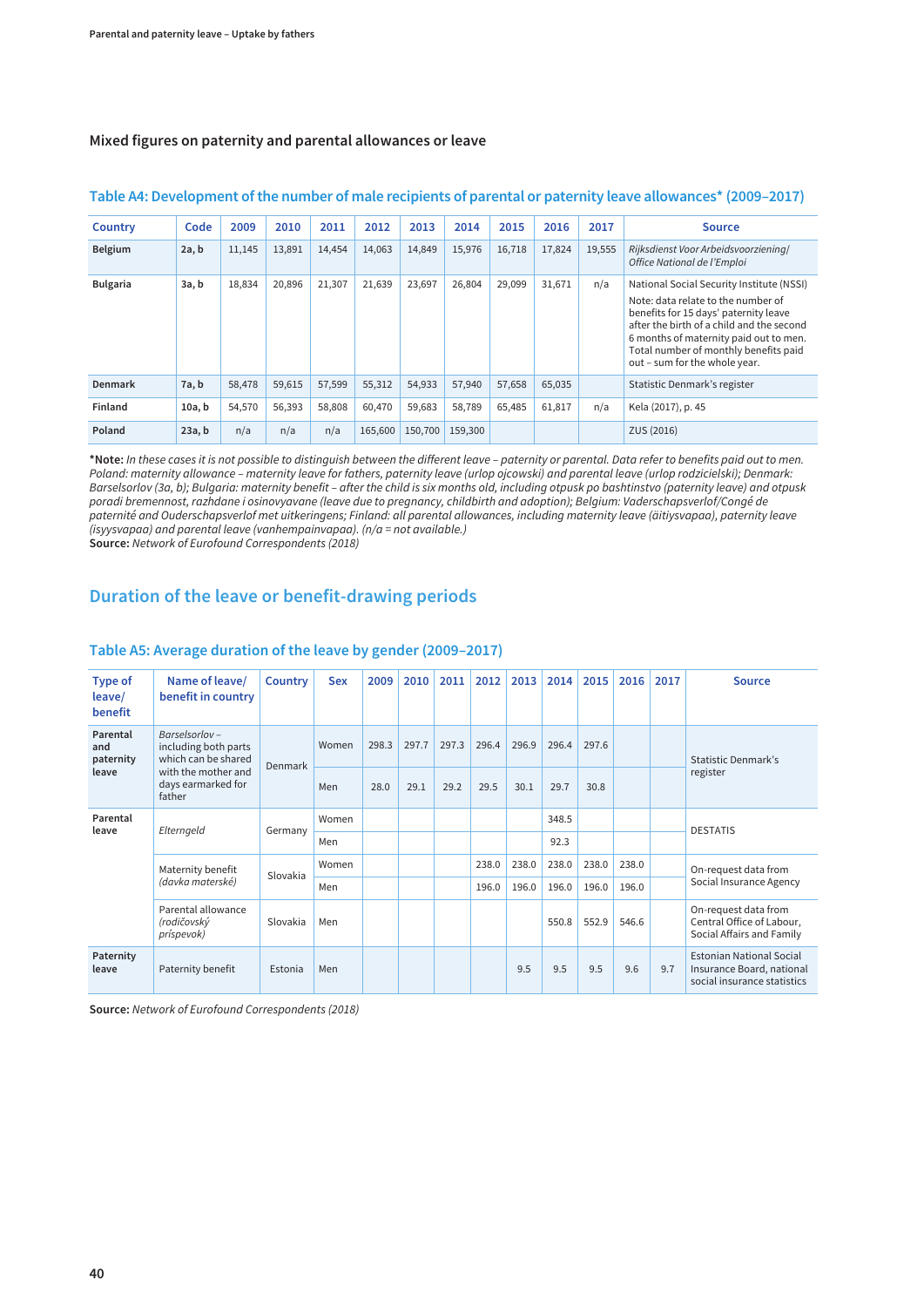#### **Mixed figures on paternity and parental allowances or leave**

| Country         | Code   | 2009   | 2010   | 2011   | 2012    | 2013    | 2014    | 2015   | 2016   | 2017   | <b>Source</b>                                                                                                                                                                                                                                                                             |
|-----------------|--------|--------|--------|--------|---------|---------|---------|--------|--------|--------|-------------------------------------------------------------------------------------------------------------------------------------------------------------------------------------------------------------------------------------------------------------------------------------------|
| <b>Belgium</b>  | 2a, b  | 11,145 | 13,891 | 14,454 | 14,063  | 14,849  | 15,976  | 16,718 | 17,824 | 19,555 | Rijksdienst Voor Arbeidsvoorziening/<br>Office National de l'Emploi                                                                                                                                                                                                                       |
| <b>Bulgaria</b> | 3a, b  | 18,834 | 20,896 | 21,307 | 21,639  | 23,697  | 26,804  | 29,099 | 31,671 | n/a    | National Social Security Institute (NSSI)<br>Note: data relate to the number of<br>benefits for 15 days' paternity leave<br>after the birth of a child and the second<br>6 months of maternity paid out to men.<br>Total number of monthly benefits paid<br>out - sum for the whole year. |
| Denmark         | 7a, b  | 58,478 | 59,615 | 57,599 | 55,312  | 54,933  | 57,940  | 57,658 | 65,035 |        | Statistic Denmark's register                                                                                                                                                                                                                                                              |
| Finland         | 10a, b | 54,570 | 56,393 | 58,808 | 60,470  | 59,683  | 58,789  | 65,485 | 61,817 | n/a    | Kela (2017), p. 45                                                                                                                                                                                                                                                                        |
| Poland          | 23a, b | n/a    | n/a    | n/a    | 165,600 | 150,700 | 159,300 |        |        |        | ZUS (2016)                                                                                                                                                                                                                                                                                |

#### **Table A4: Development of the number of male recipients of parental or paternity leave allowances\* (2009–2017)**

**\*Note:** In these cases it is not possible to distinguish between the different leave – paternity or parental. Data refer to benefits paid out to men. Poland: maternity allowance – maternity leave for fathers, paternity leave (urlop ojcowski) and parental leave (urlop rodzicielski); Denmark: Barselsorlov (3a, b); Bulgaria: maternity benefit – after the child is six months old, including otpusk po bashtinstvo (paternity leave) and otpusk poradi bremennost, razhdane i osinovyavane (leave due to pregnancy, childbirth and adoption); Belgium: Vaderschapsverlof/Congé de paternité and Ouderschapsverlof met uitkeringens; Finland: all parental allowances, including maternity leave (äitiysvapaa), paternity leave (isyysvapaa) and parental leave (vanhempainvapaa). (n/a = not available.)

**Source:** Network of Eurofound Correspondents (2018)

#### **Duration of the leave or benefit-drawing periods**

| <b>Type of</b><br>leave/<br>benefit   | Name of leave/<br>benefit in country                                                                                | Country  | <b>Sex</b> | 2009  | 2010  | 2011  | 2012  | 2013  | 2014  | 2015  | 2016  | 2017 | <b>Source</b>                                                                               |
|---------------------------------------|---------------------------------------------------------------------------------------------------------------------|----------|------------|-------|-------|-------|-------|-------|-------|-------|-------|------|---------------------------------------------------------------------------------------------|
| Parental<br>and<br>paternity<br>leave | Barselsorlov-<br>including both parts<br>which can be shared<br>with the mother and<br>days earmarked for<br>father | Denmark  | Women      | 298.3 | 297.7 | 297.3 | 296.4 | 296.9 | 296.4 | 297.6 |       |      | Statistic Denmark's<br>register                                                             |
|                                       |                                                                                                                     |          | Men        | 28.0  | 29.1  | 29.2  | 29.5  | 30.1  | 29.7  | 30.8  |       |      |                                                                                             |
| Parental<br>leave                     | Elterngeld                                                                                                          | Germany  | Women      |       |       |       |       |       | 348.5 |       |       |      | <b>DESTATIS</b>                                                                             |
|                                       |                                                                                                                     |          | Men        |       |       |       |       |       | 92.3  |       |       |      |                                                                                             |
|                                       | Maternity benefit<br>(davka materské)                                                                               | Slovakia | Women      |       |       |       | 238.0 | 238.0 | 238.0 | 238.0 | 238.0 |      | On-request data from<br>Social Insurance Agency                                             |
|                                       |                                                                                                                     |          | Men        |       |       |       | 196.0 | 196.0 | 196.0 | 196.0 | 196.0 |      |                                                                                             |
|                                       | Parental allowance<br>(rodičovský<br>príspevok)                                                                     | Slovakia | Men        |       |       |       |       |       | 550.8 | 552.9 | 546.6 |      | On-request data from<br>Central Office of Labour,<br>Social Affairs and Family              |
| Paternity<br>leave                    | Paternity benefit                                                                                                   | Estonia  | Men        |       |       |       |       | 9.5   | 9.5   | 9.5   | 9.6   | 9.7  | <b>Estonian National Social</b><br>Insurance Board, national<br>social insurance statistics |

#### **Table A5: Average duration of the leave by gender (2009–2017)**

**Source:** Network of Eurofound Correspondents (2018)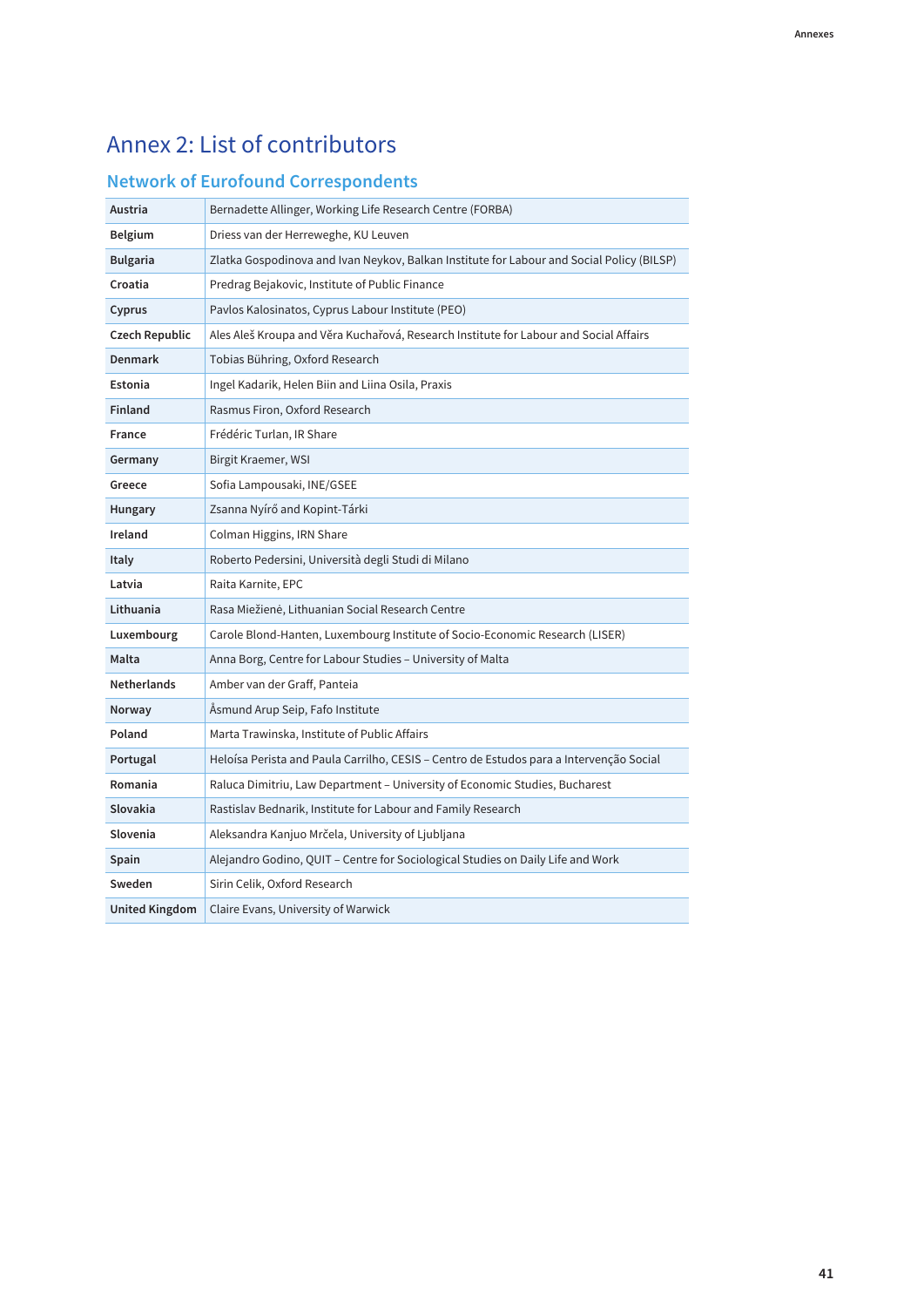## <span id="page-46-0"></span>Annex 2: List of contributors

### **Network of Eurofound Correspondents**

| Austria            | Bernadette Allinger, Working Life Research Centre (FORBA)                                 |
|--------------------|-------------------------------------------------------------------------------------------|
| Belgium            | Driess van der Herreweghe, KU Leuven                                                      |
| <b>Bulgaria</b>    | Zlatka Gospodinova and Ivan Neykov, Balkan Institute for Labour and Social Policy (BILSP) |
| Croatia            | Predrag Bejakovic, Institute of Public Finance                                            |
| Cyprus             | Pavlos Kalosinatos, Cyprus Labour Institute (PEO)                                         |
| Czech Republic     | Ales Aleš Kroupa and Věra Kuchařová, Research Institute for Labour and Social Affairs     |
| Denmark            | Tobias Bühring, Oxford Research                                                           |
| Estonia            | Ingel Kadarik, Helen Biin and Liina Osila, Praxis                                         |
| <b>Finland</b>     | Rasmus Firon, Oxford Research                                                             |
| <b>France</b>      | Frédéric Turlan, IR Share                                                                 |
| Germany            | Birgit Kraemer, WSI                                                                       |
| Greece             | Sofia Lampousaki, INE/GSEE                                                                |
| <b>Hungary</b>     | Zsanna Nyírő and Kopint-Tárki                                                             |
| Ireland            | Colman Higgins, IRN Share                                                                 |
| <b>Italy</b>       | Roberto Pedersini, Università degli Studi di Milano                                       |
| Latvia             | Raita Karnite, EPC                                                                        |
| Lithuania          | Rasa Miežienė, Lithuanian Social Research Centre                                          |
| Luxembourg         | Carole Blond-Hanten, Luxembourg Institute of Socio-Economic Research (LISER)              |
| Malta              | Anna Borg, Centre for Labour Studies – University of Malta                                |
| <b>Netherlands</b> | Amber van der Graff, Panteia                                                              |
| <b>Norway</b>      | Asmund Arup Seip, Fafo Institute                                                          |
| Poland             | Marta Trawinska, Institute of Public Affairs                                              |
| Portugal           | Heloísa Perista and Paula Carrilho, CESIS - Centro de Estudos para a Intervenção Social   |
| Romania            | Raluca Dimitriu, Law Department – University of Economic Studies, Bucharest               |
| Slovakia           | Rastislav Bednarik, Institute for Labour and Family Research                              |
| Slovenia           | Aleksandra Kanjuo Mrčela, University of Ljubljana                                         |
| Spain              | Alejandro Godino, QUIT - Centre for Sociological Studies on Daily Life and Work           |
| Sweden             | Sirin Celik, Oxford Research                                                              |
| United Kingdom     | Claire Evans, University of Warwick                                                       |